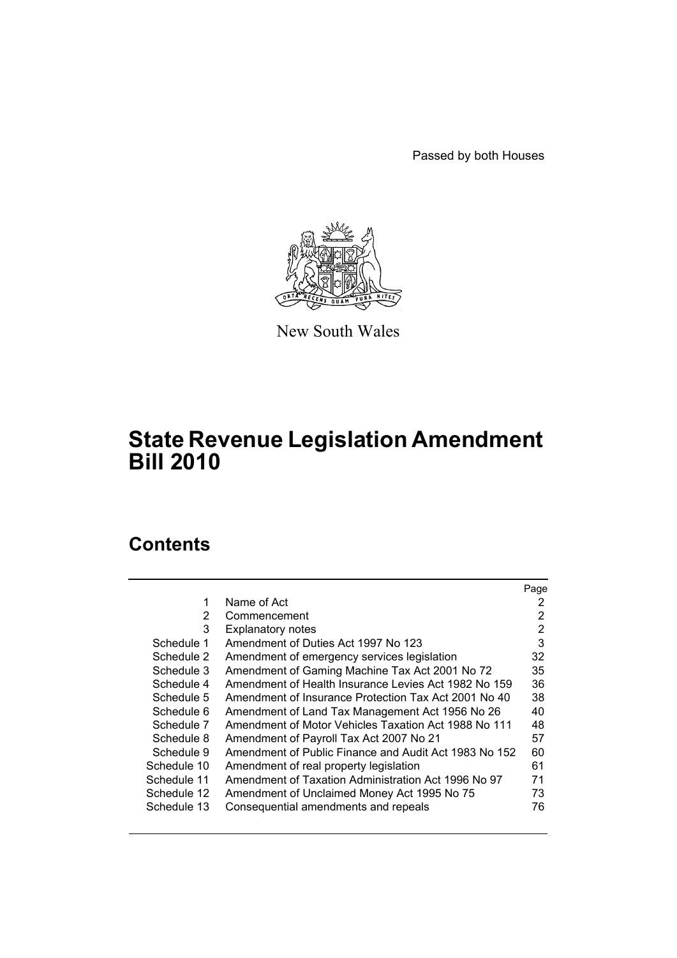Passed by both Houses



New South Wales

# **State Revenue Legislation Amendment Bill 2010**

# **Contents**

|             |                                                       | Page |
|-------------|-------------------------------------------------------|------|
| 1           | Name of Act                                           | 2    |
| 2           | Commencement                                          | 2    |
| 3           | <b>Explanatory notes</b>                              | 2    |
| Schedule 1  | Amendment of Duties Act 1997 No 123                   | 3    |
| Schedule 2  | Amendment of emergency services legislation           | 32   |
| Schedule 3  | Amendment of Gaming Machine Tax Act 2001 No 72        | 35   |
| Schedule 4  | Amendment of Health Insurance Levies Act 1982 No 159  | 36   |
| Schedule 5  | Amendment of Insurance Protection Tax Act 2001 No 40  | 38   |
| Schedule 6  | Amendment of Land Tax Management Act 1956 No 26       | 40   |
| Schedule 7  | Amendment of Motor Vehicles Taxation Act 1988 No 111  | 48   |
| Schedule 8  | Amendment of Payroll Tax Act 2007 No 21               | 57   |
| Schedule 9  | Amendment of Public Finance and Audit Act 1983 No 152 | 60   |
| Schedule 10 | Amendment of real property legislation                | 61   |
| Schedule 11 | Amendment of Taxation Administration Act 1996 No 97   | 71   |
| Schedule 12 | Amendment of Unclaimed Money Act 1995 No 75           | 73   |
| Schedule 13 | Consequential amendments and repeals                  | 76   |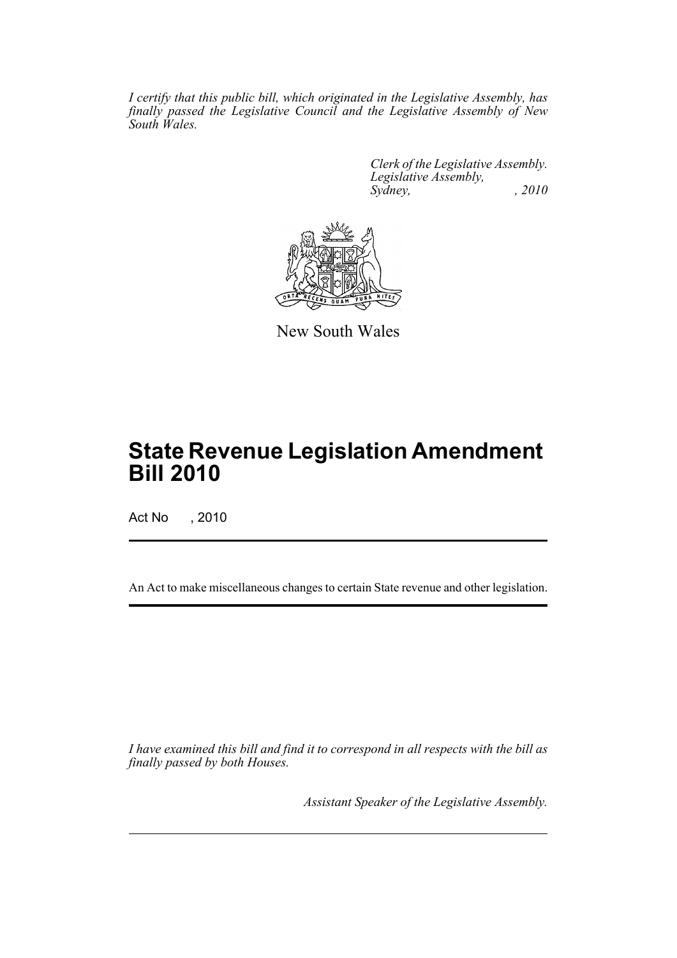*I certify that this public bill, which originated in the Legislative Assembly, has finally passed the Legislative Council and the Legislative Assembly of New South Wales.*

> *Clerk of the Legislative Assembly. Legislative Assembly, Sydney,* , 2010



New South Wales

# **State Revenue Legislation Amendment Bill 2010**

Act No , 2010

An Act to make miscellaneous changes to certain State revenue and other legislation.

*I have examined this bill and find it to correspond in all respects with the bill as finally passed by both Houses.*

*Assistant Speaker of the Legislative Assembly.*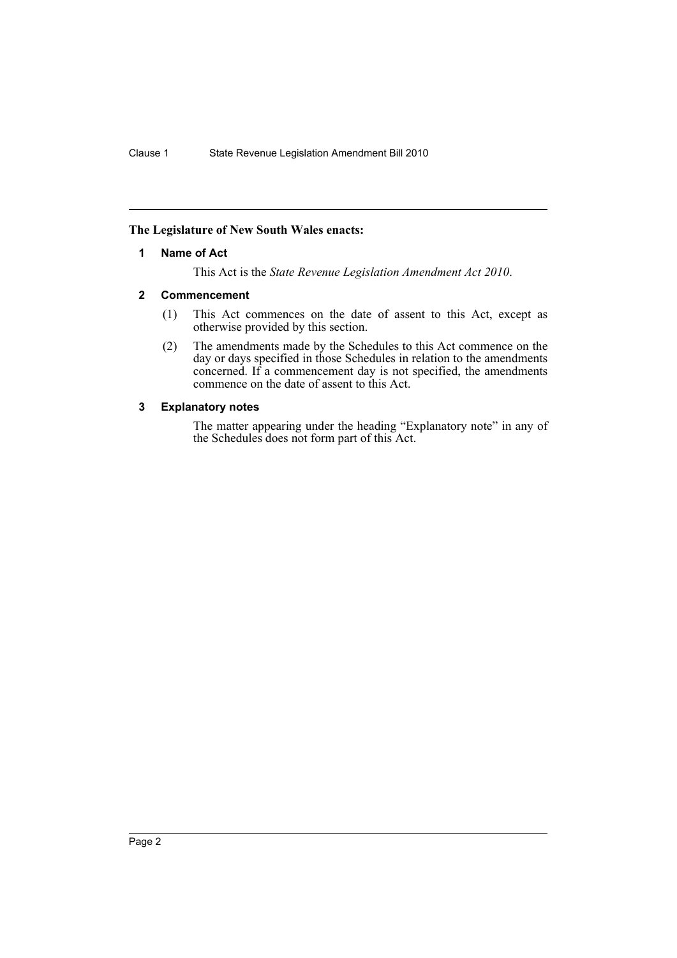# <span id="page-2-0"></span>**The Legislature of New South Wales enacts:**

# **1 Name of Act**

This Act is the *State Revenue Legislation Amendment Act 2010*.

# <span id="page-2-1"></span>**2 Commencement**

- (1) This Act commences on the date of assent to this Act, except as otherwise provided by this section.
- (2) The amendments made by the Schedules to this Act commence on the day or days specified in those Schedules in relation to the amendments concerned. If a commencement day is not specified, the amendments commence on the date of assent to this Act.

# <span id="page-2-2"></span>**3 Explanatory notes**

The matter appearing under the heading "Explanatory note" in any of the Schedules does not form part of this Act.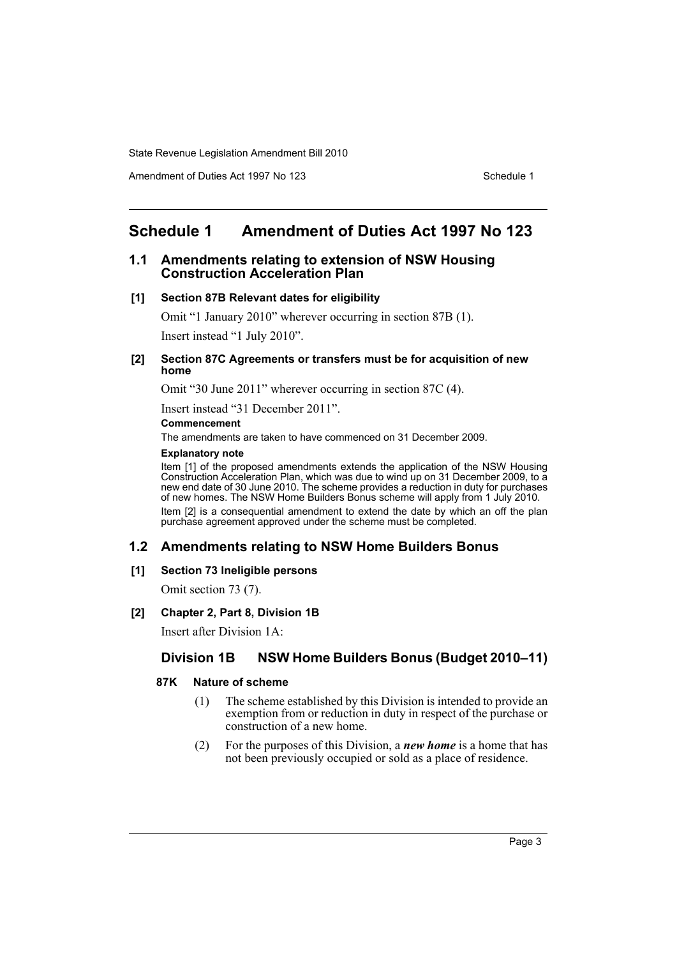Amendment of Duties Act 1997 No 123 Schedule 1

# <span id="page-3-0"></span>**Schedule 1 Amendment of Duties Act 1997 No 123**

# **1.1 Amendments relating to extension of NSW Housing Construction Acceleration Plan**

#### **[1] Section 87B Relevant dates for eligibility**

Omit "1 January 2010" wherever occurring in section 87B (1). Insert instead "1 July 2010".

#### **[2] Section 87C Agreements or transfers must be for acquisition of new home**

Omit "30 June 2011" wherever occurring in section 87C (4).

Insert instead "31 December 2011".

#### **Commencement**

The amendments are taken to have commenced on 31 December 2009.

### **Explanatory note**

Item [1] of the proposed amendments extends the application of the NSW Housing Construction Acceleration Plan, which was due to wind up on 31 December 2009, to a new end date of 30 June 2010. The scheme provides a reduction in duty for purchases of new homes. The NSW Home Builders Bonus scheme will apply from 1 July 2010. Item [2] is a consequential amendment to extend the date by which an off the plan purchase agreement approved under the scheme must be completed.

# **1.2 Amendments relating to NSW Home Builders Bonus**

# **[1] Section 73 Ineligible persons**

Omit section 73 (7).

# **[2] Chapter 2, Part 8, Division 1B**

Insert after Division 1A:

# **Division 1B NSW Home Builders Bonus (Budget 2010–11)**

# **87K Nature of scheme**

- (1) The scheme established by this Division is intended to provide an exemption from or reduction in duty in respect of the purchase or construction of a new home.
- (2) For the purposes of this Division, a *new home* is a home that has not been previously occupied or sold as a place of residence.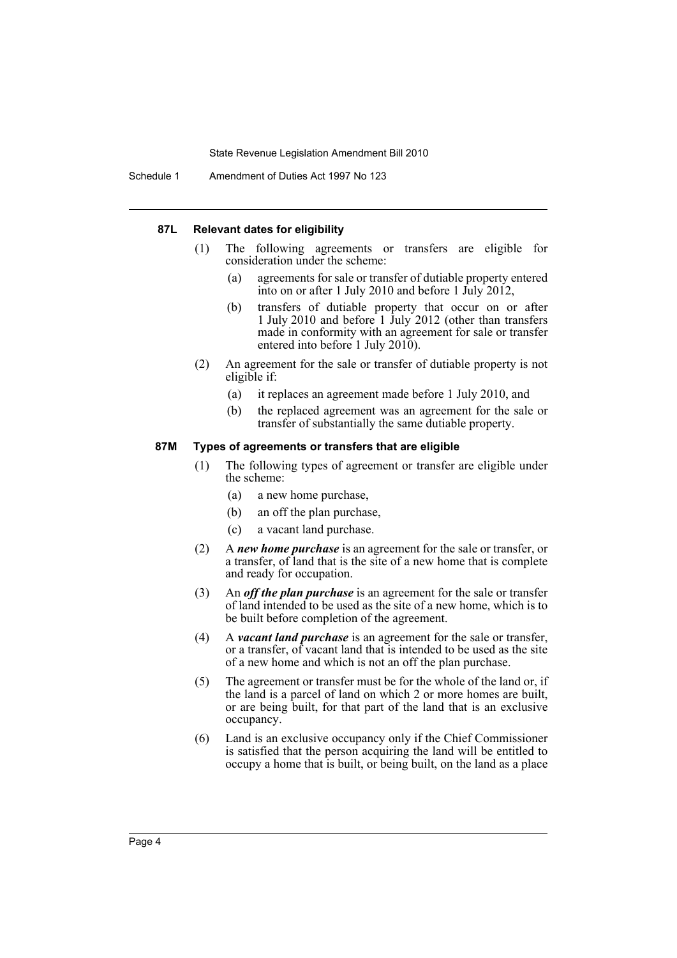Schedule 1 Amendment of Duties Act 1997 No 123

#### **87L Relevant dates for eligibility**

- (1) The following agreements or transfers are eligible for consideration under the scheme:
	- (a) agreements for sale or transfer of dutiable property entered into on or after 1 July 2010 and before 1 July 2012,
	- (b) transfers of dutiable property that occur on or after 1 July 2010 and before 1 July 2012 (other than transfers made in conformity with an agreement for sale or transfer entered into before 1 July 2010).
- (2) An agreement for the sale or transfer of dutiable property is not eligible if:
	- (a) it replaces an agreement made before 1 July 2010, and
	- (b) the replaced agreement was an agreement for the sale or transfer of substantially the same dutiable property.

#### **87M Types of agreements or transfers that are eligible**

- (1) The following types of agreement or transfer are eligible under the scheme:
	- (a) a new home purchase,
	- (b) an off the plan purchase,
	- (c) a vacant land purchase.
- (2) A *new home purchase* is an agreement for the sale or transfer, or a transfer, of land that is the site of a new home that is complete and ready for occupation.
- (3) An *off the plan purchase* is an agreement for the sale or transfer of land intended to be used as the site of a new home, which is to be built before completion of the agreement.
- (4) A *vacant land purchase* is an agreement for the sale or transfer, or a transfer, of vacant land that is intended to be used as the site of a new home and which is not an off the plan purchase.
- (5) The agreement or transfer must be for the whole of the land or, if the land is a parcel of land on which 2 or more homes are built, or are being built, for that part of the land that is an exclusive occupancy.
- (6) Land is an exclusive occupancy only if the Chief Commissioner is satisfied that the person acquiring the land will be entitled to occupy a home that is built, or being built, on the land as a place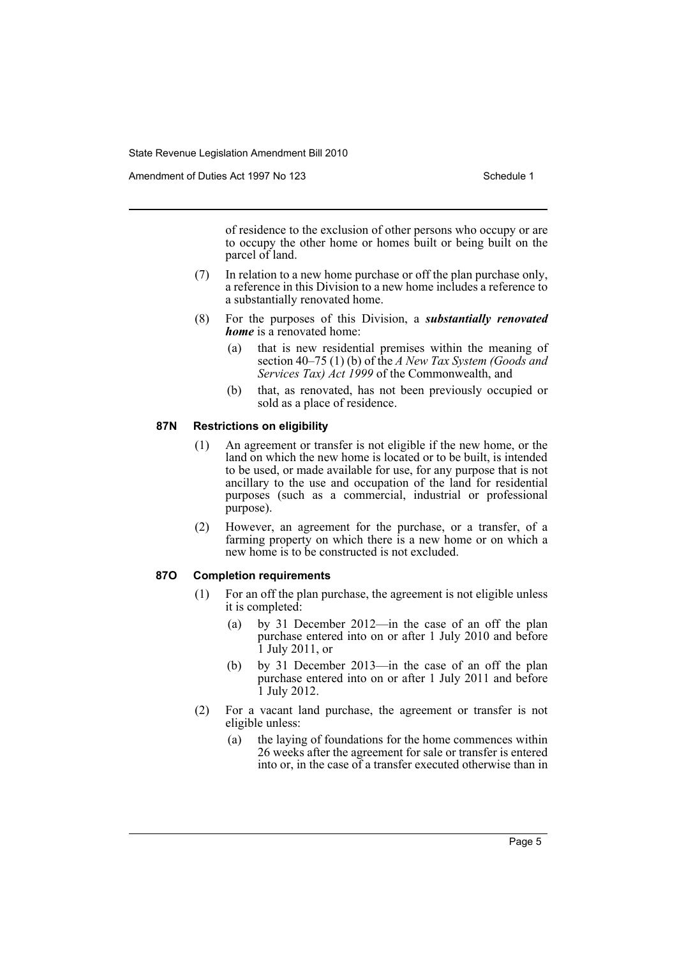Amendment of Duties Act 1997 No 123 Schedule 1

of residence to the exclusion of other persons who occupy or are to occupy the other home or homes built or being built on the parcel of land.

- (7) In relation to a new home purchase or off the plan purchase only, a reference in this Division to a new home includes a reference to a substantially renovated home.
- (8) For the purposes of this Division, a *substantially renovated home* is a renovated home:
	- (a) that is new residential premises within the meaning of section 40–75 (1) (b) of the *A New Tax System (Goods and Services Tax) Act 1999* of the Commonwealth, and
	- (b) that, as renovated, has not been previously occupied or sold as a place of residence.

# **87N Restrictions on eligibility**

- (1) An agreement or transfer is not eligible if the new home, or the land on which the new home is located or to be built, is intended to be used, or made available for use, for any purpose that is not ancillary to the use and occupation of the land for residential purposes (such as a commercial, industrial or professional purpose).
- (2) However, an agreement for the purchase, or a transfer, of a farming property on which there is a new home or on which a new home is to be constructed is not excluded.

# **87O Completion requirements**

- (1) For an off the plan purchase, the agreement is not eligible unless it is completed:
	- (a) by 31 December 2012—in the case of an off the plan purchase entered into on or after 1 July 2010 and before 1 July 2011, or
	- (b) by 31 December 2013—in the case of an off the plan purchase entered into on or after 1 July 2011 and before 1 July 2012.
- (2) For a vacant land purchase, the agreement or transfer is not eligible unless:
	- (a) the laying of foundations for the home commences within 26 weeks after the agreement for sale or transfer is entered into or, in the case of a transfer executed otherwise than in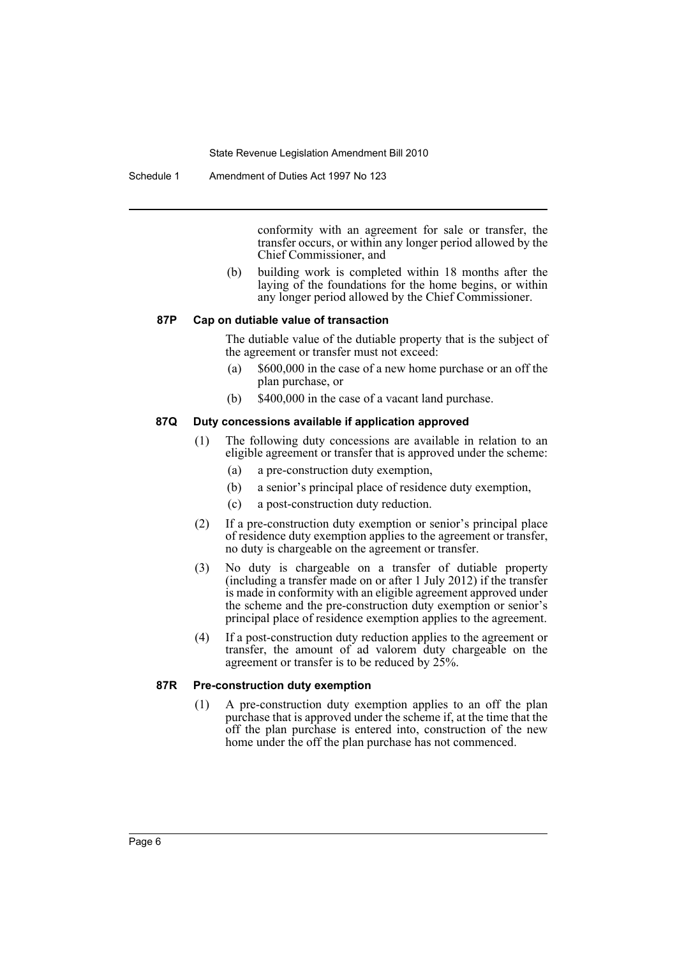conformity with an agreement for sale or transfer, the transfer occurs, or within any longer period allowed by the Chief Commissioner, and

(b) building work is completed within 18 months after the laying of the foundations for the home begins, or within any longer period allowed by the Chief Commissioner.

# **87P Cap on dutiable value of transaction**

The dutiable value of the dutiable property that is the subject of the agreement or transfer must not exceed:

- (a) \$600,000 in the case of a new home purchase or an off the plan purchase, or
- (b) \$400,000 in the case of a vacant land purchase.

#### **87Q Duty concessions available if application approved**

- (1) The following duty concessions are available in relation to an eligible agreement or transfer that is approved under the scheme:
	- (a) a pre-construction duty exemption,
	- (b) a senior's principal place of residence duty exemption,
	- (c) a post-construction duty reduction.
- (2) If a pre-construction duty exemption or senior's principal place of residence duty exemption applies to the agreement or transfer, no duty is chargeable on the agreement or transfer.
- (3) No duty is chargeable on a transfer of dutiable property (including a transfer made on or after 1 July 2012) if the transfer is made in conformity with an eligible agreement approved under the scheme and the pre-construction duty exemption or senior's principal place of residence exemption applies to the agreement.
- (4) If a post-construction duty reduction applies to the agreement or transfer, the amount of ad valorem duty chargeable on the agreement or transfer is to be reduced by 25%.

# **87R Pre-construction duty exemption**

(1) A pre-construction duty exemption applies to an off the plan purchase that is approved under the scheme if, at the time that the off the plan purchase is entered into, construction of the new home under the off the plan purchase has not commenced.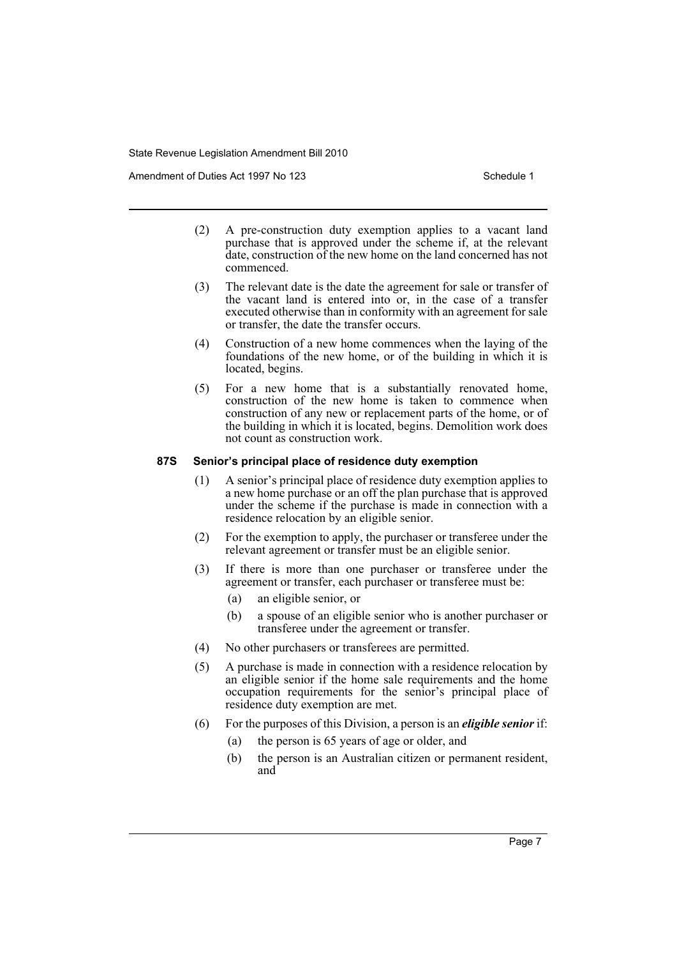Amendment of Duties Act 1997 No 123 Schedule 1

- (2) A pre-construction duty exemption applies to a vacant land purchase that is approved under the scheme if, at the relevant date, construction of the new home on the land concerned has not commenced.
- (3) The relevant date is the date the agreement for sale or transfer of the vacant land is entered into or, in the case of a transfer executed otherwise than in conformity with an agreement for sale or transfer, the date the transfer occurs.
- (4) Construction of a new home commences when the laying of the foundations of the new home, or of the building in which it is located, begins.
- (5) For a new home that is a substantially renovated home, construction of the new home is taken to commence when construction of any new or replacement parts of the home, or of the building in which it is located, begins. Demolition work does not count as construction work.

# **87S Senior's principal place of residence duty exemption**

- (1) A senior's principal place of residence duty exemption applies to a new home purchase or an off the plan purchase that is approved under the scheme if the purchase is made in connection with a residence relocation by an eligible senior.
- (2) For the exemption to apply, the purchaser or transferee under the relevant agreement or transfer must be an eligible senior.
- (3) If there is more than one purchaser or transferee under the agreement or transfer, each purchaser or transferee must be:
	- (a) an eligible senior, or
	- (b) a spouse of an eligible senior who is another purchaser or transferee under the agreement or transfer.
- (4) No other purchasers or transferees are permitted.
- (5) A purchase is made in connection with a residence relocation by an eligible senior if the home sale requirements and the home occupation requirements for the senior's principal place of residence duty exemption are met.
- (6) For the purposes of this Division, a person is an *eligible senior* if:
	- (a) the person is 65 years of age or older, and
	- (b) the person is an Australian citizen or permanent resident, and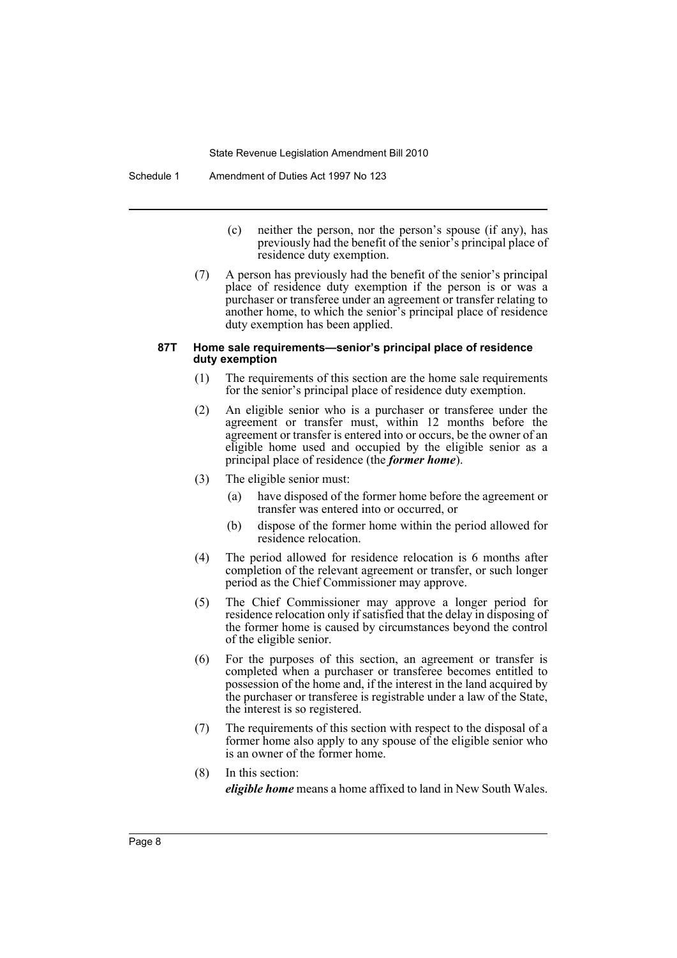- (c) neither the person, nor the person's spouse (if any), has previously had the benefit of the senior's principal place of residence duty exemption.
- (7) A person has previously had the benefit of the senior's principal place of residence duty exemption if the person is or was a purchaser or transferee under an agreement or transfer relating to another home, to which the senior's principal place of residence duty exemption has been applied.

#### **87T Home sale requirements—senior's principal place of residence duty exemption**

- (1) The requirements of this section are the home sale requirements for the senior's principal place of residence duty exemption.
- (2) An eligible senior who is a purchaser or transferee under the agreement or transfer must, within 12 months before the agreement or transfer is entered into or occurs, be the owner of an eligible home used and occupied by the eligible senior as a principal place of residence (the *former home*).
- (3) The eligible senior must:
	- (a) have disposed of the former home before the agreement or transfer was entered into or occurred, or
	- (b) dispose of the former home within the period allowed for residence relocation.
- (4) The period allowed for residence relocation is 6 months after completion of the relevant agreement or transfer, or such longer period as the Chief Commissioner may approve.
- (5) The Chief Commissioner may approve a longer period for residence relocation only if satisfied that the delay in disposing of the former home is caused by circumstances beyond the control of the eligible senior.
- (6) For the purposes of this section, an agreement or transfer is completed when a purchaser or transferee becomes entitled to possession of the home and, if the interest in the land acquired by the purchaser or transferee is registrable under a law of the State, the interest is so registered.
- (7) The requirements of this section with respect to the disposal of a former home also apply to any spouse of the eligible senior who is an owner of the former home.
- (8) In this section: *eligible home* means a home affixed to land in New South Wales.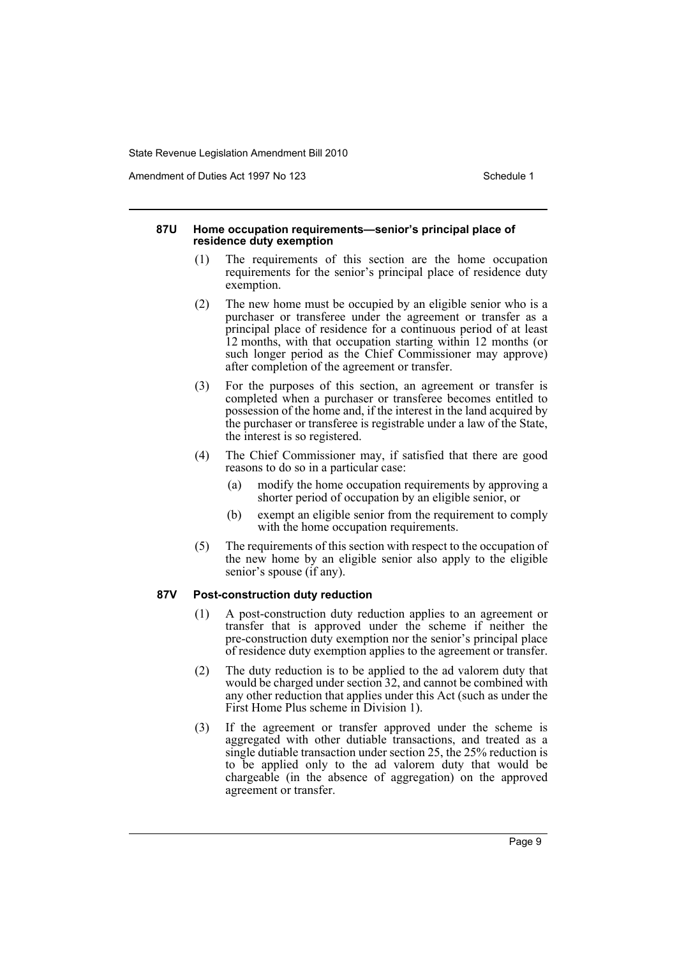Amendment of Duties Act 1997 No 123 Schedule 1

#### **87U Home occupation requirements—senior's principal place of residence duty exemption**

- (1) The requirements of this section are the home occupation requirements for the senior's principal place of residence duty exemption.
- (2) The new home must be occupied by an eligible senior who is a purchaser or transferee under the agreement or transfer as a principal place of residence for a continuous period of at least 12 months, with that occupation starting within 12 months (or such longer period as the Chief Commissioner may approve) after completion of the agreement or transfer.
- (3) For the purposes of this section, an agreement or transfer is completed when a purchaser or transferee becomes entitled to possession of the home and, if the interest in the land acquired by the purchaser or transferee is registrable under a law of the State, the interest is so registered.
- (4) The Chief Commissioner may, if satisfied that there are good reasons to do so in a particular case:
	- (a) modify the home occupation requirements by approving a shorter period of occupation by an eligible senior, or
	- (b) exempt an eligible senior from the requirement to comply with the home occupation requirements.
- (5) The requirements of this section with respect to the occupation of the new home by an eligible senior also apply to the eligible senior's spouse (if any).

#### **87V Post-construction duty reduction**

- (1) A post-construction duty reduction applies to an agreement or transfer that is approved under the scheme if neither the pre-construction duty exemption nor the senior's principal place of residence duty exemption applies to the agreement or transfer.
- (2) The duty reduction is to be applied to the ad valorem duty that would be charged under section 32, and cannot be combined with any other reduction that applies under this Act (such as under the First Home Plus scheme in Division 1).
- (3) If the agreement or transfer approved under the scheme is aggregated with other dutiable transactions, and treated as a single dutiable transaction under section 25, the 25% reduction is to be applied only to the ad valorem duty that would be chargeable (in the absence of aggregation) on the approved agreement or transfer.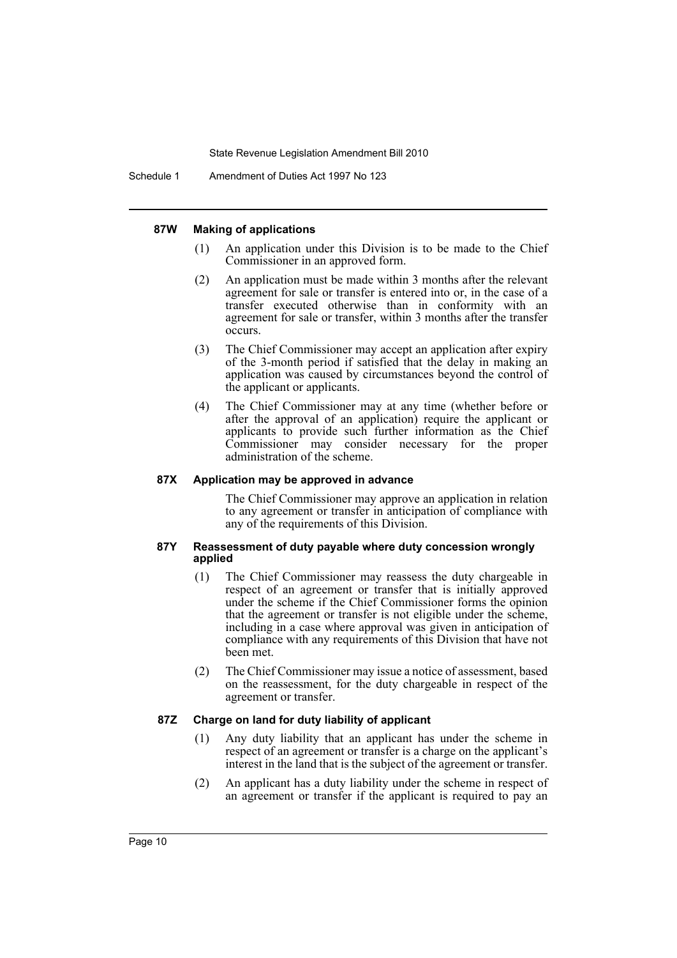#### **87W Making of applications**

- (1) An application under this Division is to be made to the Chief Commissioner in an approved form.
- (2) An application must be made within 3 months after the relevant agreement for sale or transfer is entered into or, in the case of a transfer executed otherwise than in conformity with an agreement for sale or transfer, within 3 months after the transfer occurs.
- (3) The Chief Commissioner may accept an application after expiry of the 3-month period if satisfied that the delay in making an application was caused by circumstances beyond the control of the applicant or applicants.
- (4) The Chief Commissioner may at any time (whether before or after the approval of an application) require the applicant or applicants to provide such further information as the Chief Commissioner may consider necessary for the proper administration of the scheme.

# **87X Application may be approved in advance**

The Chief Commissioner may approve an application in relation to any agreement or transfer in anticipation of compliance with any of the requirements of this Division.

#### **87Y Reassessment of duty payable where duty concession wrongly applied**

- (1) The Chief Commissioner may reassess the duty chargeable in respect of an agreement or transfer that is initially approved under the scheme if the Chief Commissioner forms the opinion that the agreement or transfer is not eligible under the scheme, including in a case where approval was given in anticipation of compliance with any requirements of this Division that have not been met.
- (2) The Chief Commissioner may issue a notice of assessment, based on the reassessment, for the duty chargeable in respect of the agreement or transfer.

#### **87Z Charge on land for duty liability of applicant**

- (1) Any duty liability that an applicant has under the scheme in respect of an agreement or transfer is a charge on the applicant's interest in the land that is the subject of the agreement or transfer.
- (2) An applicant has a duty liability under the scheme in respect of an agreement or transfer if the applicant is required to pay an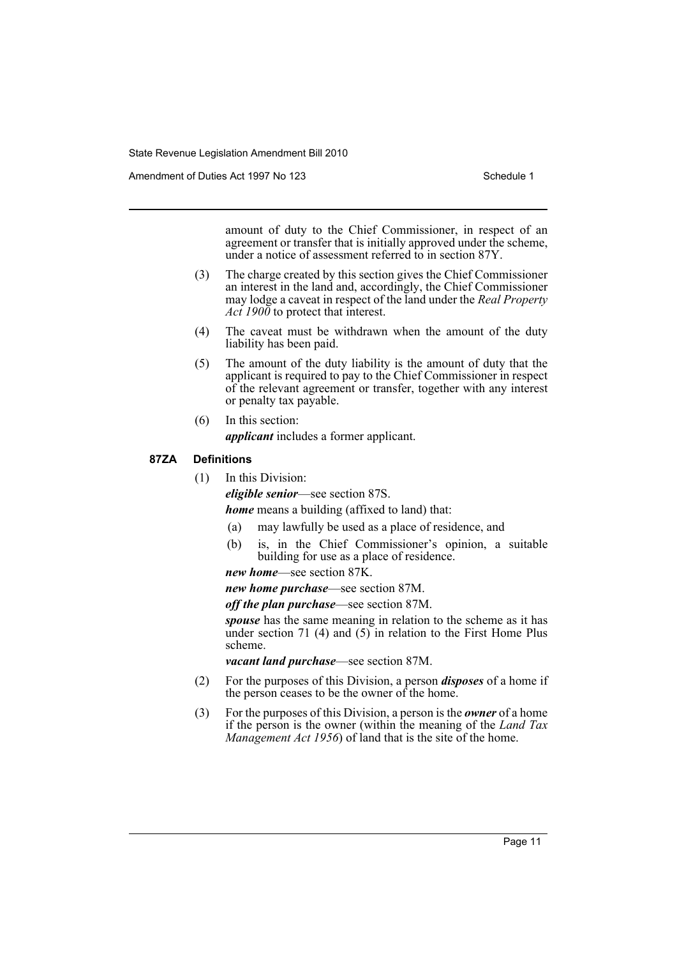Amendment of Duties Act 1997 No 123 Schedule 1

amount of duty to the Chief Commissioner, in respect of an agreement or transfer that is initially approved under the scheme, under a notice of assessment referred to in section 87Y.

- (3) The charge created by this section gives the Chief Commissioner an interest in the land and, accordingly, the Chief Commissioner may lodge a caveat in respect of the land under the *Real Property Act 1900* to protect that interest.
- (4) The caveat must be withdrawn when the amount of the duty liability has been paid.
- (5) The amount of the duty liability is the amount of duty that the applicant is required to pay to the Chief Commissioner in respect of the relevant agreement or transfer, together with any interest or penalty tax payable.
- (6) In this section:

*applicant* includes a former applicant.

# **87ZA Definitions**

(1) In this Division:

*eligible senior*—see section 87S.

*home* means a building (affixed to land) that:

- (a) may lawfully be used as a place of residence, and
- (b) is, in the Chief Commissioner's opinion, a suitable building for use as a place of residence.

*new home*—see section 87K.

*new home purchase*—see section 87M.

*off the plan purchase*—see section 87M.

*spouse* has the same meaning in relation to the scheme as it has under section 71 (4) and  $(5)$  in relation to the First Home Plus scheme.

*vacant land purchase*—see section 87M.

- (2) For the purposes of this Division, a person *disposes* of a home if the person ceases to be the owner of the home.
- (3) For the purposes of this Division, a person is the *owner* of a home if the person is the owner (within the meaning of the *Land Tax Management Act 1956*) of land that is the site of the home.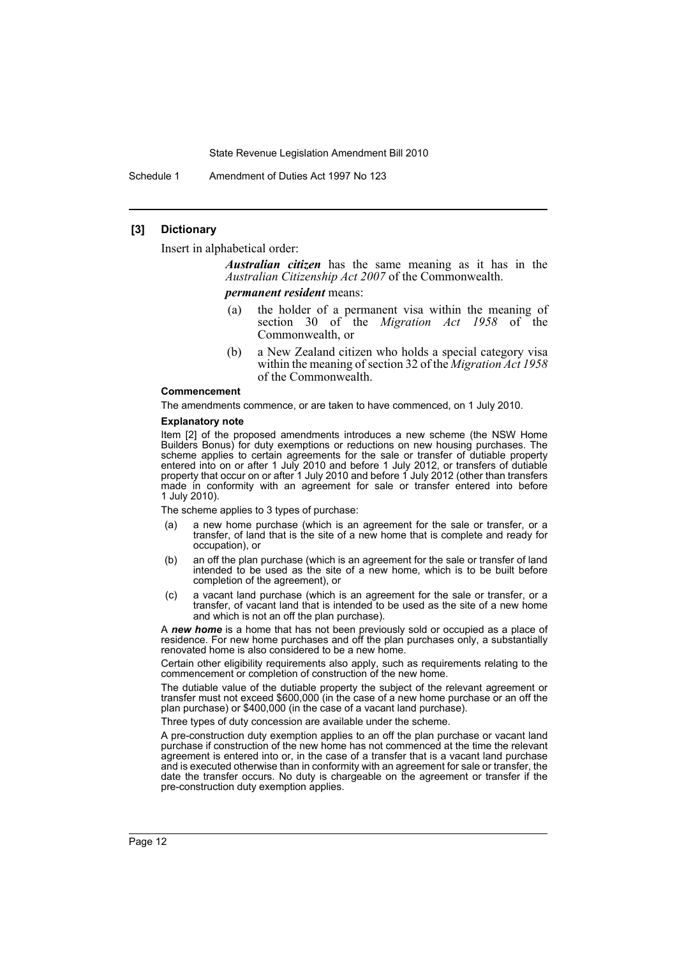Schedule 1 Amendment of Duties Act 1997 No 123

## **[3] Dictionary**

Insert in alphabetical order:

*Australian citizen* has the same meaning as it has in the *Australian Citizenship Act 2007* of the Commonwealth.

*permanent resident* means:

- (a) the holder of a permanent visa within the meaning of section 30 of the *Migration Act 1958* of the Commonwealth, or
- (b) a New Zealand citizen who holds a special category visa within the meaning of section 32 of the *Migration Act 1958* of the Commonwealth.

#### **Commencement**

The amendments commence, or are taken to have commenced, on 1 July 2010.

#### **Explanatory note**

Item [2] of the proposed amendments introduces a new scheme (the NSW Home Builders Bonus) for duty exemptions or reductions on new housing purchases. The scheme applies to certain agreements for the sale or transfer of dutiable property entered into on or after 1 July 2010 and before 1 July 2012, or transfers of dutiable property that occur on or after 1 July 2010 and before 1 July 2012 (other than transfers made in conformity with an agreement for sale or transfer entered into before 1 July 2010).

The scheme applies to 3 types of purchase:

- (a) a new home purchase (which is an agreement for the sale or transfer, or a transfer, of land that is the site of a new home that is complete and ready for occupation), or
- (b) an off the plan purchase (which is an agreement for the sale or transfer of land intended to be used as the site of a new home, which is to be built before completion of the agreement), or
- (c) a vacant land purchase (which is an agreement for the sale or transfer, or a transfer, of vacant land that is intended to be used as the site of a new home and which is not an off the plan purchase).

A *new home* is a home that has not been previously sold or occupied as a place of residence. For new home purchases and off the plan purchases only, a substantially renovated home is also considered to be a new home.

Certain other eligibility requirements also apply, such as requirements relating to the commencement or completion of construction of the new home.

The dutiable value of the dutiable property the subject of the relevant agreement or transfer must not exceed \$600,000 (in the case of a new home purchase or an off the plan purchase) or \$400,000 (in the case of a vacant land purchase).

Three types of duty concession are available under the scheme.

A pre-construction duty exemption applies to an off the plan purchase or vacant land purchase if construction of the new home has not commenced at the time the relevant agreement is entered into or, in the case of a transfer that is a vacant land purchase and is executed otherwise than in conformity with an agreement for sale or transfer, the date the transfer occurs. No duty is chargeable on the agreement or transfer if the pre-construction duty exemption applies.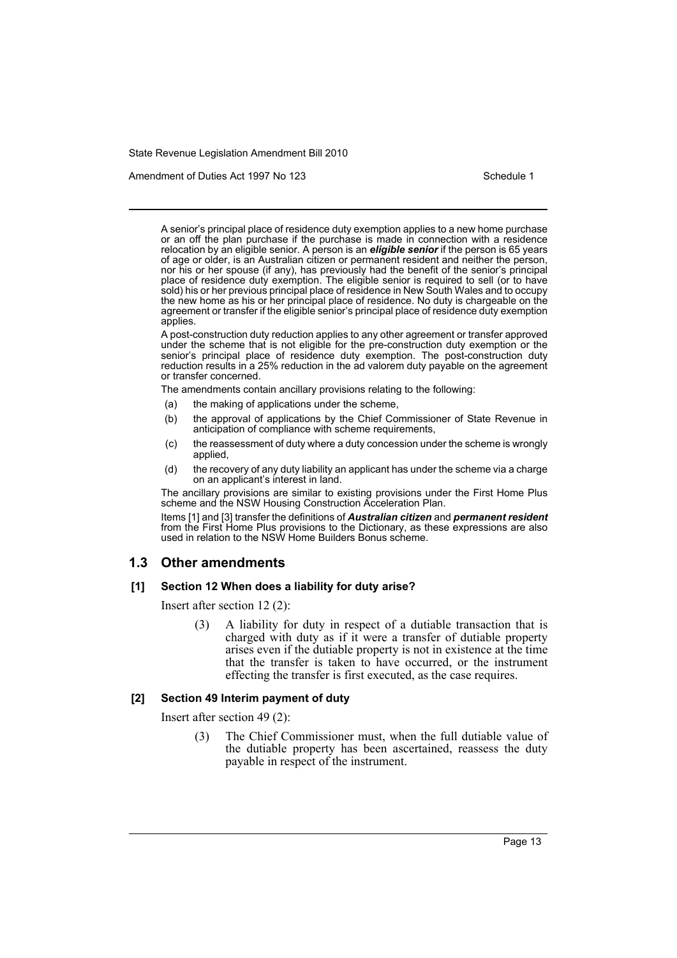Amendment of Duties Act 1997 No 123 Schedule 1

A senior's principal place of residence duty exemption applies to a new home purchase or an off the plan purchase if the purchase is made in connection with a residence relocation by an eligible senior. A person is an *eligible senior* if the person is 65 years of age or older, is an Australian citizen or permanent resident and neither the person, nor his or her spouse (if any), has previously had the benefit of the senior's principal place of residence duty exemption. The eligible senior is required to sell (or to have sold) his or her previous principal place of residence in New South Wales and to occupy the new home as his or her principal place of residence. No duty is chargeable on the agreement or transfer if the eligible senior's principal place of residence duty exemption applies.

A post-construction duty reduction applies to any other agreement or transfer approved under the scheme that is not eligible for the pre-construction duty exemption or the senior's principal place of residence duty exemption. The post-construction duty reduction results in a 25% reduction in the ad valorem duty payable on the agreement or transfer concerned.

The amendments contain ancillary provisions relating to the following:

- (a) the making of applications under the scheme,
- (b) the approval of applications by the Chief Commissioner of State Revenue in anticipation of compliance with scheme requirements,
- (c) the reassessment of duty where a duty concession under the scheme is wrongly applied,
- (d) the recovery of any duty liability an applicant has under the scheme via a charge on an applicant's interest in land.

The ancillary provisions are similar to existing provisions under the First Home Plus scheme and the NSW Housing Construction Acceleration Plan.

Items [1] and [3] transfer the definitions of *Australian citizen* and *permanent resident* from the First Home Plus provisions to the Dictionary, as these expressions are also used in relation to the NSW Home Builders Bonus scheme.

# **1.3 Other amendments**

## **[1] Section 12 When does a liability for duty arise?**

Insert after section 12 (2):

(3) A liability for duty in respect of a dutiable transaction that is charged with duty as if it were a transfer of dutiable property arises even if the dutiable property is not in existence at the time that the transfer is taken to have occurred, or the instrument effecting the transfer is first executed, as the case requires.

# **[2] Section 49 Interim payment of duty**

Insert after section 49 (2):

(3) The Chief Commissioner must, when the full dutiable value of the dutiable property has been ascertained, reassess the duty payable in respect of the instrument.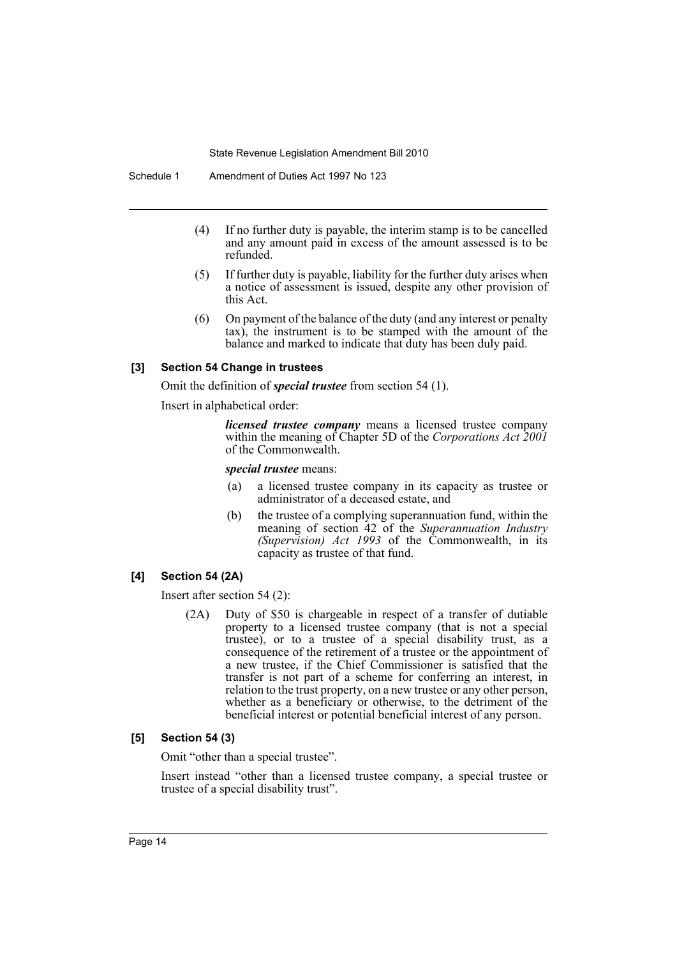Schedule 1 Amendment of Duties Act 1997 No 123

- (4) If no further duty is payable, the interim stamp is to be cancelled and any amount paid in excess of the amount assessed is to be refunded.
- (5) If further duty is payable, liability for the further duty arises when a notice of assessment is issued, despite any other provision of this Act.
- (6) On payment of the balance of the duty (and any interest or penalty tax), the instrument is to be stamped with the amount of the balance and marked to indicate that duty has been duly paid.

#### **[3] Section 54 Change in trustees**

Omit the definition of *special trustee* from section 54 (1).

Insert in alphabetical order:

*licensed trustee company* means a licensed trustee company within the meaning of Chapter 5D of the *Corporations Act 2001* of the Commonwealth.

*special trustee* means:

- (a) a licensed trustee company in its capacity as trustee or administrator of a deceased estate, and
- (b) the trustee of a complying superannuation fund, within the meaning of section 42 of the *Superannuation Industry (Supervision) Act 1993* of the Commonwealth, in its capacity as trustee of that fund.

# **[4] Section 54 (2A)**

Insert after section 54 (2):

(2A) Duty of \$50 is chargeable in respect of a transfer of dutiable property to a licensed trustee company (that is not a special trustee), or to a trustee of a special disability trust, as a consequence of the retirement of a trustee or the appointment of a new trustee, if the Chief Commissioner is satisfied that the transfer is not part of a scheme for conferring an interest, in relation to the trust property, on a new trustee or any other person, whether as a beneficiary or otherwise, to the detriment of the beneficial interest or potential beneficial interest of any person.

#### **[5] Section 54 (3)**

Omit "other than a special trustee".

Insert instead "other than a licensed trustee company, a special trustee or trustee of a special disability trust".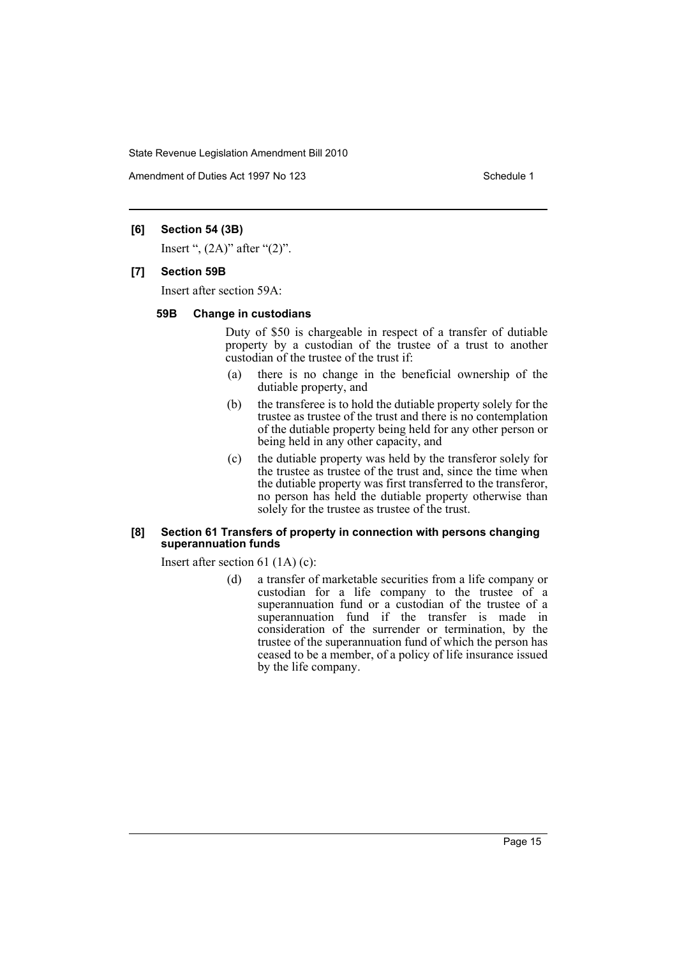Amendment of Duties Act 1997 No 123 Schedule 1

# **[6] Section 54 (3B)**

Insert ",  $(2A)$ " after " $(2)$ ".

#### **[7] Section 59B**

Insert after section 59A:

#### **59B Change in custodians**

Duty of \$50 is chargeable in respect of a transfer of dutiable property by a custodian of the trustee of a trust to another custodian of the trustee of the trust if:

- (a) there is no change in the beneficial ownership of the dutiable property, and
- (b) the transferee is to hold the dutiable property solely for the trustee as trustee of the trust and there is no contemplation of the dutiable property being held for any other person or being held in any other capacity, and
- (c) the dutiable property was held by the transferor solely for the trustee as trustee of the trust and, since the time when the dutiable property was first transferred to the transferor, no person has held the dutiable property otherwise than solely for the trustee as trustee of the trust.

#### **[8] Section 61 Transfers of property in connection with persons changing superannuation funds**

Insert after section 61 (1A) (c):

(d) a transfer of marketable securities from a life company or custodian for a life company to the trustee of a superannuation fund or a custodian of the trustee of a superannuation fund if the transfer is made in consideration of the surrender or termination, by the trustee of the superannuation fund of which the person has ceased to be a member, of a policy of life insurance issued by the life company.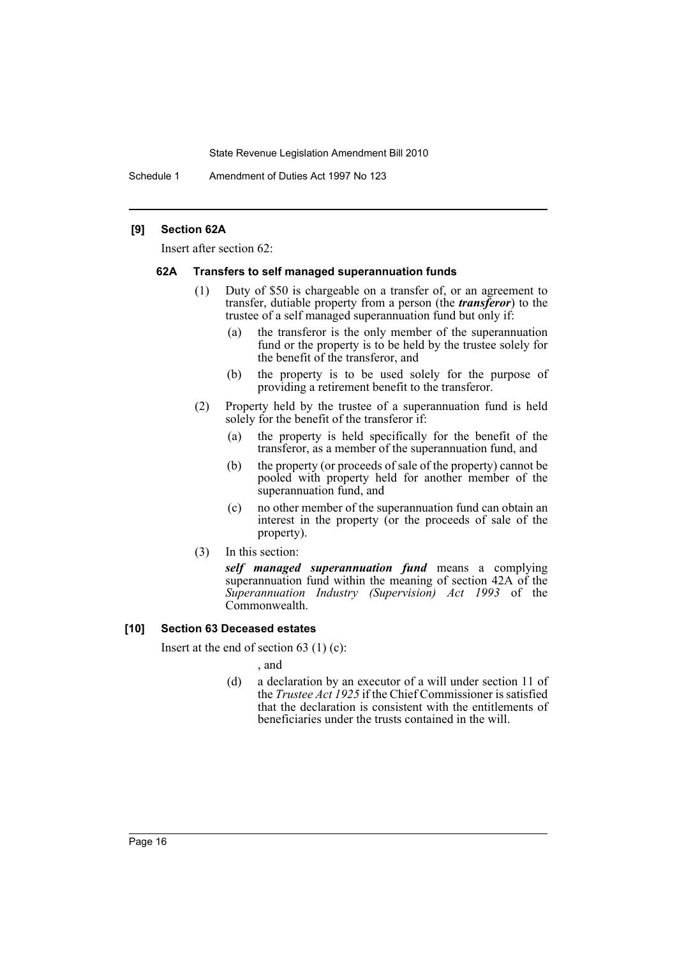Schedule 1 Amendment of Duties Act 1997 No 123

## **[9] Section 62A**

Insert after section 62:

#### **62A Transfers to self managed superannuation funds**

- (1) Duty of \$50 is chargeable on a transfer of, or an agreement to transfer, dutiable property from a person (the *transferor*) to the trustee of a self managed superannuation fund but only if:
	- (a) the transferor is the only member of the superannuation fund or the property is to be held by the trustee solely for the benefit of the transferor, and
	- (b) the property is to be used solely for the purpose of providing a retirement benefit to the transferor.
- (2) Property held by the trustee of a superannuation fund is held solely for the benefit of the transferor if:
	- (a) the property is held specifically for the benefit of the transferor, as a member of the superannuation fund, and
	- (b) the property (or proceeds of sale of the property) cannot be pooled with property held for another member of the superannuation fund, and
	- (c) no other member of the superannuation fund can obtain an interest in the property (or the proceeds of sale of the property).
- (3) In this section:

*self managed superannuation fund* means a complying superannuation fund within the meaning of section 42A of the *Superannuation Industry (Supervision) Act 1993* of the Commonwealth.

## **[10] Section 63 Deceased estates**

Insert at the end of section 63 (1) (c):

, and

(d) a declaration by an executor of a will under section 11 of the *Trustee Act 1925* if the Chief Commissioner is satisfied that the declaration is consistent with the entitlements of beneficiaries under the trusts contained in the will.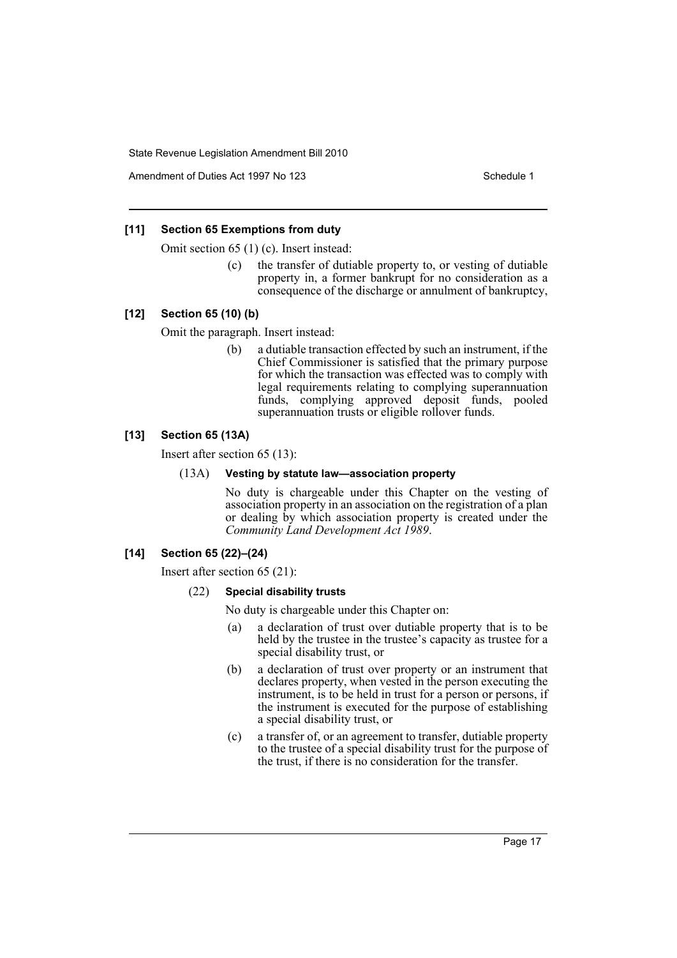Amendment of Duties Act 1997 No 123 Schedule 1

# **[11] Section 65 Exemptions from duty**

Omit section 65 (1) (c). Insert instead:

(c) the transfer of dutiable property to, or vesting of dutiable property in, a former bankrupt for no consideration as a consequence of the discharge or annulment of bankruptcy,

# **[12] Section 65 (10) (b)**

Omit the paragraph. Insert instead:

(b) a dutiable transaction effected by such an instrument, if the Chief Commissioner is satisfied that the primary purpose for which the transaction was effected was to comply with legal requirements relating to complying superannuation funds, complying approved deposit funds, pooled superannuation trusts or eligible rollover funds.

# **[13] Section 65 (13A)**

Insert after section 65 (13):

# (13A) **Vesting by statute law—association property**

No duty is chargeable under this Chapter on the vesting of association property in an association on the registration of a plan or dealing by which association property is created under the *Community Land Development Act 1989*.

# **[14] Section 65 (22)–(24)**

Insert after section 65 (21):

#### (22) **Special disability trusts**

No duty is chargeable under this Chapter on:

- (a) a declaration of trust over dutiable property that is to be held by the trustee in the trustee's capacity as trustee for a special disability trust, or
- (b) a declaration of trust over property or an instrument that declares property, when vested in the person executing the instrument, is to be held in trust for a person or persons, if the instrument is executed for the purpose of establishing a special disability trust, or
- (c) a transfer of, or an agreement to transfer, dutiable property to the trustee of a special disability trust for the purpose of the trust, if there is no consideration for the transfer.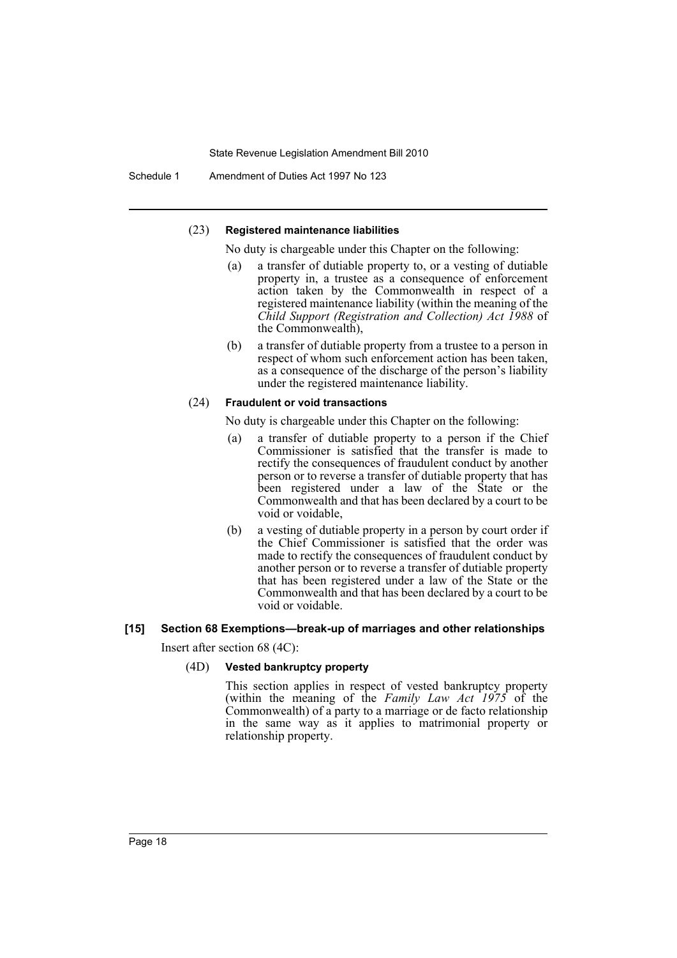Schedule 1 Amendment of Duties Act 1997 No 123

#### (23) **Registered maintenance liabilities**

No duty is chargeable under this Chapter on the following:

- (a) a transfer of dutiable property to, or a vesting of dutiable property in, a trustee as a consequence of enforcement action taken by the Commonwealth in respect of a registered maintenance liability (within the meaning of the *Child Support (Registration and Collection) Act 1988* of the Commonwealth),
- (b) a transfer of dutiable property from a trustee to a person in respect of whom such enforcement action has been taken, as a consequence of the discharge of the person's liability under the registered maintenance liability.

#### (24) **Fraudulent or void transactions**

No duty is chargeable under this Chapter on the following:

- (a) a transfer of dutiable property to a person if the Chief Commissioner is satisfied that the transfer is made to rectify the consequences of fraudulent conduct by another person or to reverse a transfer of dutiable property that has been registered under a law of the State or the Commonwealth and that has been declared by a court to be void or voidable,
- (b) a vesting of dutiable property in a person by court order if the Chief Commissioner is satisfied that the order was made to rectify the consequences of fraudulent conduct by another person or to reverse a transfer of dutiable property that has been registered under a law of the State or the Commonwealth and that has been declared by a court to be void or voidable.

# **[15] Section 68 Exemptions—break-up of marriages and other relationships**

Insert after section 68 (4C):

## (4D) **Vested bankruptcy property**

This section applies in respect of vested bankruptcy property (within the meaning of the *Family Law Act 1975* of the Commonwealth) of a party to a marriage or de facto relationship in the same way as it applies to matrimonial property or relationship property.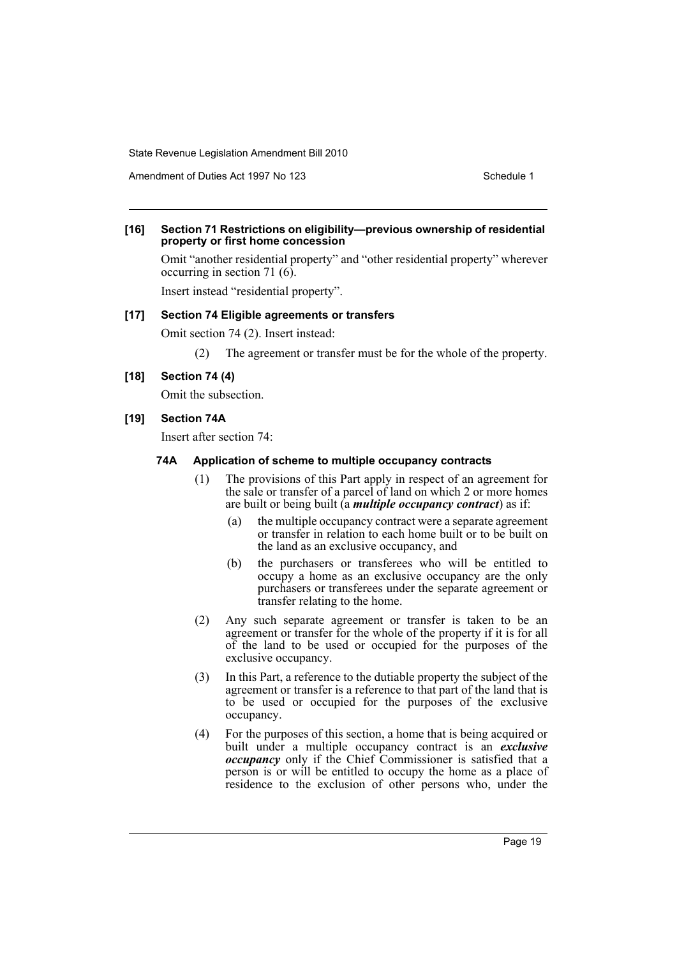Amendment of Duties Act 1997 No 123 Schedule 1

#### **[16] Section 71 Restrictions on eligibility—previous ownership of residential property or first home concession**

Omit "another residential property" and "other residential property" wherever occurring in section 71 (6).

Insert instead "residential property".

# **[17] Section 74 Eligible agreements or transfers**

Omit section 74 (2). Insert instead:

(2) The agreement or transfer must be for the whole of the property.

#### **[18] Section 74 (4)**

Omit the subsection.

# **[19] Section 74A**

Insert after section 74:

#### **74A Application of scheme to multiple occupancy contracts**

- (1) The provisions of this Part apply in respect of an agreement for the sale or transfer of a parcel of land on which 2 or more homes are built or being built (a *multiple occupancy contract*) as if:
	- (a) the multiple occupancy contract were a separate agreement or transfer in relation to each home built or to be built on the land as an exclusive occupancy, and
	- (b) the purchasers or transferees who will be entitled to occupy a home as an exclusive occupancy are the only purchasers or transferees under the separate agreement or transfer relating to the home.
- (2) Any such separate agreement or transfer is taken to be an agreement or transfer for the whole of the property if it is for all of the land to be used or occupied for the purposes of the exclusive occupancy.
- (3) In this Part, a reference to the dutiable property the subject of the agreement or transfer is a reference to that part of the land that is to be used or occupied for the purposes of the exclusive occupancy.
- (4) For the purposes of this section, a home that is being acquired or built under a multiple occupancy contract is an *exclusive occupancy* only if the Chief Commissioner is satisfied that a person is or will be entitled to occupy the home as a place of residence to the exclusion of other persons who, under the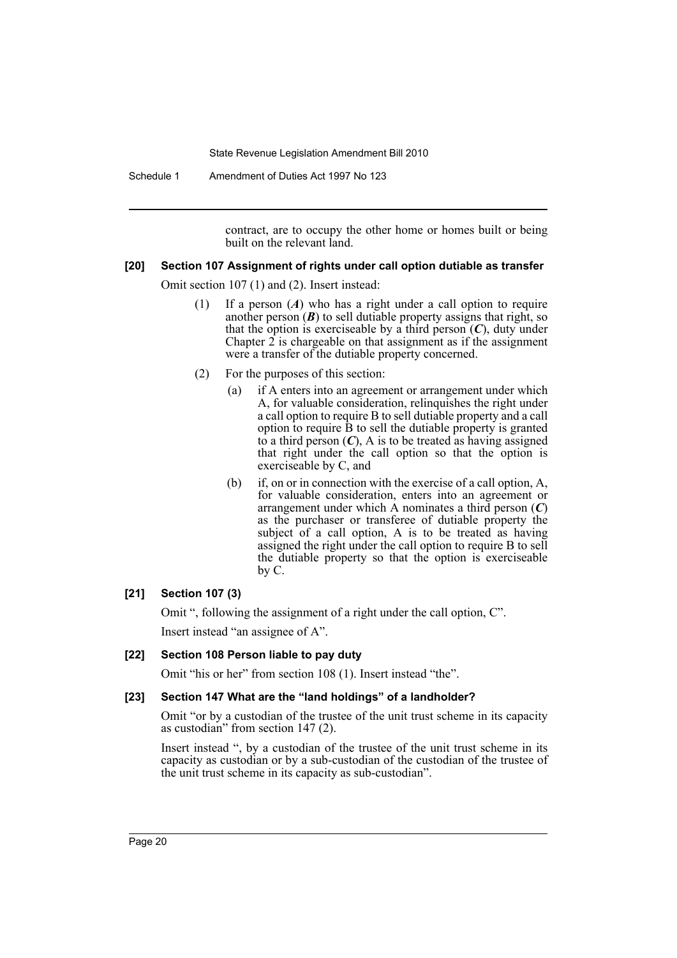Schedule 1 Amendment of Duties Act 1997 No 123

contract, are to occupy the other home or homes built or being built on the relevant land.

# **[20] Section 107 Assignment of rights under call option dutiable as transfer**

Omit section 107 (1) and (2). Insert instead:

- (1) If a person (*A*) who has a right under a call option to require another person  $(B)$  to sell dutiable property assigns that right, so that the option is exerciseable by a third person  $(C)$ , duty under Chapter  $2$  is chargeable on that assignment as if the assignment were a transfer of the dutiable property concerned.
- (2) For the purposes of this section:
	- (a) if A enters into an agreement or arrangement under which A, for valuable consideration, relinquishes the right under a call option to require B to sell dutiable property and a call option to require B to sell the dutiable property is granted to a third person  $(C)$ , A is to be treated as having assigned that right under the call option so that the option is exerciseable by C, and
	- (b) if, on or in connection with the exercise of a call option, A, for valuable consideration, enters into an agreement or arrangement under which A nominates a third person (*C*) as the purchaser or transferee of dutiable property the subject of a call option. A is to be treated as having assigned the right under the call option to require B to sell the dutiable property so that the option is exerciseable by C.

# **[21] Section 107 (3)**

Omit ", following the assignment of a right under the call option, C". Insert instead "an assignee of A".

# **[22] Section 108 Person liable to pay duty**

Omit "his or her" from section 108 (1). Insert instead "the".

# **[23] Section 147 What are the "land holdings" of a landholder?**

Omit "or by a custodian of the trustee of the unit trust scheme in its capacity as custodian" from section 147 (2).

Insert instead ", by a custodian of the trustee of the unit trust scheme in its capacity as custodian or by a sub-custodian of the custodian of the trustee of the unit trust scheme in its capacity as sub-custodian".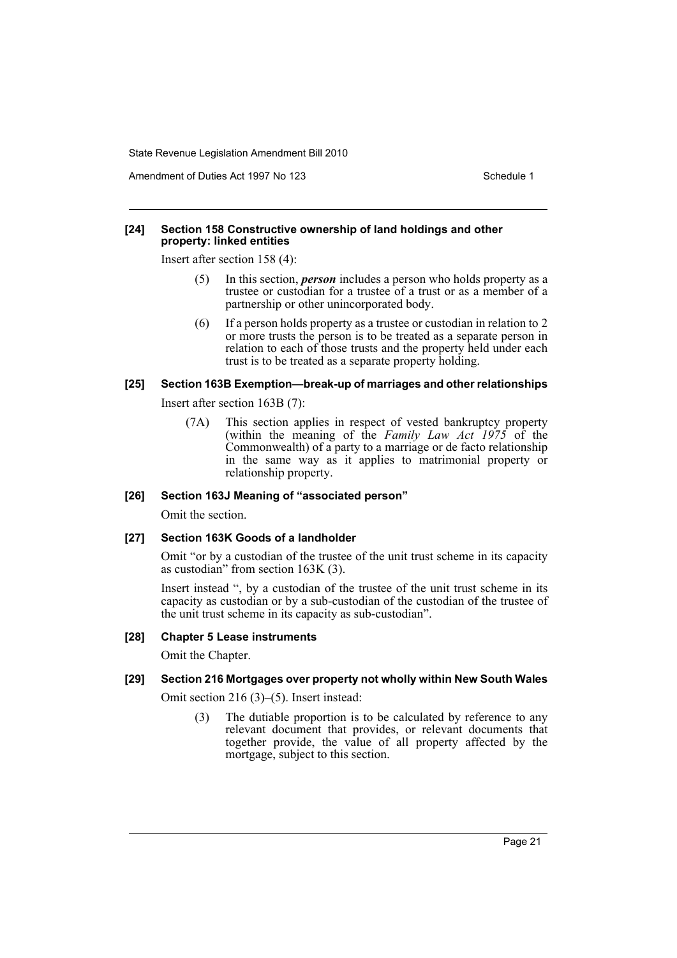Amendment of Duties Act 1997 No 123 Schedule 1

#### **[24] Section 158 Constructive ownership of land holdings and other property: linked entities**

Insert after section 158 (4):

- (5) In this section, *person* includes a person who holds property as a trustee or custodian for a trustee of a trust or as a member of a partnership or other unincorporated body.
- (6) If a person holds property as a trustee or custodian in relation to 2 or more trusts the person is to be treated as a separate person in relation to each of those trusts and the property held under each trust is to be treated as a separate property holding.

# **[25] Section 163B Exemption—break-up of marriages and other relationships**

Insert after section 163B (7):

(7A) This section applies in respect of vested bankruptcy property (within the meaning of the *Family Law Act 1975* of the Commonwealth) of a party to a marriage or de facto relationship in the same way as it applies to matrimonial property or relationship property.

# **[26] Section 163J Meaning of "associated person"**

Omit the section.

#### **[27] Section 163K Goods of a landholder**

Omit "or by a custodian of the trustee of the unit trust scheme in its capacity as custodian" from section 163K (3).

Insert instead ", by a custodian of the trustee of the unit trust scheme in its capacity as custodian or by a sub-custodian of the custodian of the trustee of the unit trust scheme in its capacity as sub-custodian".

### **[28] Chapter 5 Lease instruments**

Omit the Chapter.

# **[29] Section 216 Mortgages over property not wholly within New South Wales**

Omit section 216 (3)–(5). Insert instead:

(3) The dutiable proportion is to be calculated by reference to any relevant document that provides, or relevant documents that together provide, the value of all property affected by the mortgage, subject to this section.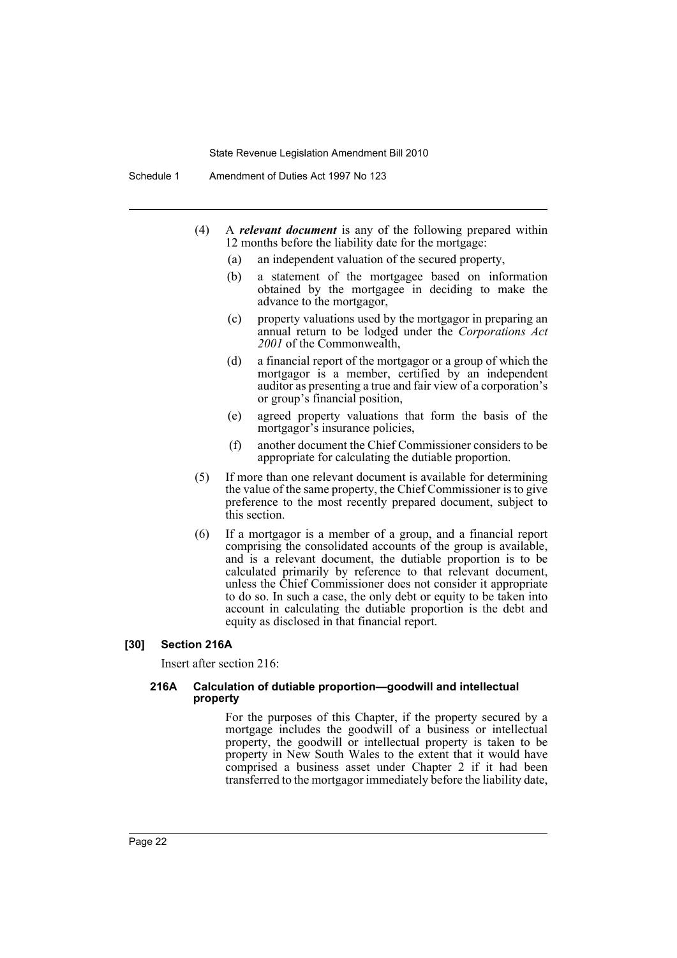- (4) A *relevant document* is any of the following prepared within 12 months before the liability date for the mortgage:
	- (a) an independent valuation of the secured property,
	- (b) a statement of the mortgagee based on information obtained by the mortgagee in deciding to make the advance to the mortgagor,
	- (c) property valuations used by the mortgagor in preparing an annual return to be lodged under the *Corporations Act 2001* of the Commonwealth,
	- (d) a financial report of the mortgagor or a group of which the mortgagor is a member, certified by an independent auditor as presenting a true and fair view of a corporation's or group's financial position,
	- (e) agreed property valuations that form the basis of the mortgagor's insurance policies,
	- (f) another document the Chief Commissioner considers to be appropriate for calculating the dutiable proportion.
- (5) If more than one relevant document is available for determining the value of the same property, the Chief Commissioner is to give preference to the most recently prepared document, subject to this section.
- (6) If a mortgagor is a member of a group, and a financial report comprising the consolidated accounts of the group is available, and is a relevant document, the dutiable proportion is to be calculated primarily by reference to that relevant document, unless the Chief Commissioner does not consider it appropriate to do so. In such a case, the only debt or equity to be taken into account in calculating the dutiable proportion is the debt and equity as disclosed in that financial report.

#### **[30] Section 216A**

Insert after section 216:

#### **216A Calculation of dutiable proportion—goodwill and intellectual property**

For the purposes of this Chapter, if the property secured by a mortgage includes the goodwill of a business or intellectual property, the goodwill or intellectual property is taken to be property in New South Wales to the extent that it would have comprised a business asset under Chapter 2 if it had been transferred to the mortgagor immediately before the liability date,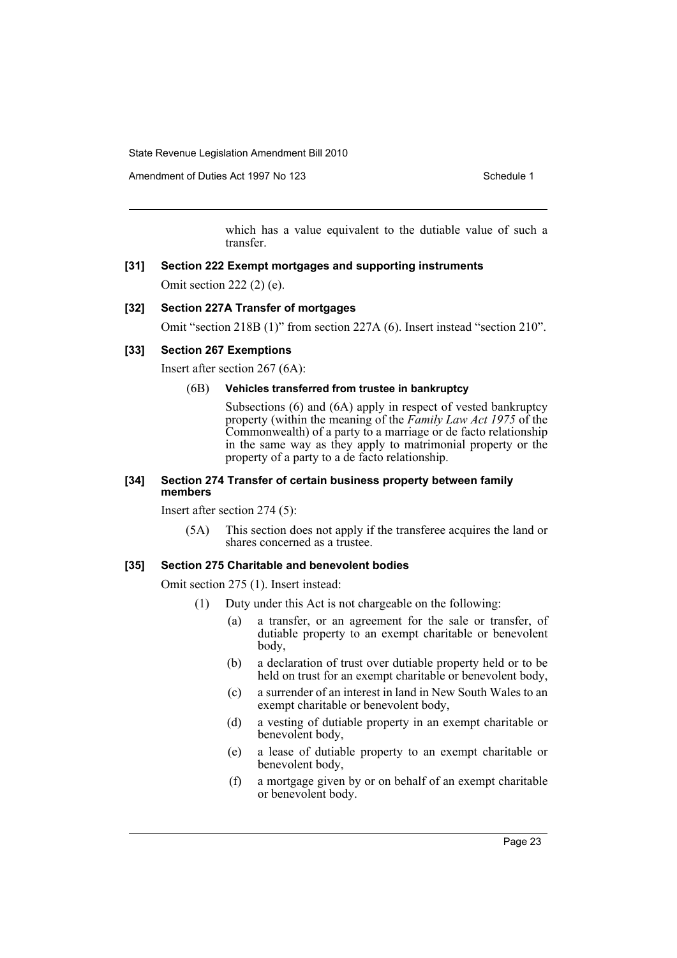Amendment of Duties Act 1997 No 123 Schedule 1

which has a value equivalent to the dutiable value of such a transfer.

# **[31] Section 222 Exempt mortgages and supporting instruments** Omit section 222 (2) (e).

#### **[32] Section 227A Transfer of mortgages**

Omit "section 218B (1)" from section 227A (6). Insert instead "section 210".

# **[33] Section 267 Exemptions**

Insert after section 267 (6A):

#### (6B) **Vehicles transferred from trustee in bankruptcy**

Subsections (6) and (6A) apply in respect of vested bankruptcy property (within the meaning of the *Family Law Act 1975* of the Commonwealth) of a party to a marriage or de facto relationship in the same way as they apply to matrimonial property or the property of a party to a de facto relationship.

#### **[34] Section 274 Transfer of certain business property between family members**

Insert after section 274 (5):

(5A) This section does not apply if the transferee acquires the land or shares concerned as a trustee.

## **[35] Section 275 Charitable and benevolent bodies**

Omit section 275 (1). Insert instead:

- (1) Duty under this Act is not chargeable on the following:
	- (a) a transfer, or an agreement for the sale or transfer, of dutiable property to an exempt charitable or benevolent body,
	- (b) a declaration of trust over dutiable property held or to be held on trust for an exempt charitable or benevolent body,
	- (c) a surrender of an interest in land in New South Wales to an exempt charitable or benevolent body,
	- (d) a vesting of dutiable property in an exempt charitable or benevolent body,
	- (e) a lease of dutiable property to an exempt charitable or benevolent body,
	- (f) a mortgage given by or on behalf of an exempt charitable or benevolent body.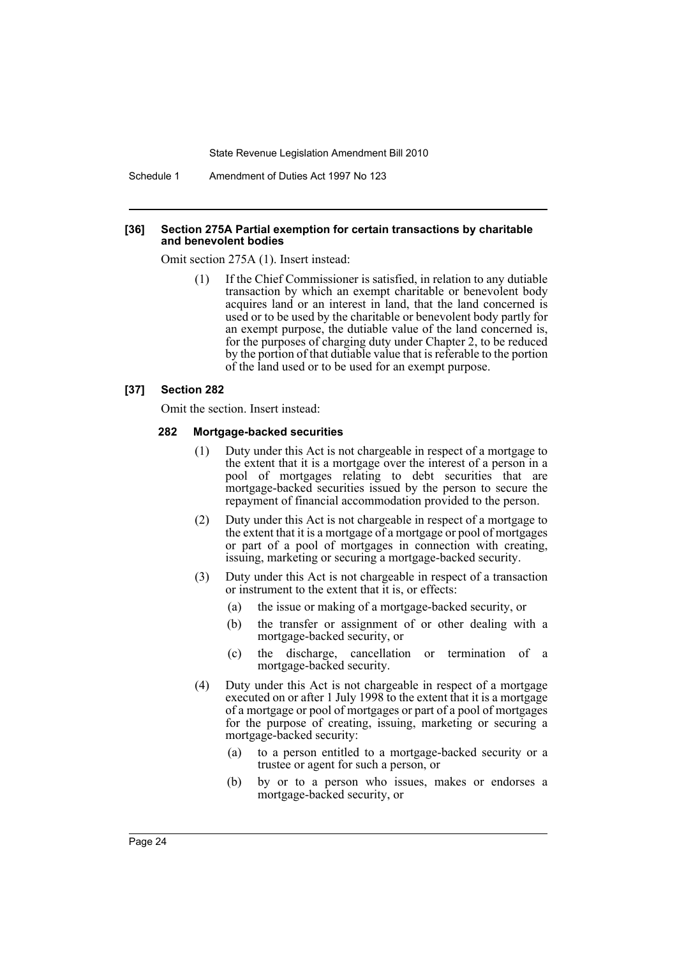Schedule 1 Amendment of Duties Act 1997 No 123

#### **[36] Section 275A Partial exemption for certain transactions by charitable and benevolent bodies**

Omit section 275A (1). Insert instead:

(1) If the Chief Commissioner is satisfied, in relation to any dutiable transaction by which an exempt charitable or benevolent body acquires land or an interest in land, that the land concerned is used or to be used by the charitable or benevolent body partly for an exempt purpose, the dutiable value of the land concerned is, for the purposes of charging duty under Chapter 2, to be reduced by the portion of that dutiable value that is referable to the portion of the land used or to be used for an exempt purpose.

#### **[37] Section 282**

Omit the section. Insert instead:

#### **282 Mortgage-backed securities**

- (1) Duty under this Act is not chargeable in respect of a mortgage to the extent that it is a mortgage over the interest of a person in a pool of mortgages relating to debt securities that are mortgage-backed securities issued by the person to secure the repayment of financial accommodation provided to the person.
- (2) Duty under this Act is not chargeable in respect of a mortgage to the extent that it is a mortgage of a mortgage or pool of mortgages or part of a pool of mortgages in connection with creating, issuing, marketing or securing a mortgage-backed security.
- (3) Duty under this Act is not chargeable in respect of a transaction or instrument to the extent that it is, or effects:
	- (a) the issue or making of a mortgage-backed security, or
	- (b) the transfer or assignment of or other dealing with a mortgage-backed security, or
	- (c) the discharge, cancellation or termination of a mortgage-backed security.
- (4) Duty under this Act is not chargeable in respect of a mortgage executed on or after 1 July 1998 to the extent that it is a mortgage of a mortgage or pool of mortgages or part of a pool of mortgages for the purpose of creating, issuing, marketing or securing a mortgage-backed security:
	- (a) to a person entitled to a mortgage-backed security or a trustee or agent for such a person, or
	- (b) by or to a person who issues, makes or endorses a mortgage-backed security, or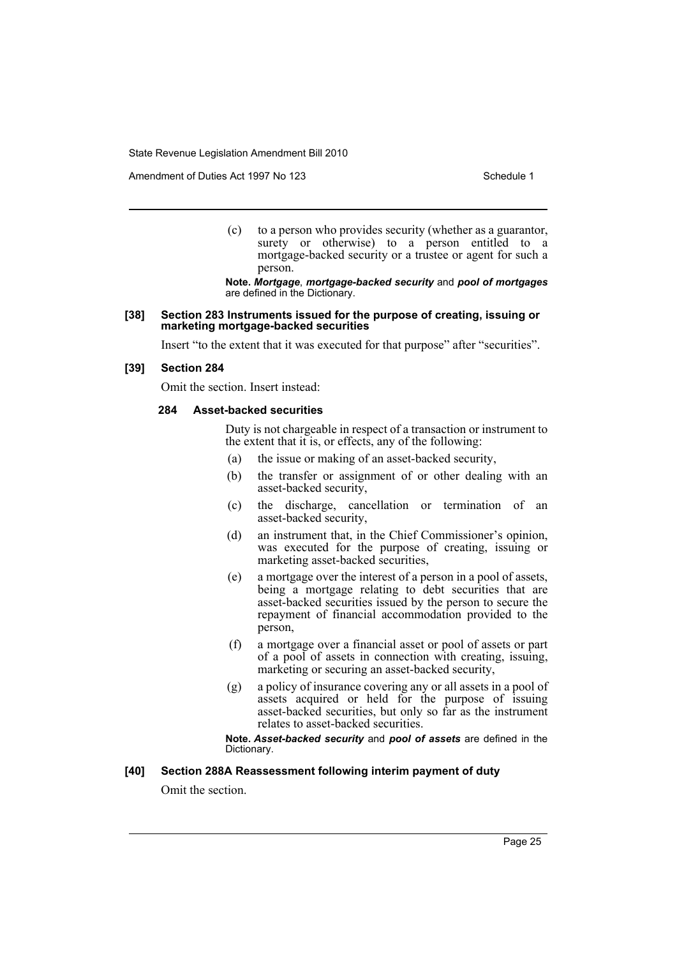Amendment of Duties Act 1997 No 123 Schedule 1

(c) to a person who provides security (whether as a guarantor, surety or otherwise) to a person entitled to a mortgage-backed security or a trustee or agent for such a person.

**Note.** *Mortgage*, *mortgage-backed security* and *pool of mortgages* are defined in the Dictionary.

#### **[38] Section 283 Instruments issued for the purpose of creating, issuing or marketing mortgage-backed securities**

Insert "to the extent that it was executed for that purpose" after "securities".

#### **[39] Section 284**

Omit the section. Insert instead:

#### **284 Asset-backed securities**

Duty is not chargeable in respect of a transaction or instrument to the extent that it is, or effects, any of the following:

- (a) the issue or making of an asset-backed security,
- (b) the transfer or assignment of or other dealing with an asset-backed security,
- (c) the discharge, cancellation or termination of an asset-backed security,
- (d) an instrument that, in the Chief Commissioner's opinion, was executed for the purpose of creating, issuing or marketing asset-backed securities,
- (e) a mortgage over the interest of a person in a pool of assets, being a mortgage relating to debt securities that are asset-backed securities issued by the person to secure the repayment of financial accommodation provided to the person,
- (f) a mortgage over a financial asset or pool of assets or part of a pool of assets in connection with creating, issuing, marketing or securing an asset-backed security,
- (g) a policy of insurance covering any or all assets in a pool of assets acquired or held for the purpose of issuing asset-backed securities, but only so far as the instrument relates to asset-backed securities.

**Note.** *Asset-backed security* and *pool of assets* are defined in the Dictionary.

#### **[40] Section 288A Reassessment following interim payment of duty**

Omit the section.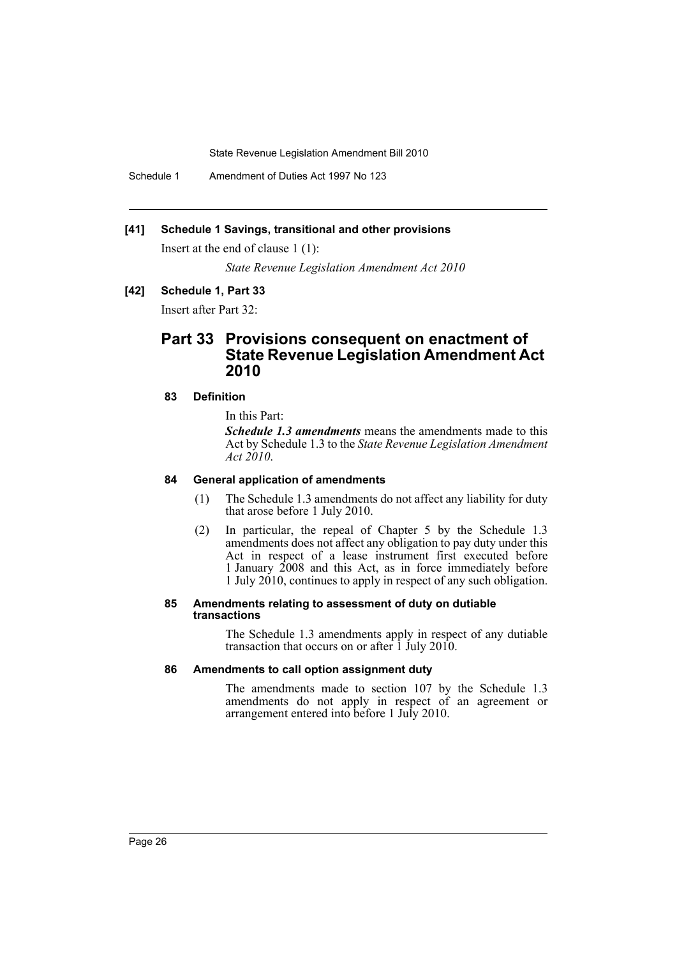Schedule 1 Amendment of Duties Act 1997 No 123

#### **[41] Schedule 1 Savings, transitional and other provisions**

Insert at the end of clause 1 (1):

*State Revenue Legislation Amendment Act 2010*

#### **[42] Schedule 1, Part 33**

Insert after Part 32:

# **Part 33 Provisions consequent on enactment of State Revenue Legislation Amendment Act 2010**

# **83 Definition**

In this Part:

*Schedule 1.3 amendments* means the amendments made to this Act by Schedule 1.3 to the *State Revenue Legislation Amendment Act 2010*.

# **84 General application of amendments**

- (1) The Schedule 1.3 amendments do not affect any liability for duty that arose before 1 July 2010.
- (2) In particular, the repeal of Chapter 5 by the Schedule 1.3 amendments does not affect any obligation to pay duty under this Act in respect of a lease instrument first executed before 1 January 2008 and this Act, as in force immediately before 1 July 2010, continues to apply in respect of any such obligation.

#### **85 Amendments relating to assessment of duty on dutiable transactions**

The Schedule 1.3 amendments apply in respect of any dutiable transaction that occurs on or after  $\overline{1}$  July 2010.

#### **86 Amendments to call option assignment duty**

The amendments made to section 107 by the Schedule 1.3 amendments do not apply in respect of an agreement or arrangement entered into before 1 July 2010.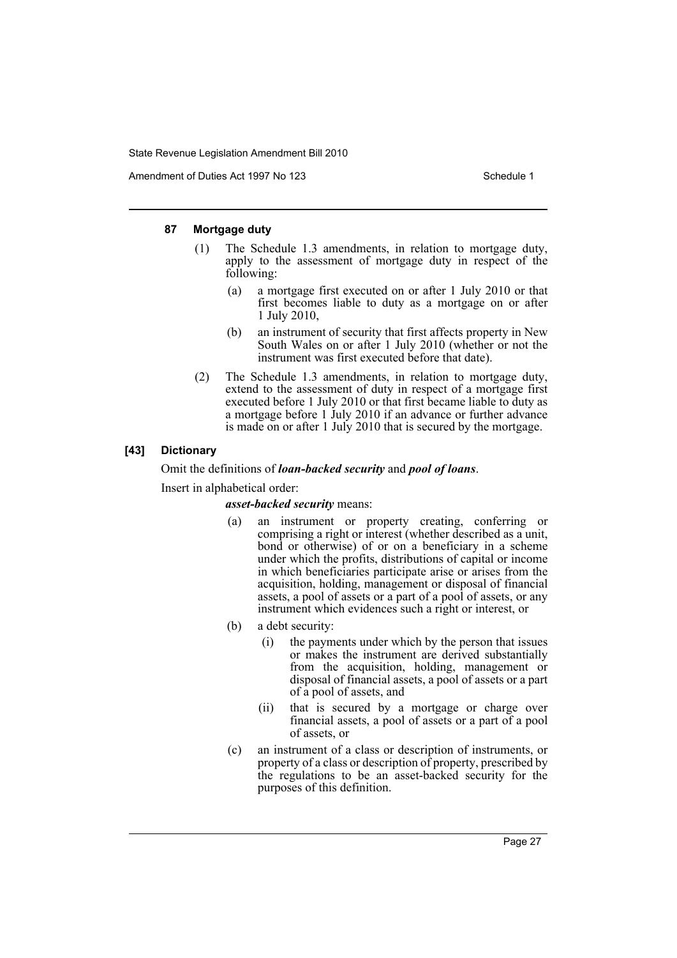Amendment of Duties Act 1997 No 123 Schedule 1

# **87 Mortgage duty**

- (1) The Schedule 1.3 amendments, in relation to mortgage duty, apply to the assessment of mortgage duty in respect of the following:
	- (a) a mortgage first executed on or after 1 July 2010 or that first becomes liable to duty as a mortgage on or after 1 July 2010,
	- (b) an instrument of security that first affects property in New South Wales on or after 1 July 2010 (whether or not the instrument was first executed before that date).
- (2) The Schedule 1.3 amendments, in relation to mortgage duty, extend to the assessment of duty in respect of a mortgage first executed before 1 July 2010 or that first became liable to duty as a mortgage before 1 July 2010 if an advance or further advance is made on or after 1 July 2010 that is secured by the mortgage.

# **[43] Dictionary**

Omit the definitions of *loan-backed security* and *pool of loans*.

Insert in alphabetical order:

#### *asset-backed security* means:

- (a) an instrument or property creating, conferring or comprising a right or interest (whether described as a unit, bond or otherwise) of or on a beneficiary in a scheme under which the profits, distributions of capital or income in which beneficiaries participate arise or arises from the acquisition, holding, management or disposal of financial assets, a pool of assets or a part of a pool of assets, or any instrument which evidences such a right or interest, or
- (b) a debt security:
	- (i) the payments under which by the person that issues or makes the instrument are derived substantially from the acquisition, holding, management or disposal of financial assets, a pool of assets or a part of a pool of assets, and
	- (ii) that is secured by a mortgage or charge over financial assets, a pool of assets or a part of a pool of assets, or
- (c) an instrument of a class or description of instruments, or property of a class or description of property, prescribed by the regulations to be an asset-backed security for the purposes of this definition.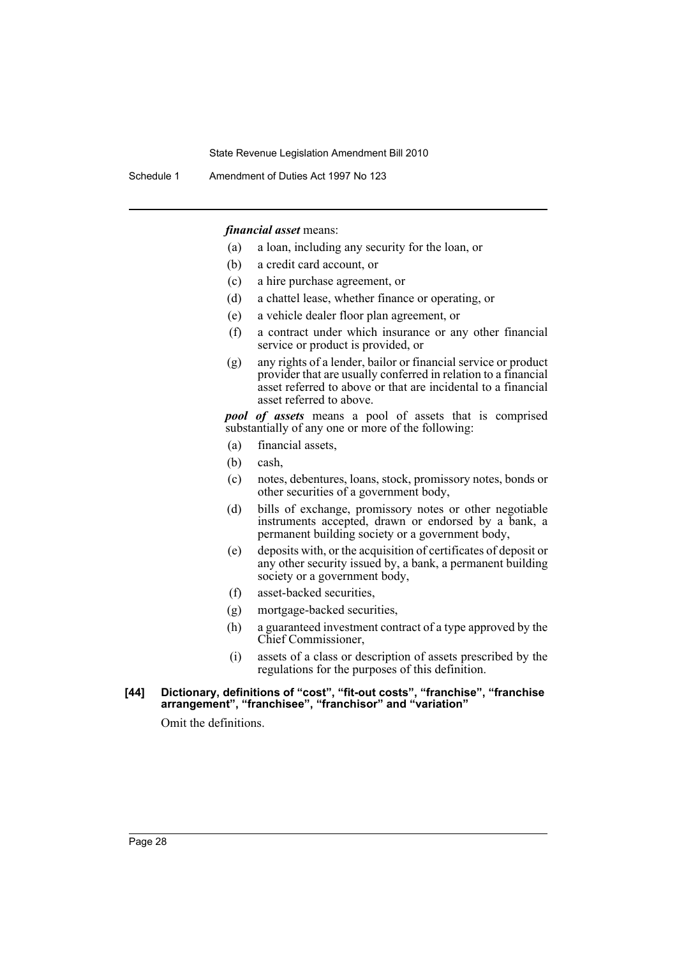Schedule 1 Amendment of Duties Act 1997 No 123

*financial asset* means:

- (a) a loan, including any security for the loan, or
- (b) a credit card account, or
- (c) a hire purchase agreement, or
- (d) a chattel lease, whether finance or operating, or
- (e) a vehicle dealer floor plan agreement, or
- (f) a contract under which insurance or any other financial service or product is provided, or
- (g) any rights of a lender, bailor or financial service or product provider that are usually conferred in relation to a financial asset referred to above or that are incidental to a financial asset referred to above.

*pool of assets* means a pool of assets that is comprised substantially of any one or more of the following:

- (a) financial assets,
- (b) cash,
- (c) notes, debentures, loans, stock, promissory notes, bonds or other securities of a government body,
- (d) bills of exchange, promissory notes or other negotiable instruments accepted, drawn or endorsed by a bank, a permanent building society or a government body,
- (e) deposits with, or the acquisition of certificates of deposit or any other security issued by, a bank, a permanent building society or a government body,
- (f) asset-backed securities,
- (g) mortgage-backed securities,
- (h) a guaranteed investment contract of a type approved by the Chief Commissioner,
- (i) assets of a class or description of assets prescribed by the regulations for the purposes of this definition.
- **[44] Dictionary, definitions of "cost", "fit-out costs", "franchise", "franchise arrangement", "franchisee", "franchisor" and "variation"**

Omit the definitions.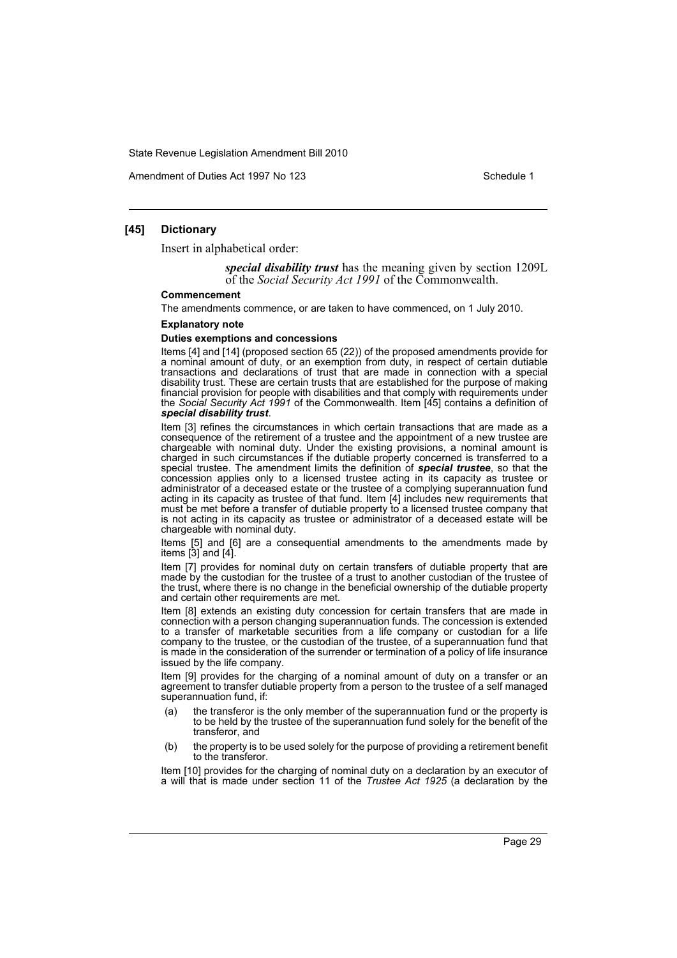Amendment of Duties Act 1997 No 123 Schedule 1

#### **[45] Dictionary**

Insert in alphabetical order:

*special disability trust* has the meaning given by section 1209L of the *Social Security Act 1991* of the Commonwealth.

#### **Commencement**

The amendments commence, or are taken to have commenced, on 1 July 2010.

#### **Explanatory note**

#### **Duties exemptions and concessions**

Items [4] and [14] (proposed section 65 (22)) of the proposed amendments provide for a nominal amount of duty, or an exemption from duty, in respect of certain dutiable transactions and declarations of trust that are made in connection with a special disability trust. These are certain trusts that are established for the purpose of making financial provision for people with disabilities and that comply with requirements under the *Social Security Act 1991* of the Commonwealth. Item [45] contains a definition of *special disability trust*.

Item [3] refines the circumstances in which certain transactions that are made as a consequence of the retirement of a trustee and the appointment of a new trustee are chargeable with nominal duty. Under the existing provisions, a nominal amount is charged in such circumstances if the dutiable property concerned is transferred to a special trustee. The amendment limits the definition of *special trustee*, so that the concession applies only to a licensed trustee acting in its capacity as trustee or administrator of a deceased estate or the trustee of a complying superannuation fund acting in its capacity as trustee of that fund. Item [4] includes new requirements that must be met before a transfer of dutiable property to a licensed trustee company that is not acting in its capacity as trustee or administrator of a deceased estate will be chargeable with nominal duty.

Items [5] and [6] are a consequential amendments to the amendments made by items [3] and [4].

Item [7] provides for nominal duty on certain transfers of dutiable property that are made by the custodian for the trustee of a trust to another custodian of the trustee of the trust, where there is no change in the beneficial ownership of the dutiable property and certain other requirements are met.

Item [8] extends an existing duty concession for certain transfers that are made in connection with a person changing superannuation funds. The concession is extended to a transfer of marketable securities from a life company or custodian for a life company to the trustee, or the custodian of the trustee, of a superannuation fund that is made in the consideration of the surrender or termination of a policy of life insurance issued by the life company.

Item [9] provides for the charging of a nominal amount of duty on a transfer or an agreement to transfer dutiable property from a person to the trustee of a self managed superannuation fund, if:

- (a) the transferor is the only member of the superannuation fund or the property is to be held by the trustee of the superannuation fund solely for the benefit of the transferor, and
- (b) the property is to be used solely for the purpose of providing a retirement benefit to the transferor.

Item [10] provides for the charging of nominal duty on a declaration by an executor of a will that is made under section 11 of the *Trustee Act 1925* (a declaration by the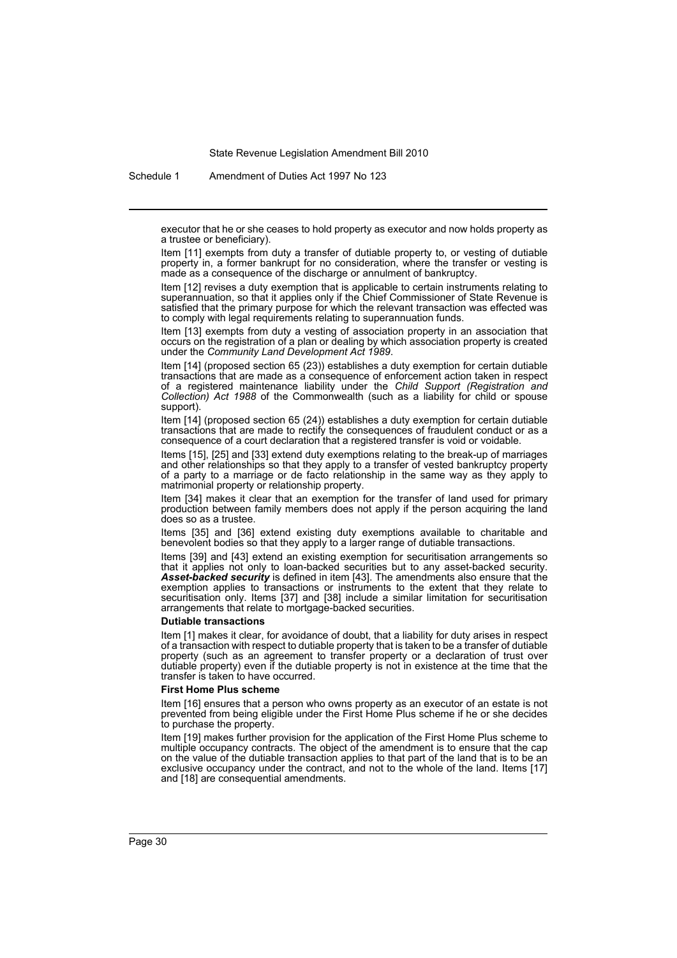Schedule 1 Amendment of Duties Act 1997 No 123

executor that he or she ceases to hold property as executor and now holds property as a trustee or beneficiary).

Item [11] exempts from duty a transfer of dutiable property to, or vesting of dutiable property in, a former bankrupt for no consideration, where the transfer or vesting is made as a consequence of the discharge or annulment of bankruptcy.

Item [12] revises a duty exemption that is applicable to certain instruments relating to superannuation, so that it applies only if the Chief Commissioner of State Revenue is satisfied that the primary purpose for which the relevant transaction was effected was to comply with legal requirements relating to superannuation funds.

Item [13] exempts from duty a vesting of association property in an association that occurs on the registration of a plan or dealing by which association property is created under the *Community Land Development Act 1989*.

Item [14] (proposed section 65 (23)) establishes a duty exemption for certain dutiable transactions that are made as a consequence of enforcement action taken in respect of a registered maintenance liability under the *Child Support (Registration and Collection) Act 1988* of the Commonwealth (such as a liability for child or spouse support).

Item [14] (proposed section 65 (24)) establishes a duty exemption for certain dutiable transactions that are made to rectify the consequences of fraudulent conduct or as a consequence of a court declaration that a registered transfer is void or voidable.

Items [15], [25] and [33] extend duty exemptions relating to the break-up of marriages and other relationships so that they apply to a transfer of vested bankruptcy property of a party to a marriage or de facto relationship in the same way as they apply to matrimonial property or relationship property.

Item [34] makes it clear that an exemption for the transfer of land used for primary production between family members does not apply if the person acquiring the land does so as a trustee.

Items [35] and [36] extend existing duty exemptions available to charitable and benevolent bodies so that they apply to a larger range of dutiable transactions.

Items [39] and [43] extend an existing exemption for securitisation arrangements so that it applies not only to loan-backed securities but to any asset-backed security. *Asset-backed security* is defined in item [43]. The amendments also ensure that the exemption applies to transactions or instruments to the extent that they relate to securitisation only. Items [37] and [38] include a similar limitation for securitisation arrangements that relate to mortgage-backed securities.

#### **Dutiable transactions**

Item [1] makes it clear, for avoidance of doubt, that a liability for duty arises in respect of a transaction with respect to dutiable property that is taken to be a transfer of dutiable property (such as an agreement to transfer property or a declaration of trust over dutiable property) even if the dutiable property is not in existence at the time that the transfer is taken to have occurred.

#### **First Home Plus scheme**

Item [16] ensures that a person who owns property as an executor of an estate is not prevented from being eligible under the First Home Plus scheme if he or she decides to purchase the property.

Item [19] makes further provision for the application of the First Home Plus scheme to multiple occupancy contracts. The object of the amendment is to ensure that the cap on the value of the dutiable transaction applies to that part of the land that is to be an exclusive occupancy under the contract, and not to the whole of the land. Items [17] and [18] are consequential amendments.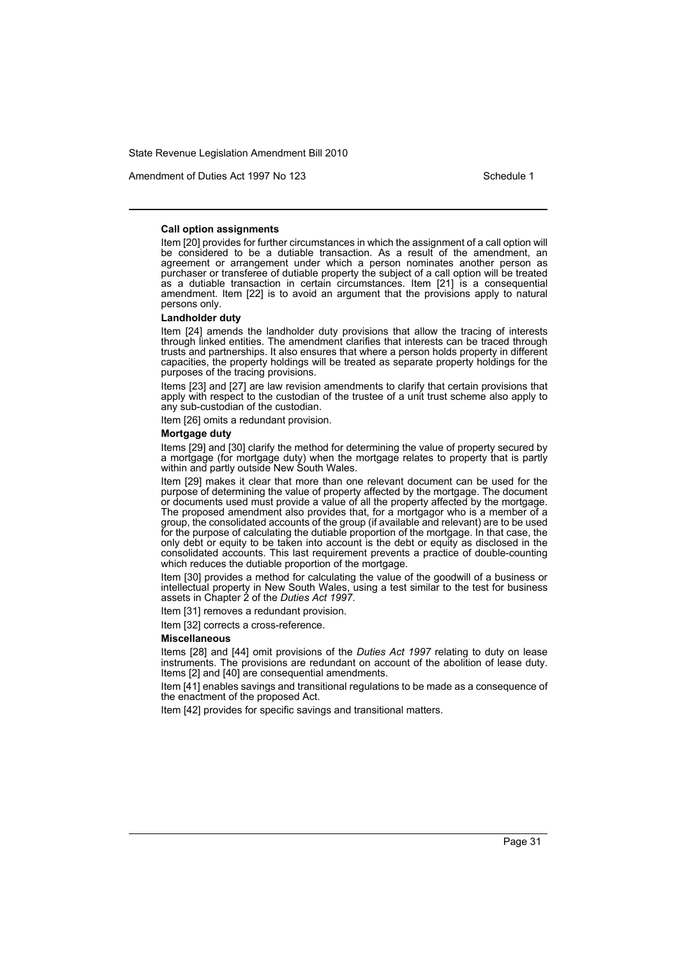Amendment of Duties Act 1997 No 123 Schedule 1

#### **Call option assignments**

Item [20] provides for further circumstances in which the assignment of a call option will be considered to be a dutiable transaction. As a result of the amendment, an agreement or arrangement under which a person nominates another person as purchaser or transferee of dutiable property the subject of a call option will be treated as a dutiable transaction in certain circumstances. Item [21] is a consequential amendment. Item [22] is to avoid an argument that the provisions apply to natural persons only.

#### **Landholder duty**

Item [24] amends the landholder duty provisions that allow the tracing of interests through linked entities. The amendment clarifies that interests can be traced through trusts and partnerships. It also ensures that where a person holds property in different capacities, the property holdings will be treated as separate property holdings for the purposes of the tracing provisions.

Items [23] and [27] are law revision amendments to clarify that certain provisions that apply with respect to the custodian of the trustee of a unit trust scheme also apply to any sub-custodian of the custodian.

Item [26] omits a redundant provision.

#### **Mortgage duty**

Items [29] and [30] clarify the method for determining the value of property secured by a mortgage (for mortgage duty) when the mortgage relates to property that is partly within and partly outside New South Wales.

Item [29] makes it clear that more than one relevant document can be used for the purpose of determining the value of property affected by the mortgage. The document or documents used must provide a value of all the property affected by the mortgage. The proposed amendment also provides that, for a mortgagor who is a member of a group, the consolidated accounts of the group (if available and relevant) are to be used for the purpose of calculating the dutiable proportion of the mortgage. In that case, the only debt or equity to be taken into account is the debt or equity as disclosed in the consolidated accounts. This last requirement prevents a practice of double-counting which reduces the dutiable proportion of the mortgage.

Item [30] provides a method for calculating the value of the goodwill of a business or intellectual property in New South Wales, using a test similar to the test for business assets in Chapter 2 of the *Duties Act 1997*.

Item [31] removes a redundant provision.

Item [32] corrects a cross-reference.

#### **Miscellaneous**

Items [28] and [44] omit provisions of the *Duties Act 1997* relating to duty on lease instruments. The provisions are redundant on account of the abolition of lease duty. Items [2] and [40] are consequential amendments.

Item [41] enables savings and transitional regulations to be made as a consequence of the enactment of the proposed Act.

Item [42] provides for specific savings and transitional matters.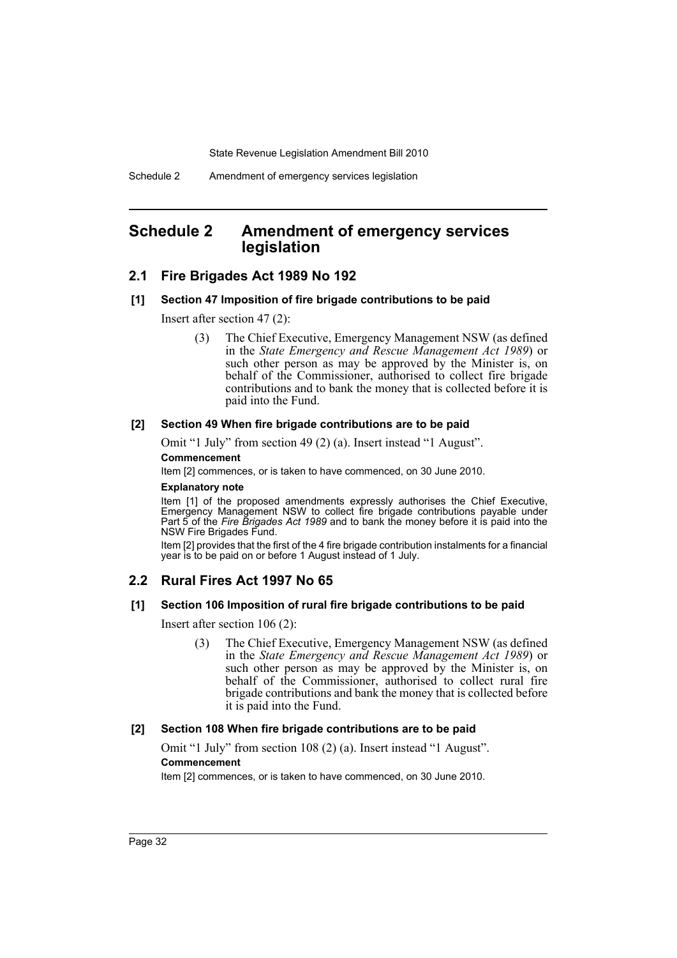# <span id="page-32-0"></span>**Schedule 2 Amendment of emergency services legislation**

# **2.1 Fire Brigades Act 1989 No 192**

#### **[1] Section 47 Imposition of fire brigade contributions to be paid**

Insert after section 47 (2):

(3) The Chief Executive, Emergency Management NSW (as defined in the *State Emergency and Rescue Management Act 1989*) or such other person as may be approved by the Minister is, on behalf of the Commissioner, authorised to collect fire brigade contributions and to bank the money that is collected before it is paid into the Fund.

#### **[2] Section 49 When fire brigade contributions are to be paid**

Omit "1 July" from section 49 (2) (a). Insert instead "1 August".

#### **Commencement**

Item [2] commences, or is taken to have commenced, on 30 June 2010.

#### **Explanatory note**

Item [1] of the proposed amendments expressly authorises the Chief Executive, Emergency Management NSW to collect fire brigade contributions payable under Part 5 of the *Fire Brigades Act 1989* and to bank the money before it is paid into the NSW Fire Brigades Fund.

Item [2] provides that the first of the 4 fire brigade contribution instalments for a financial year is to be paid on or before 1 August instead of 1 July.

# **2.2 Rural Fires Act 1997 No 65**

#### **[1] Section 106 Imposition of rural fire brigade contributions to be paid**

Insert after section 106 (2):

(3) The Chief Executive, Emergency Management NSW (as defined in the *State Emergency and Rescue Management Act 1989*) or such other person as may be approved by the Minister is, on behalf of the Commissioner, authorised to collect rural fire brigade contributions and bank the money that is collected before it is paid into the Fund.

#### **[2] Section 108 When fire brigade contributions are to be paid**

Omit "1 July" from section 108 (2) (a). Insert instead "1 August". **Commencement**

Item [2] commences, or is taken to have commenced, on 30 June 2010.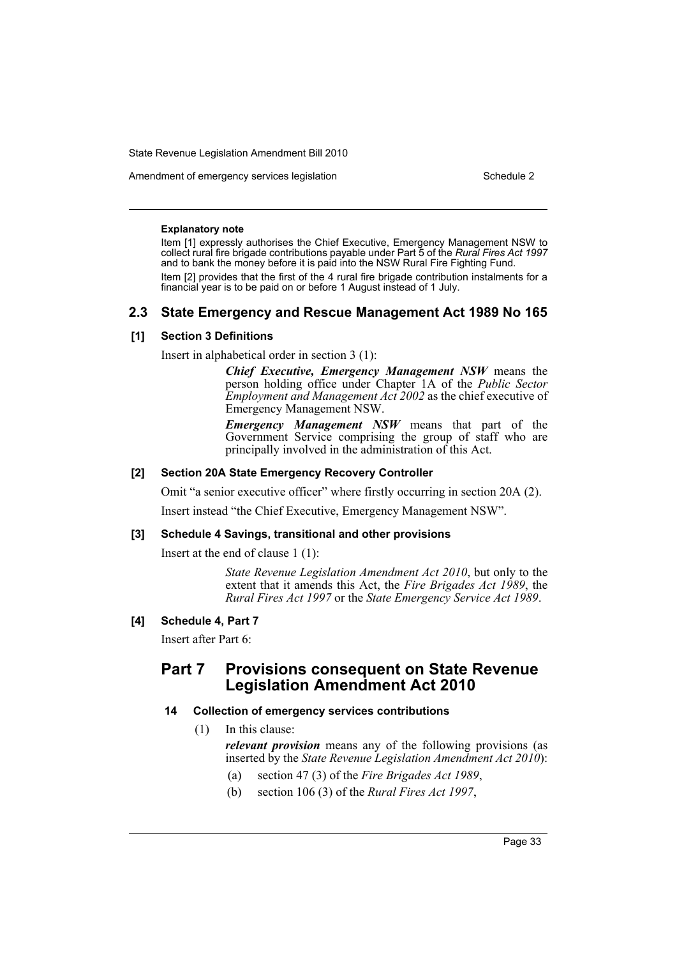Amendment of emergency services legislation Schedule 2 and Schedule 2

#### **Explanatory note**

Item [1] expressly authorises the Chief Executive, Emergency Management NSW to collect rural fire brigade contributions payable under Part 5 of the *Rural Fires Act 1997* and to bank the money before it is paid into the NSW Rural Fire Fighting Fund. Item [2] provides that the first of the 4 rural fire brigade contribution instalments for a financial year is to be paid on or before 1 August instead of 1 July.

# **2.3 State Emergency and Rescue Management Act 1989 No 165**

# **[1] Section 3 Definitions**

Insert in alphabetical order in section 3 (1):

*Chief Executive, Emergency Management NSW* means the person holding office under Chapter 1A of the *Public Sector Employment and Management Act 2002* as the chief executive of Emergency Management NSW.

*Emergency Management NSW* means that part of the Government Service comprising the group of staff who are principally involved in the administration of this Act.

#### **[2] Section 20A State Emergency Recovery Controller**

Omit "a senior executive officer" where firstly occurring in section 20A (2).

Insert instead "the Chief Executive, Emergency Management NSW".

#### **[3] Schedule 4 Savings, transitional and other provisions**

Insert at the end of clause 1 (1):

*State Revenue Legislation Amendment Act 2010*, but only to the extent that it amends this Act, the *Fire Brigades Act 1989*, the *Rural Fires Act 1997* or the *State Emergency Service Act 1989*.

# **[4] Schedule 4, Part 7**

Insert after Part 6:

# **Part 7 Provisions consequent on State Revenue Legislation Amendment Act 2010**

#### **14 Collection of emergency services contributions**

(1) In this clause:

*relevant provision* means any of the following provisions (as inserted by the *State Revenue Legislation Amendment Act 2010*):

- (a) section 47 (3) of the *Fire Brigades Act 1989*,
- (b) section 106 (3) of the *Rural Fires Act 1997*,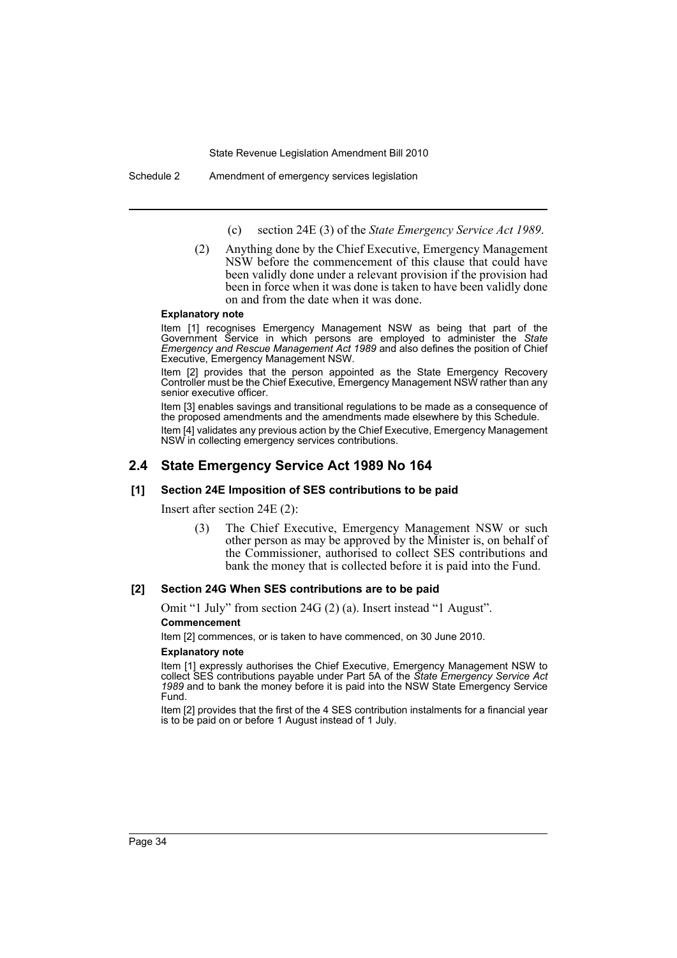(c) section 24E (3) of the *State Emergency Service Act 1989*.

(2) Anything done by the Chief Executive, Emergency Management NSW before the commencement of this clause that could have been validly done under a relevant provision if the provision had been in force when it was done is taken to have been validly done on and from the date when it was done.

#### **Explanatory note**

Item [1] recognises Emergency Management NSW as being that part of the Government Service in which persons are employed to administer the *State Emergency and Rescue Management Act 1989* and also defines the position of Chief Executive, Emergency Management NSW.

Item [2] provides that the person appointed as the State Emergency Recovery Controller must be the Chief Executive, Emergency Management NSW rather than any senior executive officer.

Item [3] enables savings and transitional regulations to be made as a consequence of the proposed amendments and the amendments made elsewhere by this Schedule.

Item [4] validates any previous action by the Chief Executive, Emergency Management NSW in collecting emergency services contributions.

# **2.4 State Emergency Service Act 1989 No 164**

#### **[1] Section 24E Imposition of SES contributions to be paid**

Insert after section 24E (2):

(3) The Chief Executive, Emergency Management NSW or such other person as may be approved by the Minister is, on behalf of the Commissioner, authorised to collect SES contributions and bank the money that is collected before it is paid into the Fund.

#### **[2] Section 24G When SES contributions are to be paid**

Omit "1 July" from section 24G (2) (a). Insert instead "1 August".

#### **Commencement**

Item [2] commences, or is taken to have commenced, on 30 June 2010.

#### **Explanatory note**

Item [1] expressly authorises the Chief Executive, Emergency Management NSW to collect SES contributions payable under Part 5A of the *State Emergency Service Act 1989* and to bank the money before it is paid into the NSW State Emergency Service Fund.

Item [2] provides that the first of the 4 SES contribution instalments for a financial year is to be paid on or before 1 August instead of 1 July.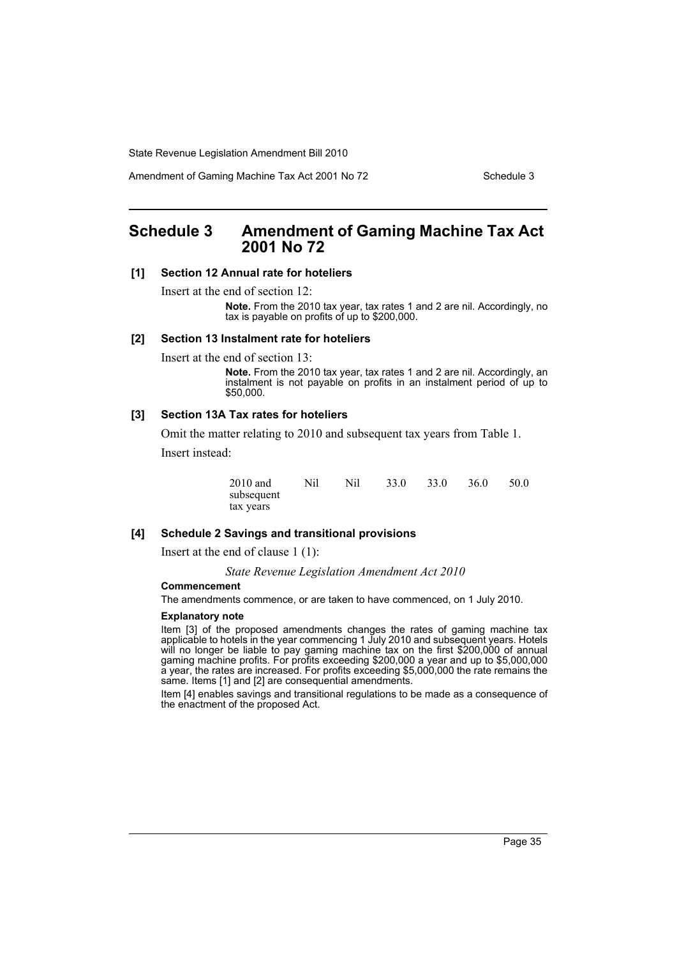Amendment of Gaming Machine Tax Act 2001 No 72 Schedule 3

# <span id="page-35-0"></span>**Schedule 3 Amendment of Gaming Machine Tax Act 2001 No 72**

#### **[1] Section 12 Annual rate for hoteliers**

Insert at the end of section 12:

**Note.** From the 2010 tax year, tax rates 1 and 2 are nil. Accordingly, no tax is payable on profits of up to \$200,000.

#### **[2] Section 13 Instalment rate for hoteliers**

Insert at the end of section 13:

**Note.** From the 2010 tax year, tax rates 1 and 2 are nil. Accordingly, an instalment is not payable on profits in an instalment period of up to \$50,000.

#### **[3] Section 13A Tax rates for hoteliers**

Omit the matter relating to 2010 and subsequent tax years from Table 1.

Insert instead:

| 2010 and   | Nil | Nil | 33.0 | 33.0 | 36.0 | 50.0 |
|------------|-----|-----|------|------|------|------|
| subsequent |     |     |      |      |      |      |
| tax years  |     |     |      |      |      |      |

#### **[4] Schedule 2 Savings and transitional provisions**

Insert at the end of clause 1 (1):

*State Revenue Legislation Amendment Act 2010*

# **Commencement**

The amendments commence, or are taken to have commenced, on 1 July 2010.

#### **Explanatory note**

Item [3] of the proposed amendments changes the rates of gaming machine tax applicable to hotels in the year commencing 1 July 2010 and subsequent years. Hotels will no longer be liable to pay gaming machine tax on the first \$200,000 of annual gaming machine profits. For profits exceeding \$200,000 a year and up to \$5,000,000 a year, the rates are increased. For profits exceeding \$5,000,000 the rate remains the same. Items [1] and [2] are consequential amendments.

Item [4] enables savings and transitional regulations to be made as a consequence of the enactment of the proposed Act.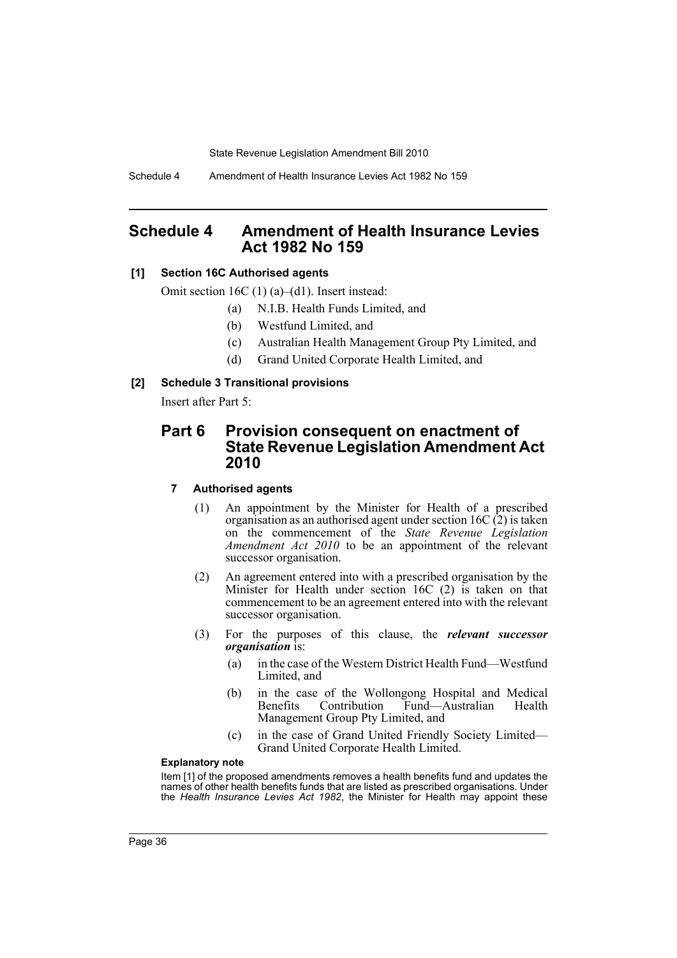Schedule 4 Amendment of Health Insurance Levies Act 1982 No 159

# **Schedule 4 Amendment of Health Insurance Levies Act 1982 No 159**

# **[1] Section 16C Authorised agents**

Omit section 16C (1) (a)–(d1). Insert instead:

- (a) N.I.B. Health Funds Limited, and
- (b) Westfund Limited, and
- (c) Australian Health Management Group Pty Limited, and
- (d) Grand United Corporate Health Limited, and

# **[2] Schedule 3 Transitional provisions**

Insert after Part 5:

# **Part 6 Provision consequent on enactment of State Revenue Legislation Amendment Act 2010**

### **7 Authorised agents**

- (1) An appointment by the Minister for Health of a prescribed organisation as an authorised agent under section 16C (2) is taken on the commencement of the *State Revenue Legislation Amendment Act 2010* to be an appointment of the relevant successor organisation.
- (2) An agreement entered into with a prescribed organisation by the Minister for Health under section 16C (2) is taken on that commencement to be an agreement entered into with the relevant successor organisation.
- (3) For the purposes of this clause, the *relevant successor organisation* is:
	- (a) in the case of the Western District Health Fund—Westfund Limited, and
	- (b) in the case of the Wollongong Hospital and Medical Fund—Australian Health Management Group Pty Limited, and
	- (c) in the case of Grand United Friendly Society Limited— Grand United Corporate Health Limited.

#### **Explanatory note**

Item [1] of the proposed amendments removes a health benefits fund and updates the names of other health benefits funds that are listed as prescribed organisations. Under the *Health Insurance Levies Act 1982*, the Minister for Health may appoint these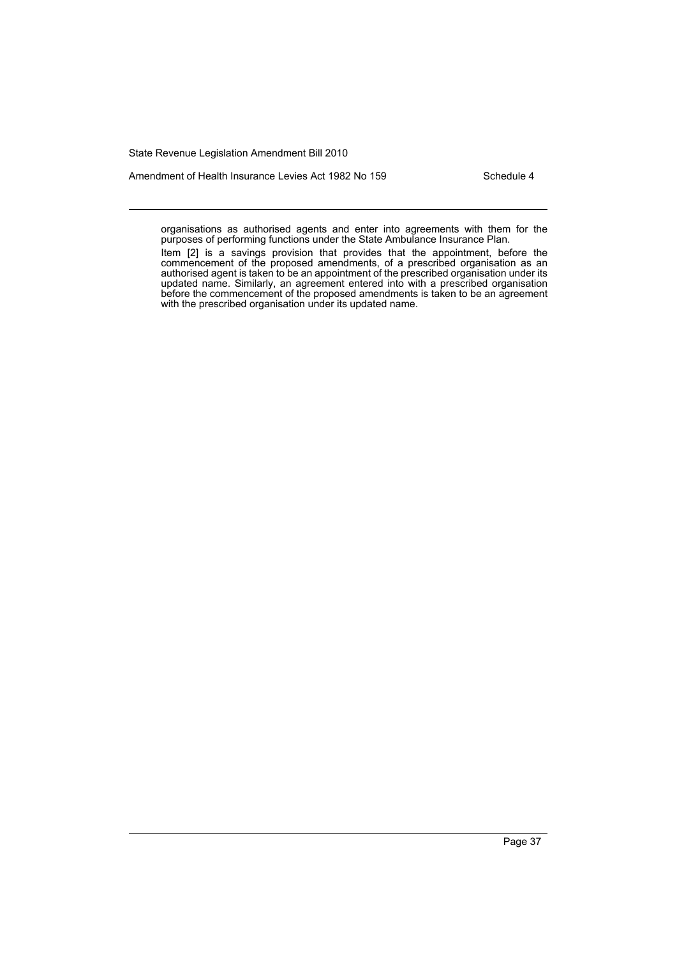Amendment of Health Insurance Levies Act 1982 No 159 Schedule 4

organisations as authorised agents and enter into agreements with them for the purposes of performing functions under the State Ambulance Insurance Plan.

Item [2] is a savings provision that provides that the appointment, before the commencement of the proposed amendments, of a prescribed organisation as an authorised agent is taken to be an appointment of the prescribed organisation under its updated name. Similarly, an agreement entered into with a prescribed organisation before the commencement of the proposed amendments is taken to be an agreement with the prescribed organisation under its updated name.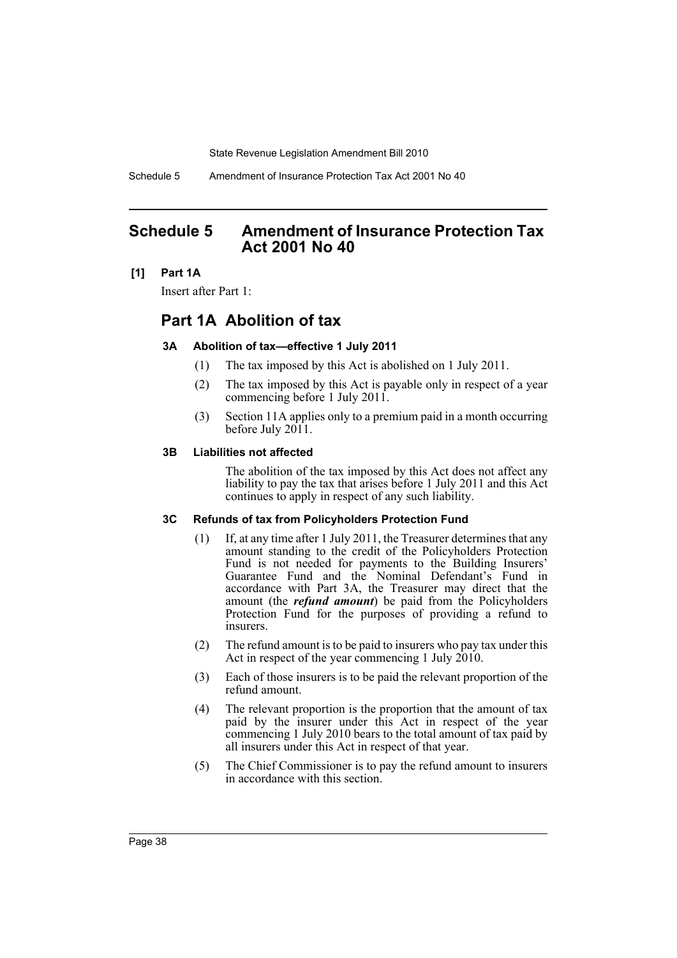Schedule 5 Amendment of Insurance Protection Tax Act 2001 No 40

# **Schedule 5 Amendment of Insurance Protection Tax Act 2001 No 40**

# **[1] Part 1A**

Insert after Part 1:

# **Part 1A Abolition of tax**

### **3A Abolition of tax—effective 1 July 2011**

- (1) The tax imposed by this Act is abolished on 1 July 2011.
- (2) The tax imposed by this Act is payable only in respect of a year commencing before 1 July 2011.
- (3) Section 11A applies only to a premium paid in a month occurring before July 2011.

### **3B Liabilities not affected**

The abolition of the tax imposed by this Act does not affect any liability to pay the tax that arises before 1 July 2011 and this Act continues to apply in respect of any such liability.

### **3C Refunds of tax from Policyholders Protection Fund**

- (1) If, at any time after 1 July 2011, the Treasurer determines that any amount standing to the credit of the Policyholders Protection Fund is not needed for payments to the Building Insurers' Guarantee Fund and the Nominal Defendant's Fund in accordance with Part 3A, the Treasurer may direct that the amount (the *refund amount*) be paid from the Policyholders Protection Fund for the purposes of providing a refund to insurers.
- (2) The refund amount is to be paid to insurers who pay tax under this Act in respect of the year commencing 1 July 2010.
- (3) Each of those insurers is to be paid the relevant proportion of the refund amount.
- (4) The relevant proportion is the proportion that the amount of tax paid by the insurer under this Act in respect of the year commencing 1 July 2010 bears to the total amount of tax paid by all insurers under this Act in respect of that year.
- (5) The Chief Commissioner is to pay the refund amount to insurers in accordance with this section.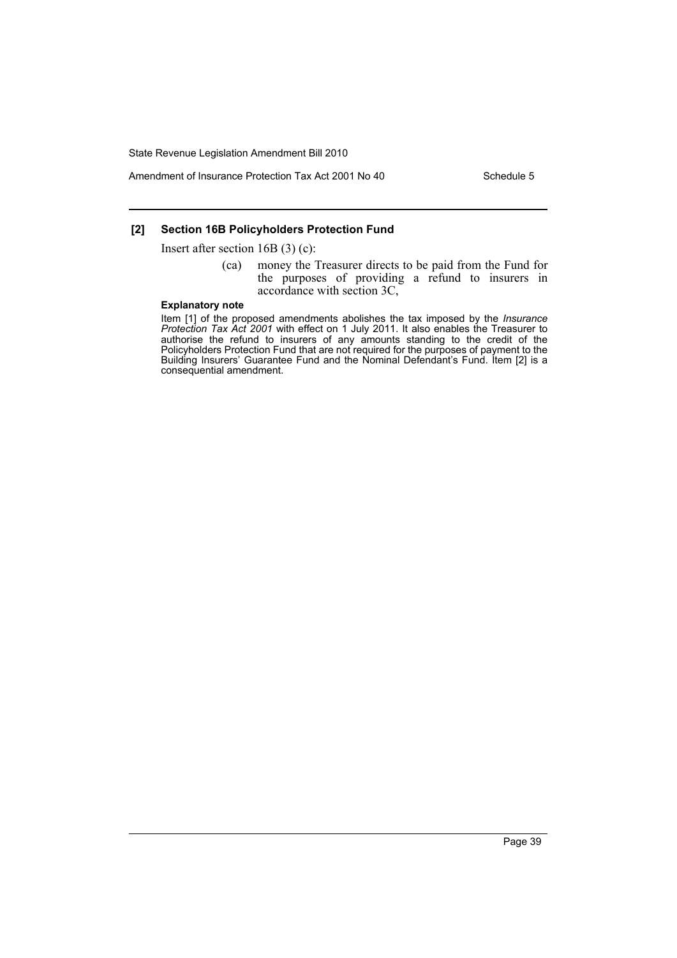Amendment of Insurance Protection Tax Act 2001 No 40 Schedule 5

# **[2] Section 16B Policyholders Protection Fund**

Insert after section 16B (3) (c):

(ca) money the Treasurer directs to be paid from the Fund for the purposes of providing a refund to insurers in accordance with section 3C,

#### **Explanatory note**

Item [1] of the proposed amendments abolishes the tax imposed by the *Insurance Protection Tax Act 2001* with effect on 1 July 2011. It also enables the Treasurer to authorise the refund to insurers of any amounts standing to the credit of the Policyholders Protection Fund that are not required for the purposes of payment to the Building Insurers' Guarantee Fund and the Nominal Defendant's Fund. Item [2] is a consequential amendment.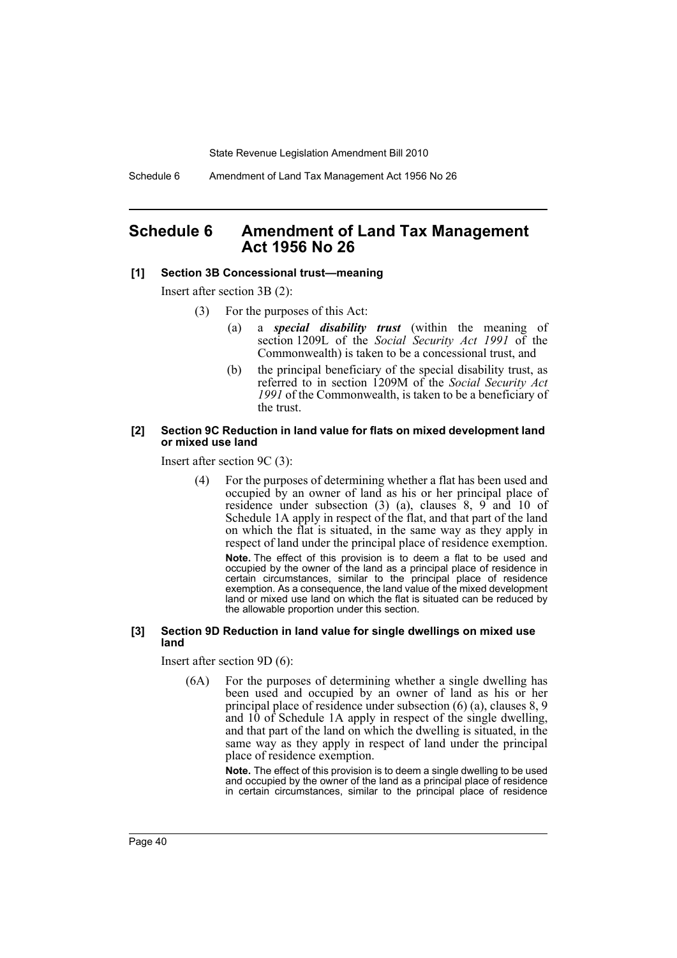Schedule 6 Amendment of Land Tax Management Act 1956 No 26

# **Schedule 6 Amendment of Land Tax Management Act 1956 No 26**

#### **[1] Section 3B Concessional trust—meaning**

Insert after section 3B (2):

- (3) For the purposes of this Act:
	- (a) a *special disability trust* (within the meaning of section 1209L of the *Social Security Act 1991* of the Commonwealth) is taken to be a concessional trust, and
	- (b) the principal beneficiary of the special disability trust, as referred to in section 1209M of the *Social Security Act 1991* of the Commonwealth, is taken to be a beneficiary of the trust.

#### **[2] Section 9C Reduction in land value for flats on mixed development land or mixed use land**

Insert after section 9C (3):

(4) For the purposes of determining whether a flat has been used and occupied by an owner of land as his or her principal place of residence under subsection  $(3)$   $(a)$ , clauses  $8$ ,  $9$  and  $10$  of Schedule 1A apply in respect of the flat, and that part of the land on which the flat is situated, in the same way as they apply in respect of land under the principal place of residence exemption.

**Note.** The effect of this provision is to deem a flat to be used and occupied by the owner of the land as a principal place of residence in certain circumstances, similar to the principal place of residence exemption. As a consequence, the land value of the mixed development land or mixed use land on which the flat is situated can be reduced by the allowable proportion under this section.

#### **[3] Section 9D Reduction in land value for single dwellings on mixed use land**

Insert after section 9D (6):

(6A) For the purposes of determining whether a single dwelling has been used and occupied by an owner of land as his or her principal place of residence under subsection (6) (a), clauses 8, 9 and 10 of Schedule 1A apply in respect of the single dwelling, and that part of the land on which the dwelling is situated, in the same way as they apply in respect of land under the principal place of residence exemption.

> **Note.** The effect of this provision is to deem a single dwelling to be used and occupied by the owner of the land as a principal place of residence in certain circumstances, similar to the principal place of residence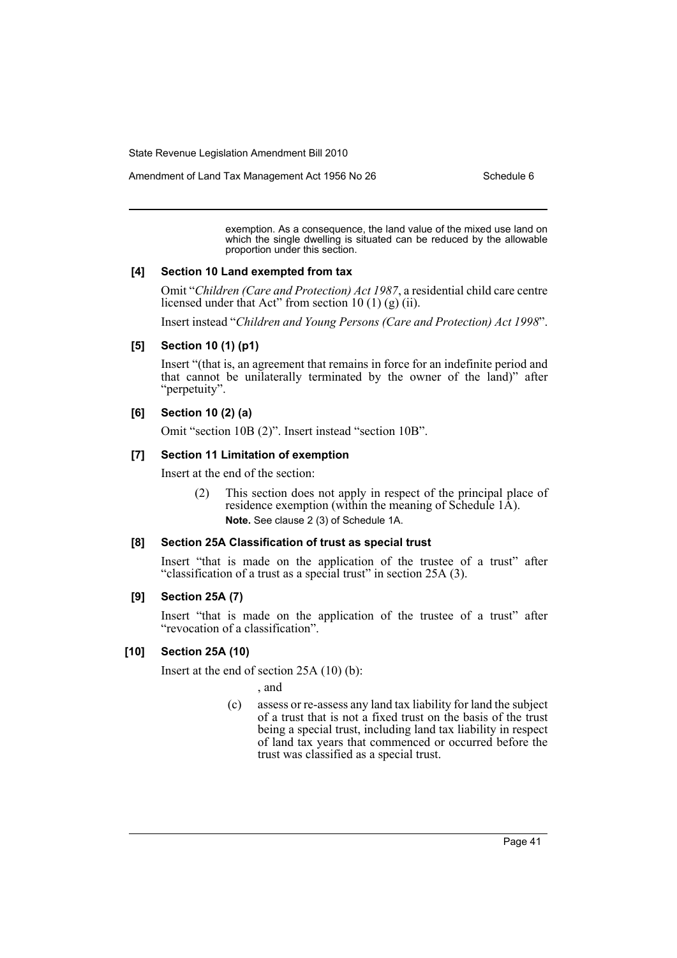Amendment of Land Tax Management Act 1956 No 26 Schedule 6

exemption. As a consequence, the land value of the mixed use land on which the single dwelling is situated can be reduced by the allowable proportion under this section.

#### **[4] Section 10 Land exempted from tax**

Omit "*Children (Care and Protection) Act 1987*, a residential child care centre licensed under that Act" from section 10 (1) (g) (ii).

Insert instead "*Children and Young Persons (Care and Protection) Act 1998*".

### **[5] Section 10 (1) (p1)**

Insert "(that is, an agreement that remains in force for an indefinite period and that cannot be unilaterally terminated by the owner of the land)" after "perpetuity".

# **[6] Section 10 (2) (a)**

Omit "section 10B (2)". Insert instead "section 10B".

### **[7] Section 11 Limitation of exemption**

Insert at the end of the section:

(2) This section does not apply in respect of the principal place of residence exemption (within the meaning of Schedule 1A). **Note.** See clause 2 (3) of Schedule 1A.

#### **[8] Section 25A Classification of trust as special trust**

Insert "that is made on the application of the trustee of a trust" after "classification of a trust as a special trust" in section 25A (3).

#### **[9] Section 25A (7)**

Insert "that is made on the application of the trustee of a trust" after "revocation of a classification".

#### **[10] Section 25A (10)**

Insert at the end of section 25A (10) (b):

, and

(c) assess or re-assess any land tax liability for land the subject of a trust that is not a fixed trust on the basis of the trust being a special trust, including land tax liability in respect of land tax years that commenced or occurred before the trust was classified as a special trust.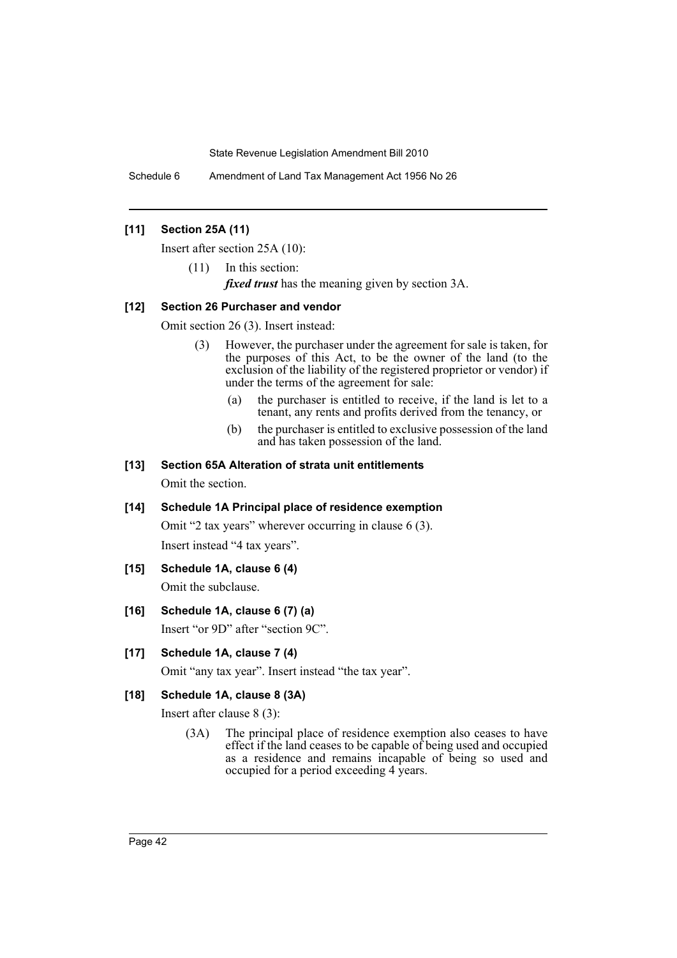Schedule 6 Amendment of Land Tax Management Act 1956 No 26

# **[11] Section 25A (11)**

Insert after section 25A (10):

(11) In this section:

*fixed trust* has the meaning given by section 3A.

### **[12] Section 26 Purchaser and vendor**

Omit section 26 (3). Insert instead:

- (3) However, the purchaser under the agreement for sale is taken, for the purposes of this Act, to be the owner of the land (to the exclusion of the liability of the registered proprietor or vendor) if under the terms of the agreement for sale:
	- (a) the purchaser is entitled to receive, if the land is let to a tenant, any rents and profits derived from the tenancy, or
	- (b) the purchaser is entitled to exclusive possession of the land and has taken possession of the land.

### **[13] Section 65A Alteration of strata unit entitlements**

Omit the section.

# **[14] Schedule 1A Principal place of residence exemption**

Omit "2 tax years" wherever occurring in clause 6 (3). Insert instead "4 tax years".

# **[15] Schedule 1A, clause 6 (4)**

Omit the subclause.

# **[16] Schedule 1A, clause 6 (7) (a)**

Insert "or 9D" after "section 9C".

# **[17] Schedule 1A, clause 7 (4)**

Omit "any tax year". Insert instead "the tax year".

#### **[18] Schedule 1A, clause 8 (3A)**

Insert after clause 8 (3):

(3A) The principal place of residence exemption also ceases to have effect if the land ceases to be capable of being used and occupied as a residence and remains incapable of being so used and occupied for a period exceeding 4 years.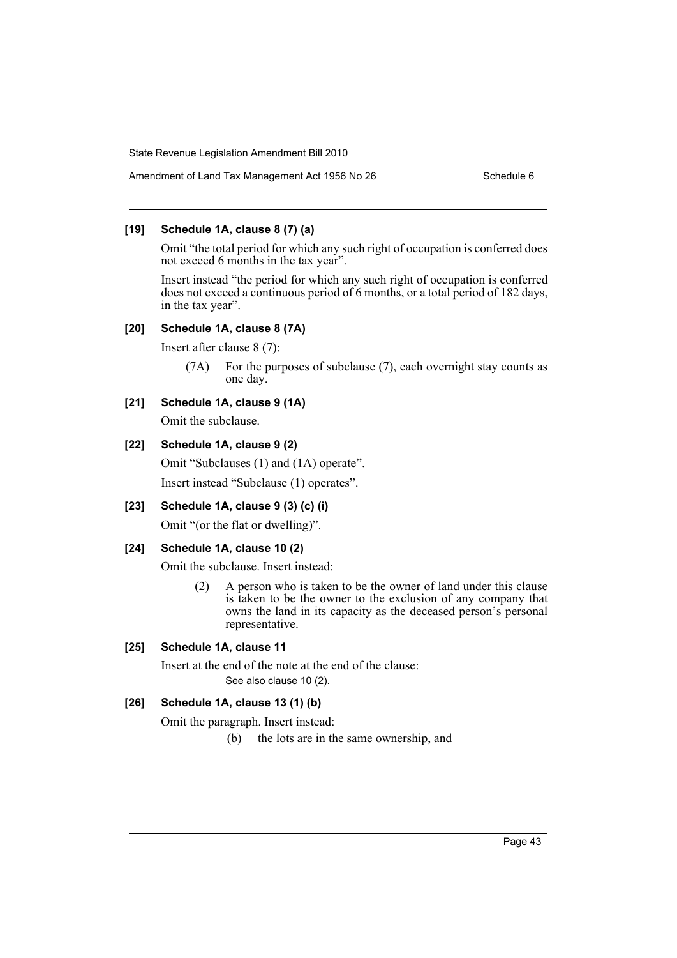# **[19] Schedule 1A, clause 8 (7) (a)**

Omit "the total period for which any such right of occupation is conferred does not exceed 6 months in the tax year".

Insert instead "the period for which any such right of occupation is conferred does not exceed a continuous period of 6 months, or a total period of 182 days, in the tax year".

# **[20] Schedule 1A, clause 8 (7A)**

Insert after clause 8 (7):

(7A) For the purposes of subclause (7), each overnight stay counts as one day.

# **[21] Schedule 1A, clause 9 (1A)**

Omit the subclause.

# **[22] Schedule 1A, clause 9 (2)**

Omit "Subclauses (1) and (1A) operate". Insert instead "Subclause (1) operates".

# **[23] Schedule 1A, clause 9 (3) (c) (i)**

Omit "(or the flat or dwelling)".

### **[24] Schedule 1A, clause 10 (2)**

Omit the subclause. Insert instead:

(2) A person who is taken to be the owner of land under this clause is taken to be the owner to the exclusion of any company that owns the land in its capacity as the deceased person's personal representative.

# **[25] Schedule 1A, clause 11**

Insert at the end of the note at the end of the clause: See also clause 10 (2).

# **[26] Schedule 1A, clause 13 (1) (b)**

Omit the paragraph. Insert instead:

(b) the lots are in the same ownership, and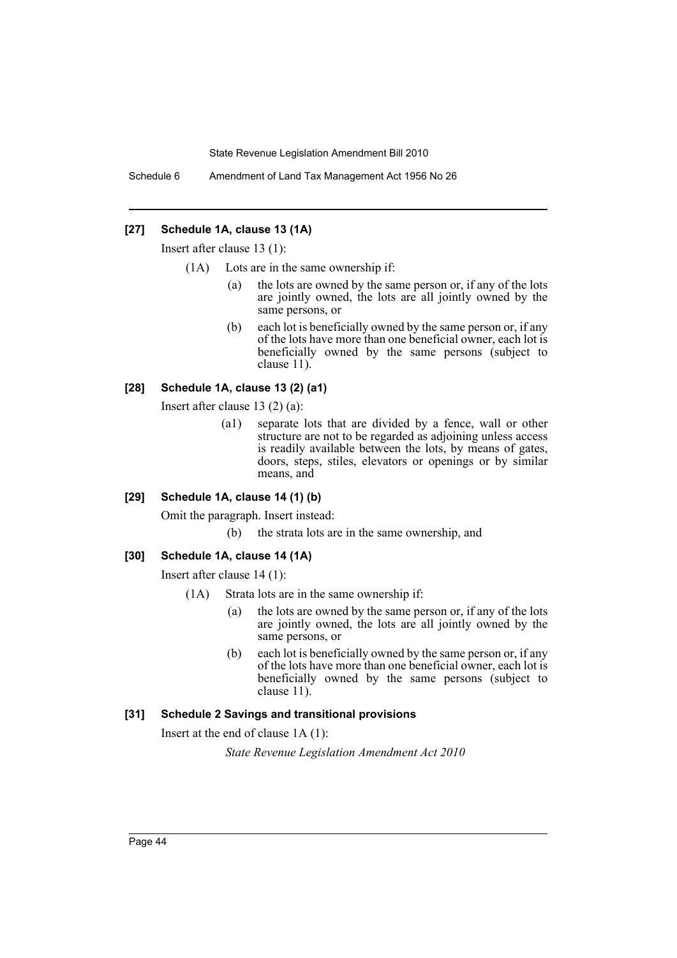Schedule 6 Amendment of Land Tax Management Act 1956 No 26

# **[27] Schedule 1A, clause 13 (1A)**

Insert after clause 13 (1):

- (1A) Lots are in the same ownership if:
	- (a) the lots are owned by the same person or, if any of the lots are jointly owned, the lots are all jointly owned by the same persons, or
	- (b) each lot is beneficially owned by the same person or, if any of the lots have more than one beneficial owner, each lot is beneficially owned by the same persons (subject to clause 11).

### **[28] Schedule 1A, clause 13 (2) (a1)**

Insert after clause 13 (2) (a):

(a1) separate lots that are divided by a fence, wall or other structure are not to be regarded as adjoining unless access is readily available between the lots, by means of gates, doors, steps, stiles, elevators or openings or by similar means, and

### **[29] Schedule 1A, clause 14 (1) (b)**

Omit the paragraph. Insert instead:

(b) the strata lots are in the same ownership, and

#### **[30] Schedule 1A, clause 14 (1A)**

Insert after clause 14 (1):

- (1A) Strata lots are in the same ownership if:
	- (a) the lots are owned by the same person or, if any of the lots are jointly owned, the lots are all jointly owned by the same persons, or
	- (b) each lot is beneficially owned by the same person or, if any of the lots have more than one beneficial owner, each lot is beneficially owned by the same persons (subject to clause 11).

#### **[31] Schedule 2 Savings and transitional provisions**

Insert at the end of clause 1A (1):

*State Revenue Legislation Amendment Act 2010*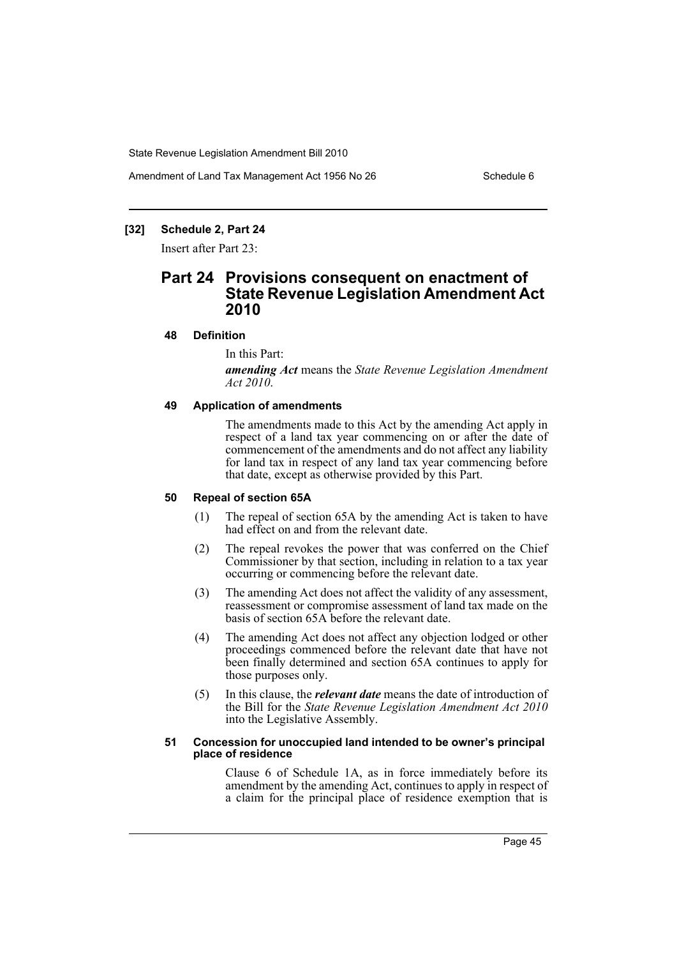Amendment of Land Tax Management Act 1956 No 26 Schedule 6

# **[32] Schedule 2, Part 24**

Insert after Part 23:

# **Part 24 Provisions consequent on enactment of State Revenue Legislation Amendment Act 2010**

### **48 Definition**

In this Part:

*amending Act* means the *State Revenue Legislation Amendment Act 2010*.

#### **49 Application of amendments**

The amendments made to this Act by the amending Act apply in respect of a land tax year commencing on or after the date of commencement of the amendments and do not affect any liability for land tax in respect of any land tax year commencing before that date, except as otherwise provided by this Part.

### **50 Repeal of section 65A**

- (1) The repeal of section 65A by the amending Act is taken to have had effect on and from the relevant date.
- (2) The repeal revokes the power that was conferred on the Chief Commissioner by that section, including in relation to a tax year occurring or commencing before the relevant date.
- (3) The amending Act does not affect the validity of any assessment, reassessment or compromise assessment of land tax made on the basis of section 65A before the relevant date.
- (4) The amending Act does not affect any objection lodged or other proceedings commenced before the relevant date that have not been finally determined and section 65A continues to apply for those purposes only.
- (5) In this clause, the *relevant date* means the date of introduction of the Bill for the *State Revenue Legislation Amendment Act 2010* into the Legislative Assembly.

#### **51 Concession for unoccupied land intended to be owner's principal place of residence**

Clause 6 of Schedule 1A, as in force immediately before its amendment by the amending Act, continues to apply in respect of a claim for the principal place of residence exemption that is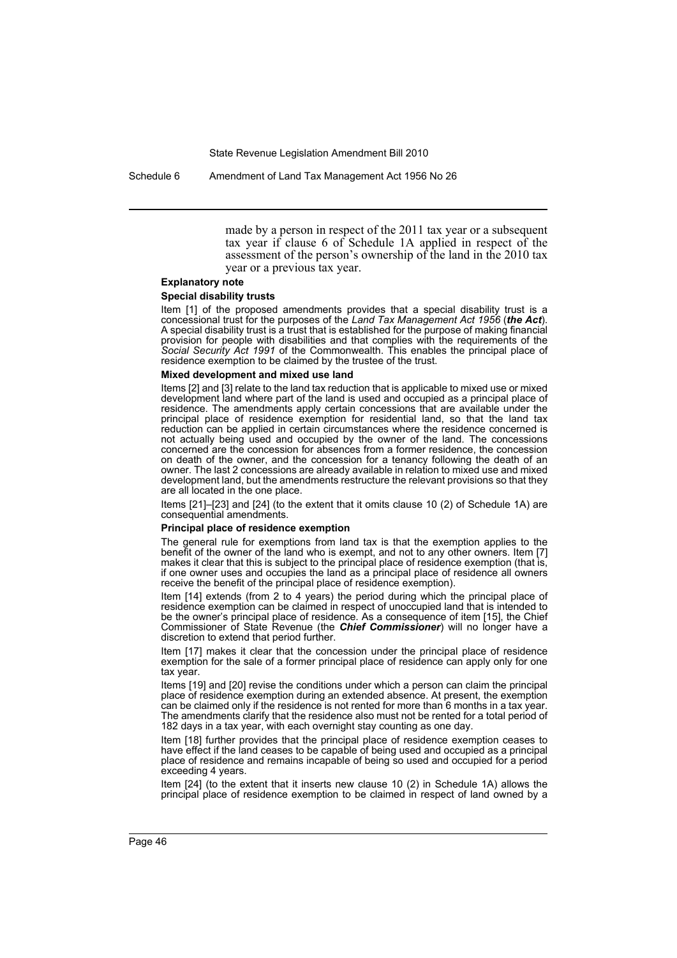Schedule 6 Amendment of Land Tax Management Act 1956 No 26

made by a person in respect of the 2011 tax year or a subsequent tax year if clause 6 of Schedule 1A applied in respect of the assessment of the person's ownership of the land in the 2010 tax year or a previous tax year.

#### **Explanatory note**

#### **Special disability trusts**

Item [1] of the proposed amendments provides that a special disability trust is a concessional trust for the purposes of the *Land Tax Management Act 1956* (*the Act*). A special disability trust is a trust that is established for the purpose of making financial provision for people with disabilities and that complies with the requirements of the *Social Security Act 1991* of the Commonwealth. This enables the principal place of residence exemption to be claimed by the trustee of the trust.

#### **Mixed development and mixed use land**

Items [2] and [3] relate to the land tax reduction that is applicable to mixed use or mixed development land where part of the land is used and occupied as a principal place of residence. The amendments apply certain concessions that are available under the principal place of residence exemption for residential land, so that the land tax reduction can be applied in certain circumstances where the residence concerned is not actually being used and occupied by the owner of the land. The concessions concerned are the concession for absences from a former residence, the concession on death of the owner, and the concession for a tenancy following the death of an owner. The last 2 concessions are already available in relation to mixed use and mixed development land, but the amendments restructure the relevant provisions so that they are all located in the one place.

Items [21]–[23] and [24] (to the extent that it omits clause 10 (2) of Schedule 1A) are consequential amendments.

#### **Principal place of residence exemption**

The general rule for exemptions from land tax is that the exemption applies to the benefit of the owner of the land who is exempt, and not to any other owners. Item [7] makes it clear that this is subject to the principal place of residence exemption (that is, if one owner uses and occupies the land as a principal place of residence all owners receive the benefit of the principal place of residence exemption).

Item [14] extends (from 2 to 4 years) the period during which the principal place of residence exemption can be claimed in respect of unoccupied land that is intended to be the owner's principal place of residence. As a consequence of item [15], the Chief Commissioner of State Revenue (the *Chief Commissioner*) will no longer have a discretion to extend that period further.

Item [17] makes it clear that the concession under the principal place of residence exemption for the sale of a former principal place of residence can apply only for one tax year.

Items [19] and [20] revise the conditions under which a person can claim the principal place of residence exemption during an extended absence. At present, the exemption can be claimed only if the residence is not rented for more than 6 months in a tax year. The amendments clarify that the residence also must not be rented for a total period of 182 days in a tax year, with each overnight stay counting as one day.

Item [18] further provides that the principal place of residence exemption ceases to have effect if the land ceases to be capable of being used and occupied as a principal place of residence and remains incapable of being so used and occupied for a period exceeding 4 years.

Item [24] (to the extent that it inserts new clause 10 (2) in Schedule 1A) allows the principal place of residence exemption to be claimed in respect of land owned by a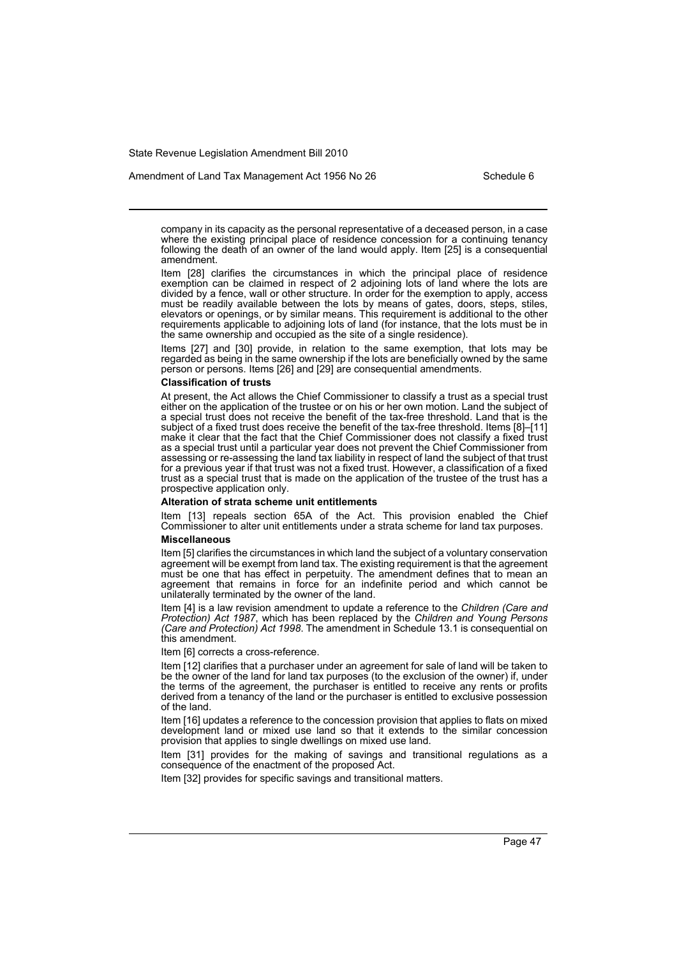Amendment of Land Tax Management Act 1956 No 26 Schedule 6

company in its capacity as the personal representative of a deceased person, in a case where the existing principal place of residence concession for a continuing tenancy following the death of an owner of the land would apply. Item [25] is a consequential amendment.

Item [28] clarifies the circumstances in which the principal place of residence exemption can be claimed in respect of 2 adjoining lots of land where the lots are divided by a fence, wall or other structure. In order for the exemption to apply, access must be readily available between the lots by means of gates, doors, steps, stiles, elevators or openings, or by similar means. This requirement is additional to the other requirements applicable to adjoining lots of land (for instance, that the lots must be in the same ownership and occupied as the site of a single residence).

Items [27] and [30] provide, in relation to the same exemption, that lots may be regarded as being in the same ownership if the lots are beneficially owned by the same person or persons. Items [26] and [29] are consequential amendments.

#### **Classification of trusts**

At present, the Act allows the Chief Commissioner to classify a trust as a special trust either on the application of the trustee or on his or her own motion. Land the subject of a special trust does not receive the benefit of the tax-free threshold. Land that is the subject of a fixed trust does receive the benefit of the tax-free threshold. Items [8]–[11] make it clear that the fact that the Chief Commissioner does not classify a fixed trust as a special trust until a particular year does not prevent the Chief Commissioner from assessing or re-assessing the land tax liability in respect of land the subject of that trust for a previous year if that trust was not a fixed trust. However, a classification of a fixed trust as a special trust that is made on the application of the trustee of the trust has a prospective application only.

#### **Alteration of strata scheme unit entitlements**

Item [13] repeals section 65A of the Act. This provision enabled the Chief Commissioner to alter unit entitlements under a strata scheme for land tax purposes.

#### **Miscellaneous**

Item [5] clarifies the circumstances in which land the subject of a voluntary conservation agreement will be exempt from land tax. The existing requirement is that the agreement must be one that has effect in perpetuity. The amendment defines that to mean an agreement that remains in force for an indefinite period and which cannot be unilaterally terminated by the owner of the land.

Item [4] is a law revision amendment to update a reference to the *Children (Care and Protection) Act 1987*, which has been replaced by the *Children and Young Persons (Care and Protection) Act 1998*. The amendment in Schedule 13.1 is consequential on this amendment.

Item [6] corrects a cross-reference.

Item [12] clarifies that a purchaser under an agreement for sale of land will be taken to be the owner of the land for land tax purposes (to the exclusion of the owner) if, under the terms of the agreement, the purchaser is entitled to receive any rents or profits derived from a tenancy of the land or the purchaser is entitled to exclusive possession of the land.

Item [16] updates a reference to the concession provision that applies to flats on mixed development land or mixed use land so that it extends to the similar concession provision that applies to single dwellings on mixed use land.

Item [31] provides for the making of savings and transitional regulations as a consequence of the enactment of the proposed Act.

Item [32] provides for specific savings and transitional matters.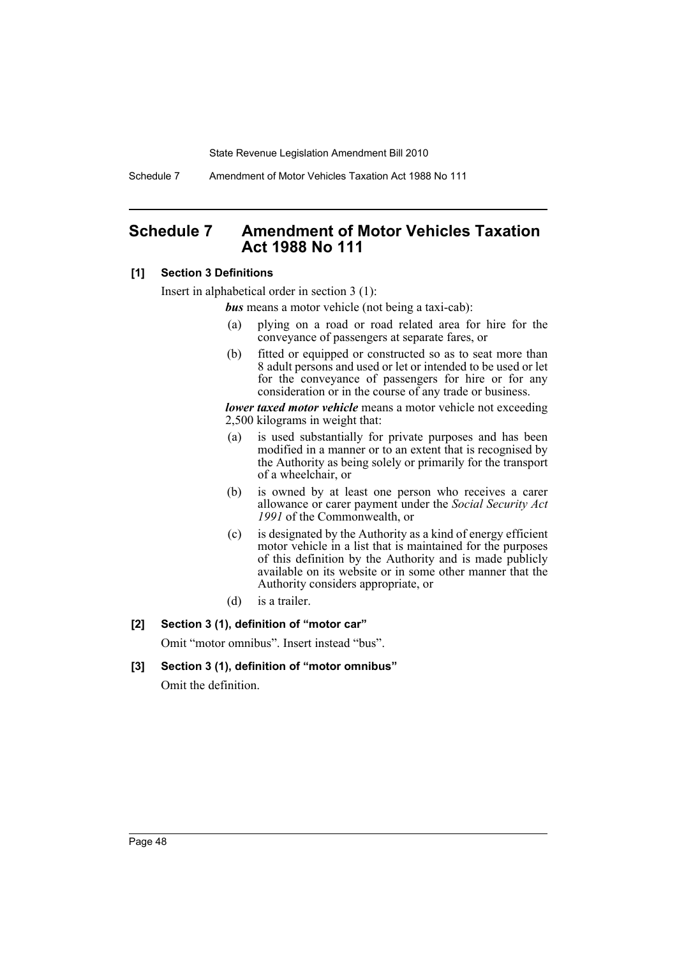Schedule 7 Amendment of Motor Vehicles Taxation Act 1988 No 111

# **Schedule 7 Amendment of Motor Vehicles Taxation Act 1988 No 111**

### **[1] Section 3 Definitions**

Insert in alphabetical order in section 3 (1):

*bus* means a motor vehicle (not being a taxi-cab):

- (a) plying on a road or road related area for hire for the conveyance of passengers at separate fares, or
- (b) fitted or equipped or constructed so as to seat more than 8 adult persons and used or let or intended to be used or let for the conveyance of passengers for hire or for any consideration or in the course of any trade or business.

*lower taxed motor vehicle* means a motor vehicle not exceeding 2,500 kilograms in weight that:

- (a) is used substantially for private purposes and has been modified in a manner or to an extent that is recognised by the Authority as being solely or primarily for the transport of a wheelchair, or
- (b) is owned by at least one person who receives a carer allowance or carer payment under the *Social Security Act 1991* of the Commonwealth, or
- (c) is designated by the Authority as a kind of energy efficient motor vehicle in a list that is maintained for the purposes of this definition by the Authority and is made publicly available on its website or in some other manner that the Authority considers appropriate, or
- (d) is a trailer.

# **[2] Section 3 (1), definition of "motor car"**

Omit "motor omnibus". Insert instead "bus".

**[3] Section 3 (1), definition of "motor omnibus"** Omit the definition.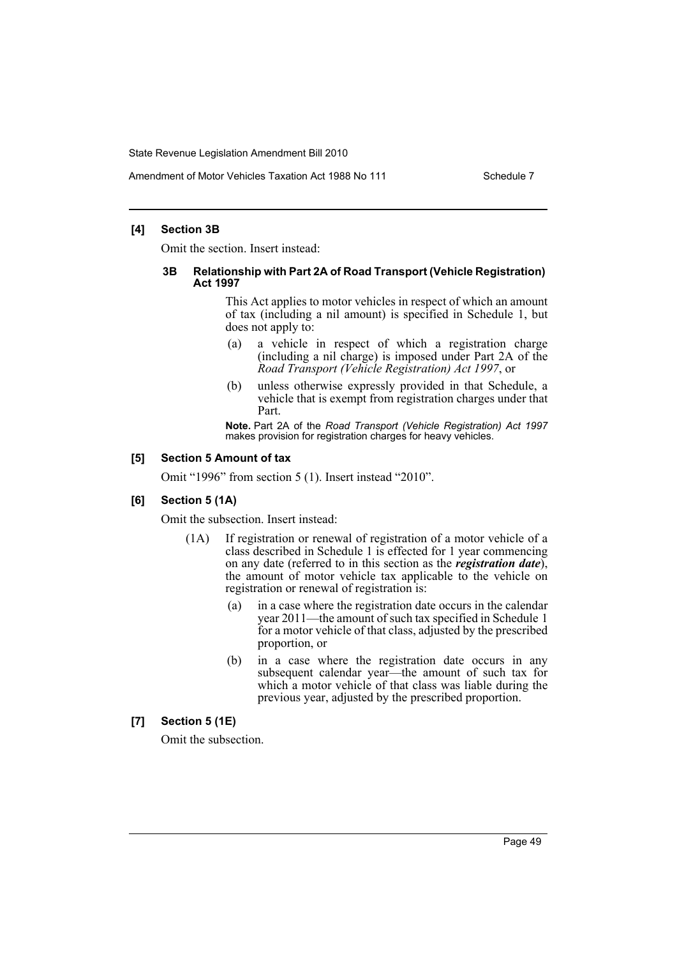Amendment of Motor Vehicles Taxation Act 1988 No 111 Schedule 7

### **[4] Section 3B**

Omit the section. Insert instead:

#### **3B Relationship with Part 2A of Road Transport (Vehicle Registration) Act 1997**

This Act applies to motor vehicles in respect of which an amount of tax (including a nil amount) is specified in Schedule 1, but does not apply to:

- (a) a vehicle in respect of which a registration charge (including a nil charge) is imposed under Part 2A of the *Road Transport (Vehicle Registration) Act 1997*, or
- (b) unless otherwise expressly provided in that Schedule, a vehicle that is exempt from registration charges under that Part.

**Note.** Part 2A of the *Road Transport (Vehicle Registration) Act 1997* makes provision for registration charges for heavy vehicles.

### **[5] Section 5 Amount of tax**

Omit "1996" from section 5 (1). Insert instead "2010".

### **[6] Section 5 (1A)**

Omit the subsection. Insert instead:

- (1A) If registration or renewal of registration of a motor vehicle of a class described in Schedule 1 is effected for 1 year commencing on any date (referred to in this section as the *registration date*), the amount of motor vehicle tax applicable to the vehicle on registration or renewal of registration is:
	- (a) in a case where the registration date occurs in the calendar year 2011—the amount of such tax specified in Schedule 1 for a motor vehicle of that class, adjusted by the prescribed proportion, or
	- (b) in a case where the registration date occurs in any subsequent calendar year—the amount of such tax for which a motor vehicle of that class was liable during the previous year, adjusted by the prescribed proportion.

# **[7] Section 5 (1E)**

Omit the subsection.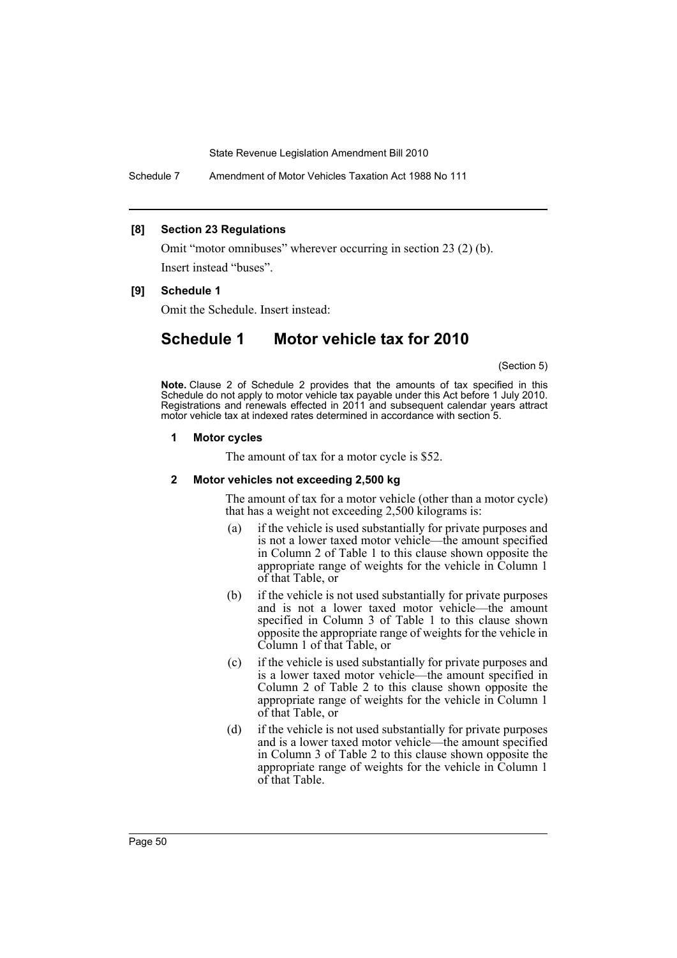Schedule 7 Amendment of Motor Vehicles Taxation Act 1988 No 111

### **[8] Section 23 Regulations**

Omit "motor omnibuses" wherever occurring in section 23 (2) (b). Insert instead "buses".

# **[9] Schedule 1**

Omit the Schedule. Insert instead:

# **Schedule 1 Motor vehicle tax for 2010**

(Section 5)

**Note.** Clause 2 of Schedule 2 provides that the amounts of tax specified in this Schedule do not apply to motor vehicle tax payable under this Act before 1 July 2010. Registrations and renewals effected in 2011 and subsequent calendar years attract motor vehicle tax at indexed rates determined in accordance with section 5.

#### **1 Motor cycles**

The amount of tax for a motor cycle is \$52.

### **2 Motor vehicles not exceeding 2,500 kg**

The amount of tax for a motor vehicle (other than a motor cycle) that has a weight not exceeding 2,500 kilograms is:

- (a) if the vehicle is used substantially for private purposes and is not a lower taxed motor vehicle—the amount specified in Column 2 of Table 1 to this clause shown opposite the appropriate range of weights for the vehicle in Column 1 of that Table, or
- (b) if the vehicle is not used substantially for private purposes and is not a lower taxed motor vehicle—the amount specified in Column 3 of Table 1 to this clause shown opposite the appropriate range of weights for the vehicle in Column 1 of that Table, or
- (c) if the vehicle is used substantially for private purposes and is a lower taxed motor vehicle—the amount specified in Column 2 of Table 2 to this clause shown opposite the appropriate range of weights for the vehicle in Column 1 of that Table, or
- (d) if the vehicle is not used substantially for private purposes and is a lower taxed motor vehicle—the amount specified in Column 3 of Table 2 to this clause shown opposite the appropriate range of weights for the vehicle in Column 1 of that Table.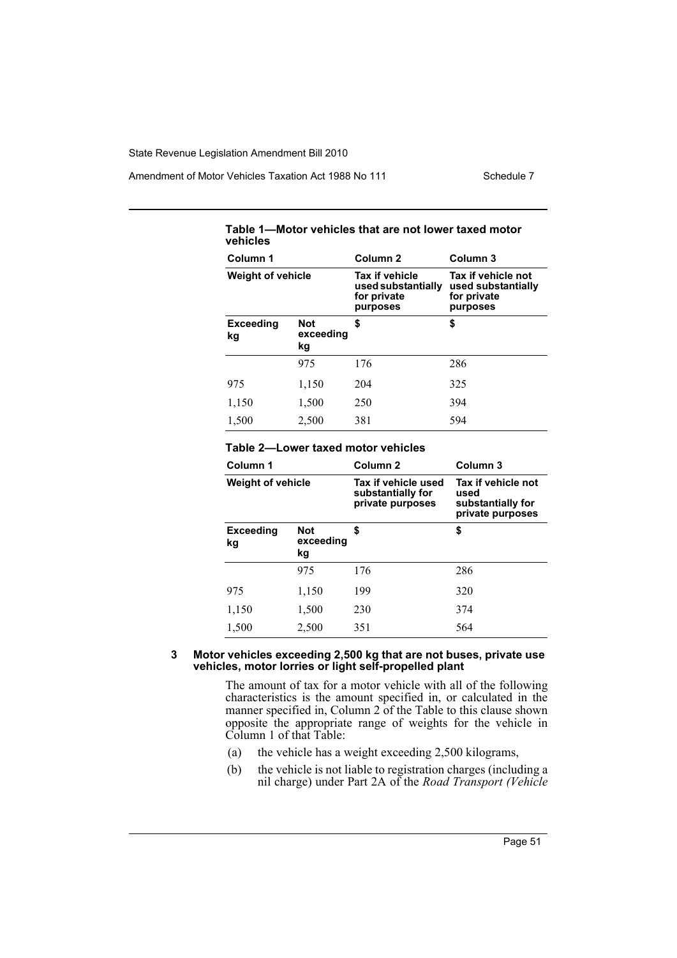Amendment of Motor Vehicles Taxation Act 1988 No 111 Schedule 7

| .<br>וטוטוטו ויטוווטוטט נוועג עוט ווטג וטאסו נעמטע וווטגטו<br>vehicles |                               |                                                                        |                                                                     |  |
|------------------------------------------------------------------------|-------------------------------|------------------------------------------------------------------------|---------------------------------------------------------------------|--|
| Column 1                                                               |                               | Column <sub>2</sub>                                                    | Column <sub>3</sub>                                                 |  |
| <b>Weight of vehicle</b>                                               |                               | <b>Tax if vehicle</b><br>used substantially<br>for private<br>purposes | Tax if vehicle not<br>used substantially<br>for private<br>purposes |  |
| <b>Exceeding</b><br>kg                                                 | <b>Not</b><br>exceeding<br>kg | \$                                                                     | \$                                                                  |  |
|                                                                        | 975                           | 176                                                                    | 286                                                                 |  |
| 975                                                                    | 1,150                         | 204                                                                    | 325                                                                 |  |
| 1,150                                                                  | 1,500                         | 250                                                                    | 394                                                                 |  |
| 1,500                                                                  | 2,500                         | 381                                                                    | 594                                                                 |  |

**Table 1—Motor vehicles that are not lower taxed motor** 

# **Table 2—Lower taxed motor vehicles**

| Column 1                                                      |       | Column <sub>2</sub>                                          | Column <sub>3</sub>                                                 |  |
|---------------------------------------------------------------|-------|--------------------------------------------------------------|---------------------------------------------------------------------|--|
| <b>Weight of vehicle</b>                                      |       | Tax if vehicle used<br>substantially for<br>private purposes | Tax if vehicle not<br>used<br>substantially for<br>private purposes |  |
| \$<br><b>Not</b><br><b>Exceeding</b><br>exceeding<br>kg<br>kg |       |                                                              | \$                                                                  |  |
|                                                               | 975   | 176                                                          | 286                                                                 |  |
| 975                                                           | 1,150 | 199                                                          | 320                                                                 |  |
| 1,150                                                         | 1,500 | 230                                                          | 374                                                                 |  |
| 1,500                                                         | 2,500 | 351                                                          | 564                                                                 |  |

#### **3 Motor vehicles exceeding 2,500 kg that are not buses, private use vehicles, motor lorries or light self-propelled plant**

The amount of tax for a motor vehicle with all of the following characteristics is the amount specified in, or calculated in the manner specified in, Column 2 of the Table to this clause shown opposite the appropriate range of weights for the vehicle in Column 1 of that Table:

- (a) the vehicle has a weight exceeding 2,500 kilograms,
- (b) the vehicle is not liable to registration charges (including a nil charge) under Part 2A of the *Road Transport (Vehicle*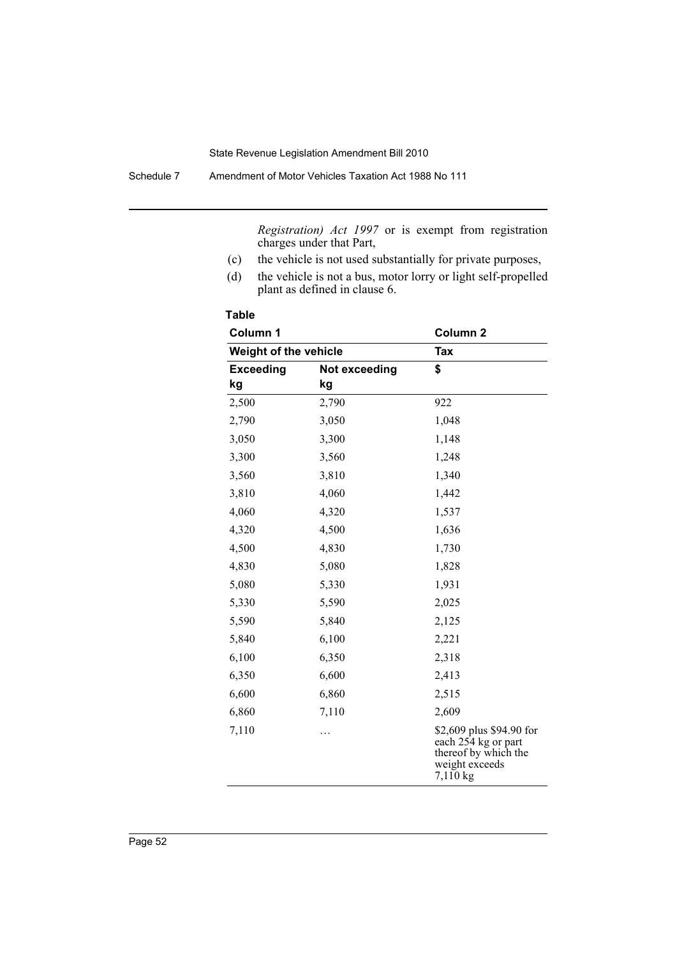Schedule 7 Amendment of Motor Vehicles Taxation Act 1988 No 111

*Registration) Act 1997* or is exempt from registration charges under that Part,

- (c) the vehicle is not used substantially for private purposes,
- (d) the vehicle is not a bus, motor lorry or light self-propelled plant as defined in clause 6.

| Column 1<br>Weight of the vehicle |               | Column <sub>2</sub>                                                                                   |  |
|-----------------------------------|---------------|-------------------------------------------------------------------------------------------------------|--|
|                                   |               | Tax                                                                                                   |  |
| <b>Exceeding</b>                  | Not exceeding | \$                                                                                                    |  |
| kg                                | kg            |                                                                                                       |  |
| 2,500                             | 2,790         | 922                                                                                                   |  |
| 2,790                             | 3,050         | 1,048                                                                                                 |  |
| 3,050                             | 3,300         | 1,148                                                                                                 |  |
| 3,300                             | 3,560         | 1,248                                                                                                 |  |
| 3,560                             | 3,810         | 1,340                                                                                                 |  |
| 3,810                             | 4,060         | 1,442                                                                                                 |  |
| 4,060                             | 4,320         | 1,537                                                                                                 |  |
| 4,320                             | 4,500         | 1,636                                                                                                 |  |
| 4,500                             | 4,830         | 1,730                                                                                                 |  |
| 4,830                             | 5,080         | 1,828                                                                                                 |  |
| 5,080                             | 5,330         | 1,931                                                                                                 |  |
| 5,330                             | 5,590         | 2,025                                                                                                 |  |
| 5,590                             | 5,840         | 2,125                                                                                                 |  |
| 5,840                             | 6,100         | 2,221                                                                                                 |  |
| 6,100                             | 6,350         | 2,318                                                                                                 |  |
| 6,350                             | 6,600         | 2,413                                                                                                 |  |
| 6,600                             | 6,860         | 2,515                                                                                                 |  |
| 6,860                             | 7,110         | 2,609                                                                                                 |  |
| 7,110                             | .             | \$2,609 plus \$94.90 for<br>each 254 kg or part<br>thereof by which the<br>weight exceeds<br>7,110 kg |  |

**Table**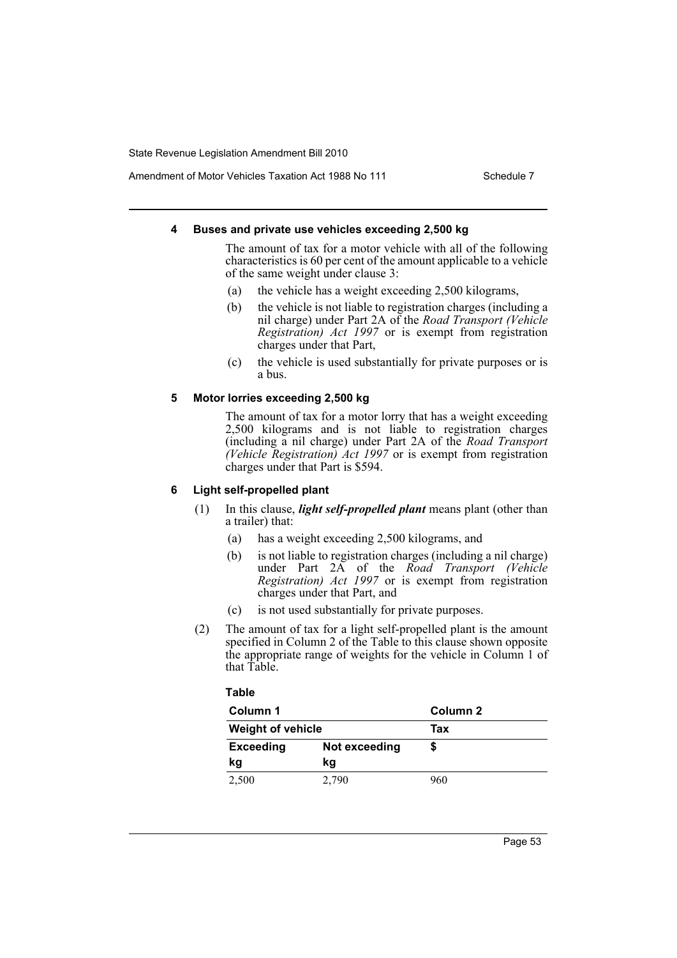Amendment of Motor Vehicles Taxation Act 1988 No 111 Schedule 7

### **4 Buses and private use vehicles exceeding 2,500 kg**

The amount of tax for a motor vehicle with all of the following characteristics is 60 per cent of the amount applicable to a vehicle of the same weight under clause 3:

- (a) the vehicle has a weight exceeding 2,500 kilograms,
- (b) the vehicle is not liable to registration charges (including a nil charge) under Part 2A of the *Road Transport (Vehicle Registration) Act 1997* or is exempt from registration charges under that Part,
- (c) the vehicle is used substantially for private purposes or is a bus.

# **5 Motor lorries exceeding 2,500 kg**

The amount of tax for a motor lorry that has a weight exceeding 2,500 kilograms and is not liable to registration charges (including a nil charge) under Part 2A of the *Road Transport (Vehicle Registration) Act 1997* or is exempt from registration charges under that Part is \$594.

# **6 Light self-propelled plant**

- (1) In this clause, *light self-propelled plant* means plant (other than a trailer) that:
	- (a) has a weight exceeding 2,500 kilograms, and
	- (b) is not liable to registration charges (including a nil charge) under Part 2A of the *Road Transport (Vehicle Registration) Act 1997* or is exempt from registration charges under that Part, and
	- (c) is not used substantially for private purposes.
- (2) The amount of tax for a light self-propelled plant is the amount specified in Column 2 of the Table to this clause shown opposite the appropriate range of weights for the vehicle in Column 1 of that Table.

### **Table**

| Column 1                 |               | Column 2 |  |
|--------------------------|---------------|----------|--|
| <b>Weight of vehicle</b> |               | Tax      |  |
| <b>Exceeding</b>         | Not exceeding |          |  |
| kg                       | kg            |          |  |
| 2,500                    | 2,790         | 960      |  |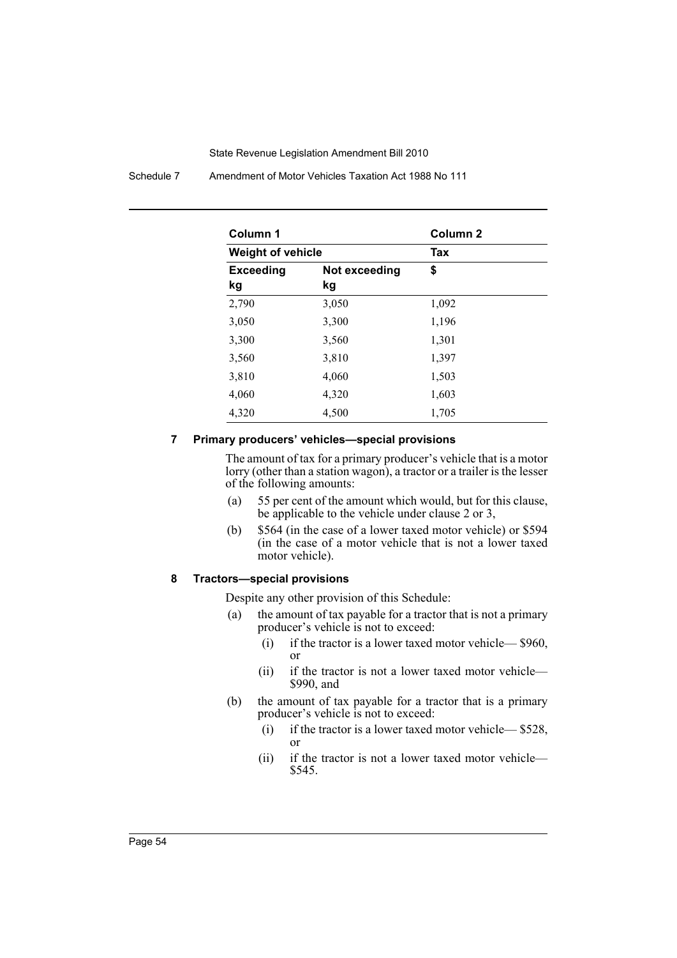Schedule 7 Amendment of Motor Vehicles Taxation Act 1988 No 111

| Column 1                 |               | Column <sub>2</sub> |  |
|--------------------------|---------------|---------------------|--|
| <b>Weight of vehicle</b> |               | Tax                 |  |
| <b>Exceeding</b>         | Not exceeding | \$                  |  |
| kg                       | kg            |                     |  |
| 2,790                    | 3,050         | 1,092               |  |
| 3,050                    | 3,300         | 1,196               |  |
| 3,300                    | 3,560         | 1,301               |  |
| 3,560                    | 3,810         | 1,397               |  |
| 3,810                    | 4,060         | 1,503               |  |
| 4,060                    | 4,320         | 1,603               |  |
| 4,320                    | 4,500         | 1,705               |  |

#### **7 Primary producers' vehicles—special provisions**

The amount of tax for a primary producer's vehicle that is a motor lorry (other than a station wagon), a tractor or a trailer is the lesser of the following amounts:

- (a) 55 per cent of the amount which would, but for this clause, be applicable to the vehicle under clause 2 or 3,
- (b) \$564 (in the case of a lower taxed motor vehicle) or \$594 (in the case of a motor vehicle that is not a lower taxed motor vehicle).

# **8 Tractors—special provisions**

Despite any other provision of this Schedule:

- (a) the amount of tax payable for a tractor that is not a primary producer's vehicle is not to exceed:
	- (i) if the tractor is a lower taxed motor vehicle— \$960, or
	- (ii) if the tractor is not a lower taxed motor vehicle— \$990, and
- (b) the amount of tax payable for a tractor that is a primary producer's vehicle is not to exceed:
	- (i) if the tractor is a lower taxed motor vehicle— \$528, or
	- (ii) if the tractor is not a lower taxed motor vehicle— \$545.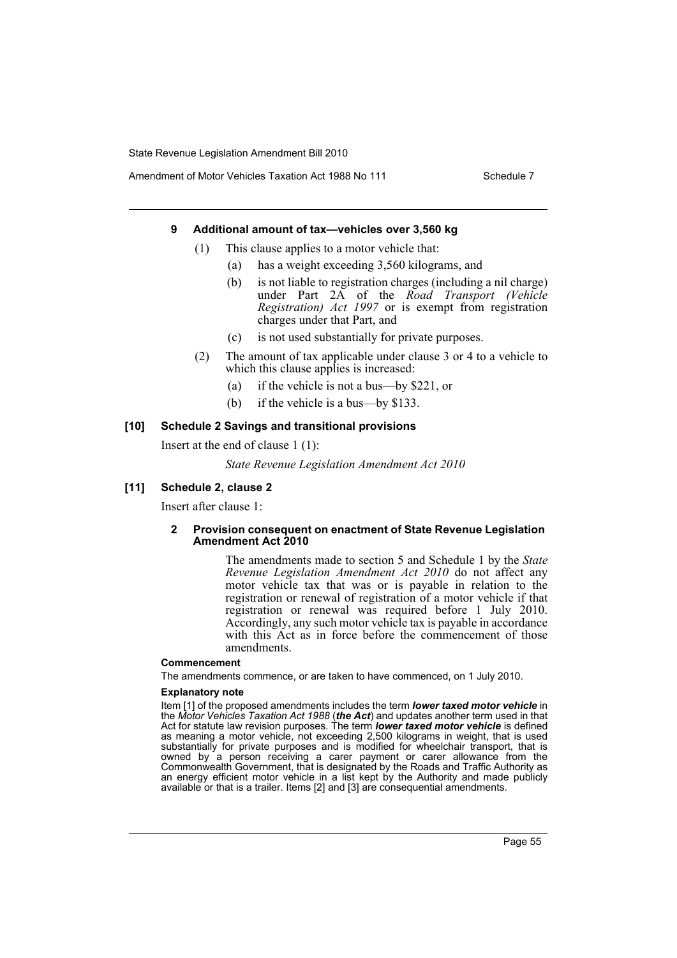Amendment of Motor Vehicles Taxation Act 1988 No 111 Schedule 7

### **9 Additional amount of tax—vehicles over 3,560 kg**

- (1) This clause applies to a motor vehicle that:
	- (a) has a weight exceeding 3,560 kilograms, and
	- (b) is not liable to registration charges (including a nil charge) under Part 2A of the *Road Transport (Vehicle Registration) Act 1997* or is exempt from registration charges under that Part, and
	- (c) is not used substantially for private purposes.
- (2) The amount of tax applicable under clause 3 or 4 to a vehicle to which this clause applies is increased:
	- (a) if the vehicle is not a bus—by \$221, or
	- (b) if the vehicle is a bus—by \$133.

#### **[10] Schedule 2 Savings and transitional provisions**

Insert at the end of clause 1 (1):

*State Revenue Legislation Amendment Act 2010*

#### **[11] Schedule 2, clause 2**

Insert after clause 1:

#### **2 Provision consequent on enactment of State Revenue Legislation Amendment Act 2010**

The amendments made to section 5 and Schedule 1 by the *State Revenue Legislation Amendment Act 2010* do not affect any motor vehicle tax that was or is payable in relation to the registration or renewal of registration of a motor vehicle if that registration or renewal was required before 1 July 2010. Accordingly, any such motor vehicle tax is payable in accordance with this Act as in force before the commencement of those amendments.

#### **Commencement**

The amendments commence, or are taken to have commenced, on 1 July 2010.

#### **Explanatory note**

Item [1] of the proposed amendments includes the term *lower taxed motor vehicle* in the *Motor Vehicles Taxation Act 1988* (*the Act*) and updates another term used in that Act for statute law revision purposes. The term *lower taxed motor vehicle* is defined as meaning a motor vehicle, not exceeding 2,500 kilograms in weight, that is used substantially for private purposes and is modified for wheelchair transport, that is owned by a person receiving a carer payment or carer allowance from the Commonwealth Government, that is designated by the Roads and Traffic Authority as an energy efficient motor vehicle in a list kept by the Authority and made publicly available or that is a trailer. Items [2] and [3] are consequential amendments.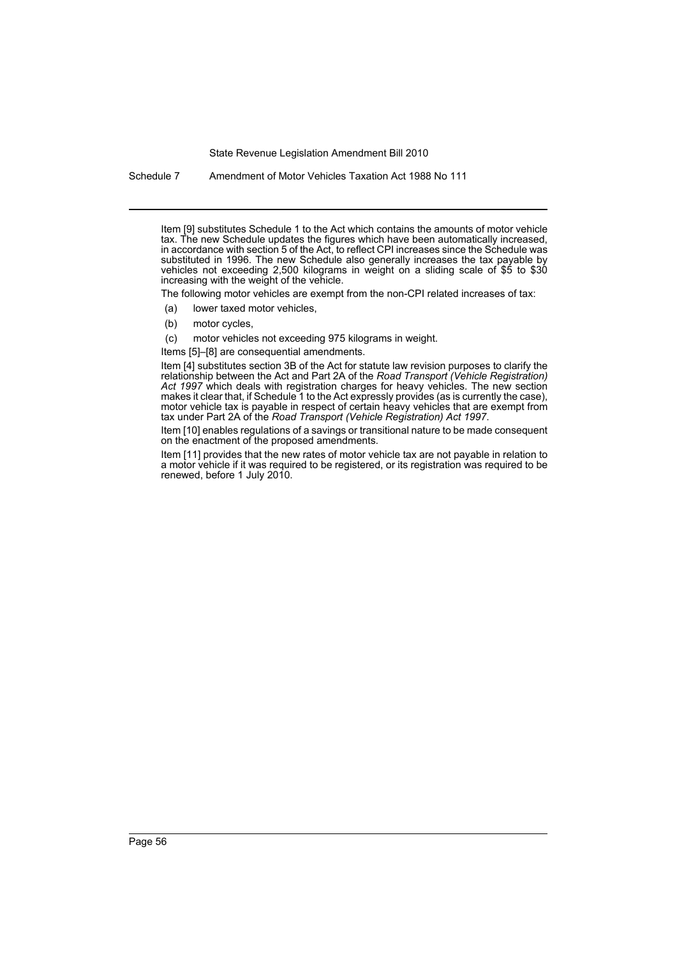Schedule 7 Amendment of Motor Vehicles Taxation Act 1988 No 111

Item [9] substitutes Schedule 1 to the Act which contains the amounts of motor vehicle tax. The new Schedule updates the figures which have been automatically increased, in accordance with section 5 of the Act, to reflect CPI increases since the Schedule was substituted in 1996. The new Schedule also generally increases the tax payable by vehicles not exceeding 2,500 kilograms in weight on a sliding scale of \$5 to \$30 increasing with the weight of the vehicle.

The following motor vehicles are exempt from the non-CPI related increases of tax:

- (a) lower taxed motor vehicles,
- (b) motor cycles,

(c) motor vehicles not exceeding 975 kilograms in weight.

Items [5]–[8] are consequential amendments.

Item [4] substitutes section 3B of the Act for statute law revision purposes to clarify the relationship between the Act and Part 2A of the *Road Transport (Vehicle Registration)* Act 1997 which deals with registration charges for heavy vehicles. The new section makes it clear that, if Schedule 1 to the Act expressly provides (as is currently the case), motor vehicle tax is payable in respect of certain heavy vehicles that are exempt from tax under Part 2A of the *Road Transport (Vehicle Registration) Act 1997*.

Item [10] enables regulations of a savings or transitional nature to be made consequent on the enactment of the proposed amendments.

Item [11] provides that the new rates of motor vehicle tax are not payable in relation to a motor vehicle if it was required to be registered, or its registration was required to be renewed, before 1 July 2010.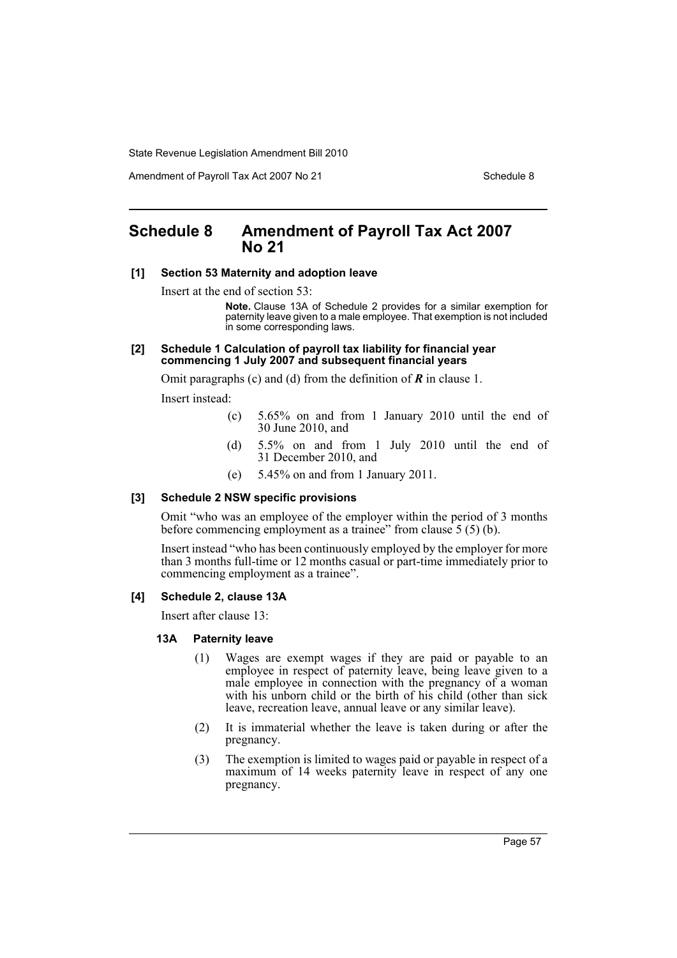Amendment of Payroll Tax Act 2007 No 21 Schedule 8

# **Schedule 8 Amendment of Payroll Tax Act 2007 No 21**

#### **[1] Section 53 Maternity and adoption leave**

Insert at the end of section 53:

**Note.** Clause 13A of Schedule 2 provides for a similar exemption for paternity leave given to a male employee. That exemption is not included in some corresponding laws.

#### **[2] Schedule 1 Calculation of payroll tax liability for financial year commencing 1 July 2007 and subsequent financial years**

Omit paragraphs (c) and (d) from the definition of *R* in clause 1.

Insert instead:

- (c) 5.65% on and from 1 January 2010 until the end of 30 June 2010, and
- (d) 5.5% on and from 1 July 2010 until the end of 31 December 2010, and
- (e) 5.45% on and from 1 January 2011.

### **[3] Schedule 2 NSW specific provisions**

Omit "who was an employee of the employer within the period of 3 months before commencing employment as a trainee" from clause 5 (5) (b).

Insert instead "who has been continuously employed by the employer for more than 3 months full-time or 12 months casual or part-time immediately prior to commencing employment as a trainee".

#### **[4] Schedule 2, clause 13A**

Insert after clause 13:

#### **13A Paternity leave**

- (1) Wages are exempt wages if they are paid or payable to an employee in respect of paternity leave, being leave given to a male employee in connection with the pregnancy of a woman with his unborn child or the birth of his child (other than sick) leave, recreation leave, annual leave or any similar leave).
- (2) It is immaterial whether the leave is taken during or after the pregnancy.
- (3) The exemption is limited to wages paid or payable in respect of a maximum of 14 weeks paternity leave in respect of any one pregnancy.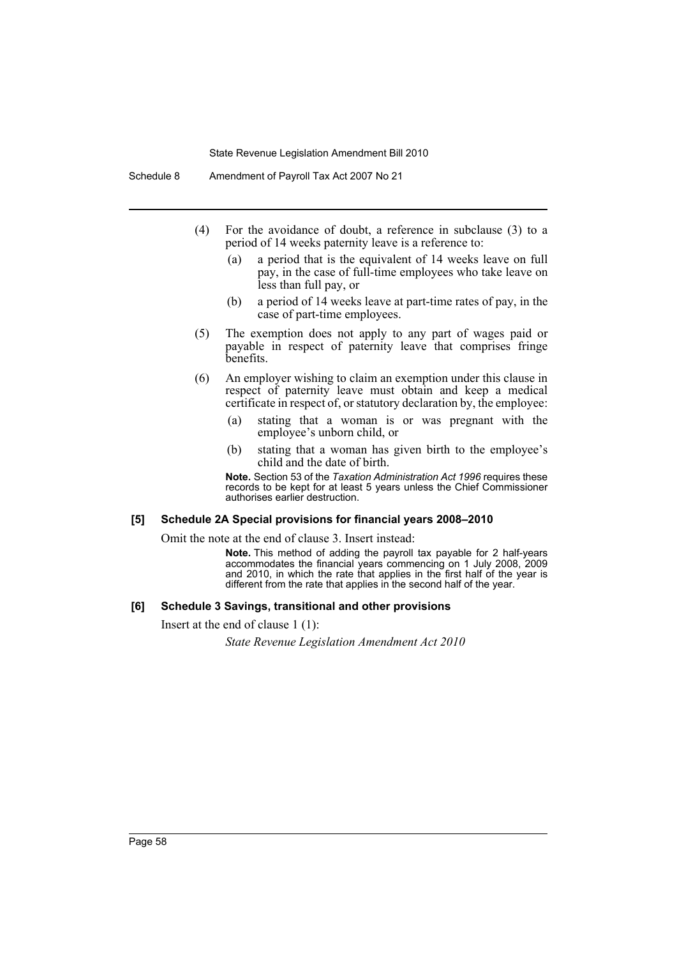- (4) For the avoidance of doubt, a reference in subclause (3) to a period of 14 weeks paternity leave is a reference to:
	- (a) a period that is the equivalent of 14 weeks leave on full pay, in the case of full-time employees who take leave on less than full pay, or
	- (b) a period of 14 weeks leave at part-time rates of pay, in the case of part-time employees.
- (5) The exemption does not apply to any part of wages paid or payable in respect of paternity leave that comprises fringe benefits.
- (6) An employer wishing to claim an exemption under this clause in respect of paternity leave must obtain and keep a medical certificate in respect of, or statutory declaration by, the employee:
	- (a) stating that a woman is or was pregnant with the employee's unborn child, or
	- (b) stating that a woman has given birth to the employee's child and the date of birth.

**Note.** Section 53 of the *Taxation Administration Act 1996* requires these records to be kept for at least 5 years unless the Chief Commissioner authorises earlier destruction.

#### **[5] Schedule 2A Special provisions for financial years 2008–2010**

Omit the note at the end of clause 3. Insert instead:

**Note.** This method of adding the payroll tax payable for 2 half-years accommodates the financial years commencing on 1 July 2008, 2009 and 2010, in which the rate that applies in the first half of the year is different from the rate that applies in the second half of the year.

### **[6] Schedule 3 Savings, transitional and other provisions**

Insert at the end of clause 1 (1):

*State Revenue Legislation Amendment Act 2010*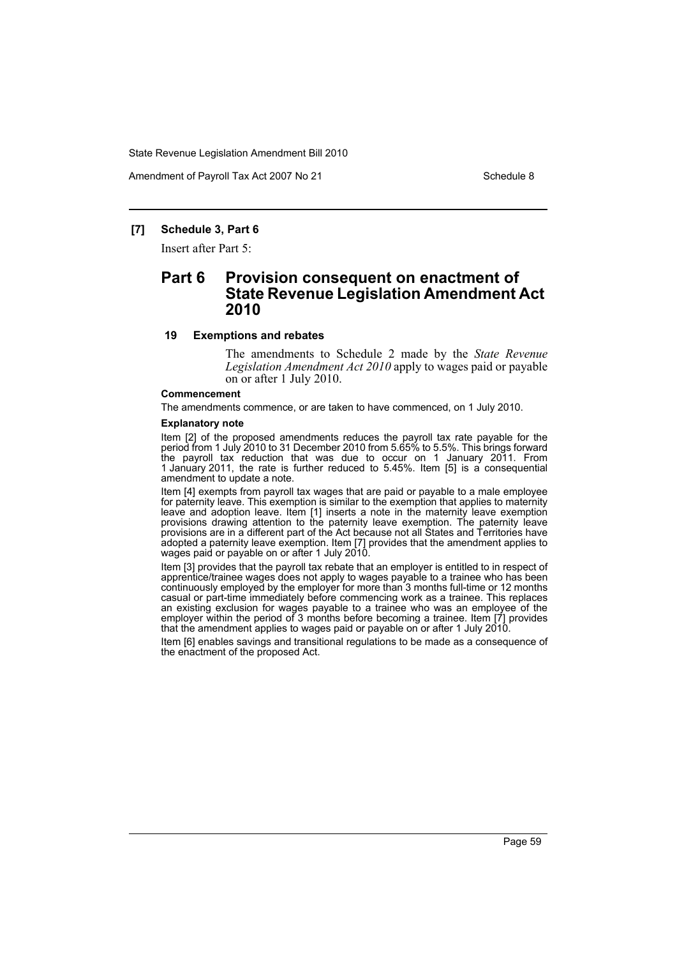Amendment of Payroll Tax Act 2007 No 21 Schedule 8

# **[7] Schedule 3, Part 6**

Insert after Part 5:

# **Part 6 Provision consequent on enactment of State Revenue Legislation Amendment Act 2010**

#### **19 Exemptions and rebates**

The amendments to Schedule 2 made by the *State Revenue Legislation Amendment Act 2010* apply to wages paid or payable on or after 1 July 2010.

#### **Commencement**

The amendments commence, or are taken to have commenced, on 1 July 2010.

#### **Explanatory note**

Item [2] of the proposed amendments reduces the payroll tax rate payable for the period from 1 July 2010 to 31 December 2010 from 5.65% to 5.5%. This brings forward the payroll tax reduction that was due to occur on 1 January 2011. From 1 January 2011, the rate is further reduced to 5.45%. Item [5] is a consequential amendment to update a note.

Item [4] exempts from payroll tax wages that are paid or payable to a male employee for paternity leave. This exemption is similar to the exemption that applies to maternity leave and adoption leave. Item [1] inserts a note in the maternity leave exemption provisions drawing attention to the paternity leave exemption. The paternity leave provisions are in a different part of the Act because not all States and Territories have adopted a paternity leave exemption. Item [7] provides that the amendment applies to wages paid or payable on or after 1 July 2010.

Item [3] provides that the payroll tax rebate that an employer is entitled to in respect of apprentice/trainee wages does not apply to wages payable to a trainee who has been continuously employed by the employer for more than 3 months full-time or 12 months casual or part-time immediately before commencing work as a trainee. This replaces an existing exclusion for wages payable to a trainee who was an employee of the employer within the period of 3 months before becoming a trainee. Item [7] provides that the amendment applies to wages paid or payable on or after 1 July 2010.

Item [6] enables savings and transitional regulations to be made as a consequence of the enactment of the proposed Act.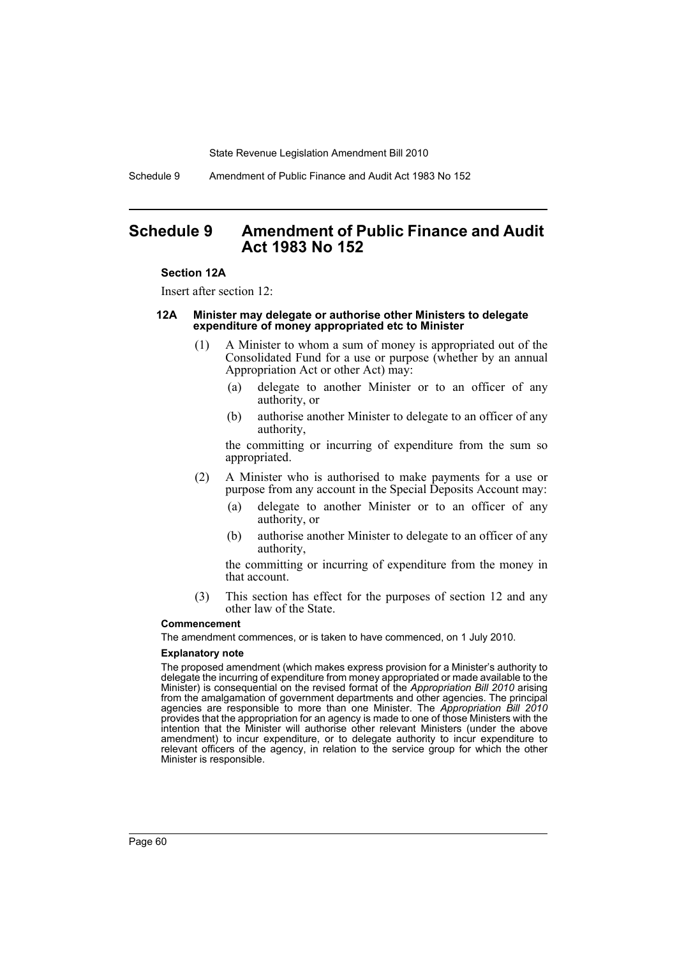Schedule 9 Amendment of Public Finance and Audit Act 1983 No 152

# **Schedule 9 Amendment of Public Finance and Audit Act 1983 No 152**

#### **Section 12A**

Insert after section 12:

#### **12A Minister may delegate or authorise other Ministers to delegate expenditure of money appropriated etc to Minister**

- (1) A Minister to whom a sum of money is appropriated out of the Consolidated Fund for a use or purpose (whether by an annual Appropriation Act or other Act) may:
	- (a) delegate to another Minister or to an officer of any authority, or
	- (b) authorise another Minister to delegate to an officer of any authority,

the committing or incurring of expenditure from the sum so appropriated.

- (2) A Minister who is authorised to make payments for a use or purpose from any account in the Special Deposits Account may:
	- (a) delegate to another Minister or to an officer of any authority, or
	- (b) authorise another Minister to delegate to an officer of any authority,

the committing or incurring of expenditure from the money in that account.

(3) This section has effect for the purposes of section 12 and any other law of the State.

#### **Commencement**

The amendment commences, or is taken to have commenced, on 1 July 2010.

#### **Explanatory note**

The proposed amendment (which makes express provision for a Minister's authority to delegate the incurring of expenditure from money appropriated or made available to the Minister) is consequential on the revised format of the *Appropriation Bill 2010* arising from the amalgamation of government departments and other agencies. The principal agencies are responsible to more than one Minister. The *Appropriation Bill 2010* provides that the appropriation for an agency is made to one of those Ministers with the intention that the Minister will authorise other relevant Ministers (under the above amendment) to incur expenditure, or to delegate authority to incur expenditure to relevant officers of the agency, in relation to the service group for which the other Minister is responsible.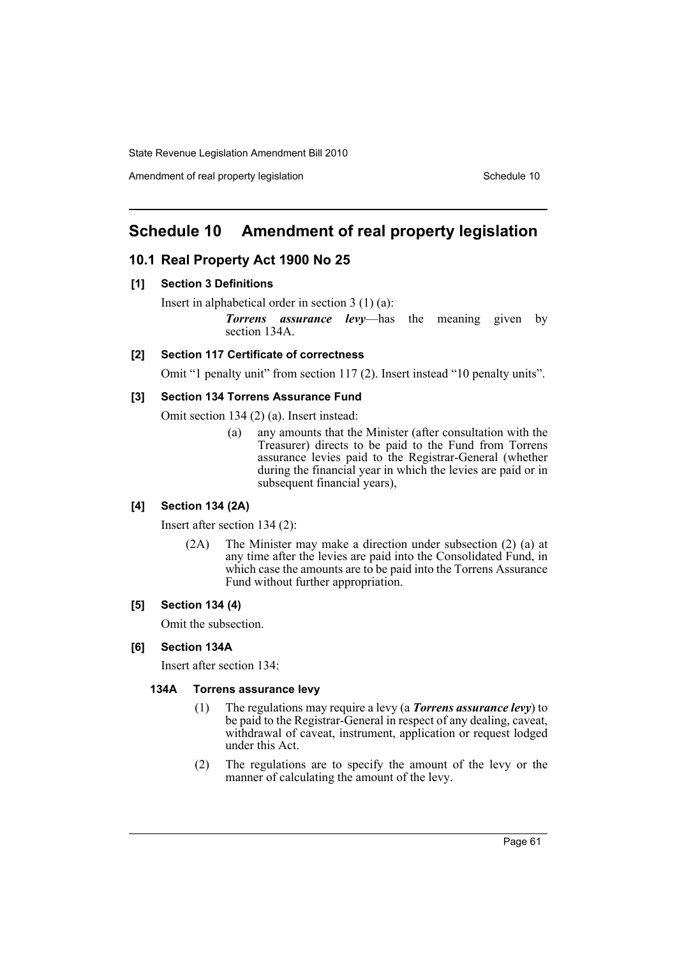Amendment of real property legislation Schedule 10

# **Schedule 10 Amendment of real property legislation**

# **10.1 Real Property Act 1900 No 25**

# **[1] Section 3 Definitions**

Insert in alphabetical order in section 3 (1) (a):

*Torrens assurance levy*—has the meaning given by section 134A.

# **[2] Section 117 Certificate of correctness**

Omit "1 penalty unit" from section 117 (2). Insert instead "10 penalty units".

# **[3] Section 134 Torrens Assurance Fund**

Omit section 134 (2) (a). Insert instead:

(a) any amounts that the Minister (after consultation with the Treasurer) directs to be paid to the Fund from Torrens assurance levies paid to the Registrar-General (whether during the financial year in which the levies are paid or in subsequent financial years),

# **[4] Section 134 (2A)**

Insert after section 134 (2):

(2A) The Minister may make a direction under subsection (2) (a) at any time after the levies are paid into the Consolidated Fund, in which case the amounts are to be paid into the Torrens Assurance Fund without further appropriation.

# **[5] Section 134 (4)**

Omit the subsection.

### **[6] Section 134A**

Insert after section 134:

# **134A Torrens assurance levy**

- (1) The regulations may require a levy (a *Torrens assurance levy*) to be paid to the Registrar-General in respect of any dealing, caveat, withdrawal of caveat, instrument, application or request lodged under this Act.
- (2) The regulations are to specify the amount of the levy or the manner of calculating the amount of the levy.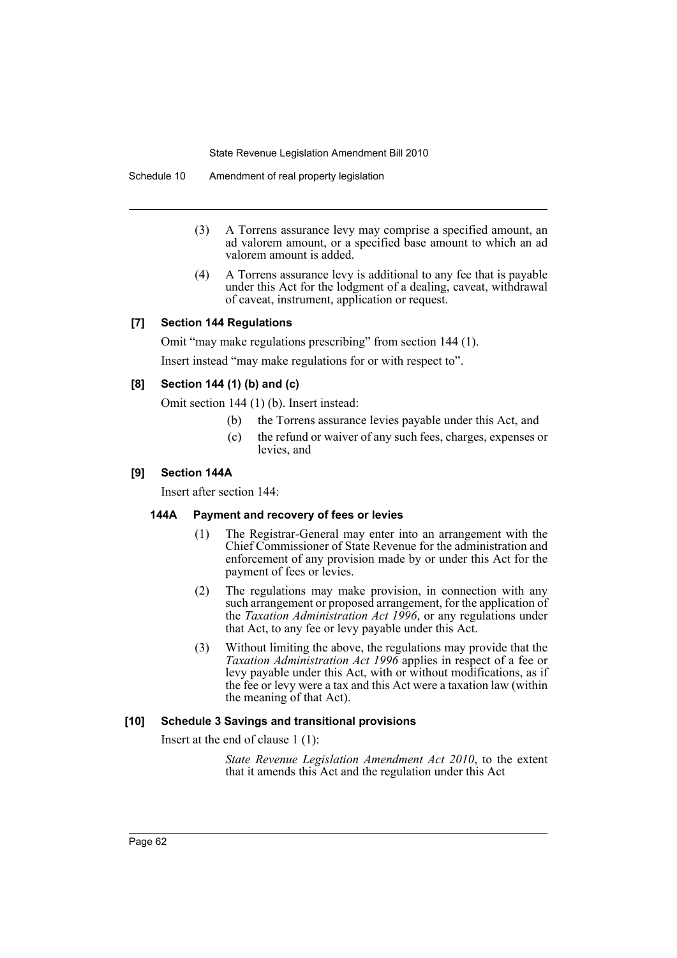Schedule 10 Amendment of real property legislation

- (3) A Torrens assurance levy may comprise a specified amount, an ad valorem amount, or a specified base amount to which an ad valorem amount is added.
- (4) A Torrens assurance levy is additional to any fee that is payable under this Act for the lodgment of a dealing, caveat, withdrawal of caveat, instrument, application or request.

# **[7] Section 144 Regulations**

Omit "may make regulations prescribing" from section 144 (1).

Insert instead "may make regulations for or with respect to".

# **[8] Section 144 (1) (b) and (c)**

Omit section 144 (1) (b). Insert instead:

- (b) the Torrens assurance levies payable under this Act, and
- (c) the refund or waiver of any such fees, charges, expenses or levies, and

### **[9] Section 144A**

Insert after section 144:

#### **144A Payment and recovery of fees or levies**

- (1) The Registrar-General may enter into an arrangement with the Chief Commissioner of State Revenue for the administration and enforcement of any provision made by or under this Act for the payment of fees or levies.
- (2) The regulations may make provision, in connection with any such arrangement or proposed arrangement, for the application of the *Taxation Administration Act 1996*, or any regulations under that Act, to any fee or levy payable under this Act.
- (3) Without limiting the above, the regulations may provide that the *Taxation Administration Act 1996* applies in respect of a fee or levy payable under this Act, with or without modifications, as if the fee or levy were a tax and this Act were a taxation law (within the meaning of that Act).

#### **[10] Schedule 3 Savings and transitional provisions**

Insert at the end of clause 1 (1):

*State Revenue Legislation Amendment Act 2010*, to the extent that it amends this Act and the regulation under this Act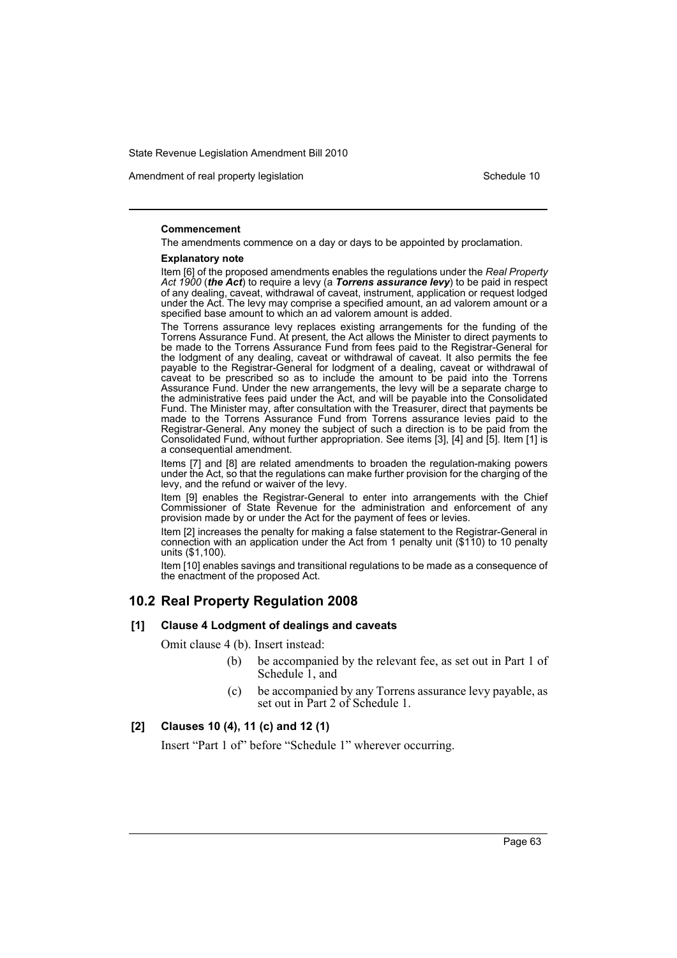Amendment of real property legislation Schedule 10

#### **Commencement**

The amendments commence on a day or days to be appointed by proclamation.

#### **Explanatory note**

Item [6] of the proposed amendments enables the regulations under the *Real Property Act 1900* (*the Act*) to require a levy (a *Torrens assurance levy*) to be paid in respect of any dealing, caveat, withdrawal of caveat, instrument, application or request lodged under the Act. The levy may comprise a specified amount, an ad valorem amount or a specified base amount to which an ad valorem amount is added.

The Torrens assurance levy replaces existing arrangements for the funding of the Torrens Assurance Fund. At present, the Act allows the Minister to direct payments to be made to the Torrens Assurance Fund from fees paid to the Registrar-General for the lodgment of any dealing, caveat or withdrawal of caveat. It also permits the fee payable to the Registrar-General for lodgment of a dealing, caveat or withdrawal of caveat to be prescribed so as to include the amount to be paid into the Torrens Assurance Fund. Under the new arrangements, the levy will be a separate charge to the administrative fees paid under the Act, and will be payable into the Consolidated Fund. The Minister may, after consultation with the Treasurer, direct that payments be made to the Torrens Assurance Fund from Torrens assurance levies paid to the Registrar-General. Any money the subject of such a direction is to be paid from the Consolidated Fund, without further appropriation. See items [3], [4] and [5]. Item [1] is a consequential amendment.

Items [7] and [8] are related amendments to broaden the regulation-making powers under the Act, so that the regulations can make further provision for the charging of the levy, and the refund or waiver of the levy.

Item [9] enables the Registrar-General to enter into arrangements with the Chief Commissioner of State Revenue for the administration and enforcement of any provision made by or under the Act for the payment of fees or levies.

Item [2] increases the penalty for making a false statement to the Registrar-General in connection with an application under the Act from 1 penalty unit (\$110) to 10 penalty units (\$1,100).

Item [10] enables savings and transitional regulations to be made as a consequence of the enactment of the proposed Act.

# **10.2 Real Property Regulation 2008**

#### **[1] Clause 4 Lodgment of dealings and caveats**

Omit clause 4 (b). Insert instead:

- (b) be accompanied by the relevant fee, as set out in Part 1 of Schedule 1, and
- (c) be accompanied by any Torrens assurance levy payable, as set out in Part 2 of Schedule 1.

# **[2] Clauses 10 (4), 11 (c) and 12 (1)**

Insert "Part 1 of" before "Schedule 1" wherever occurring.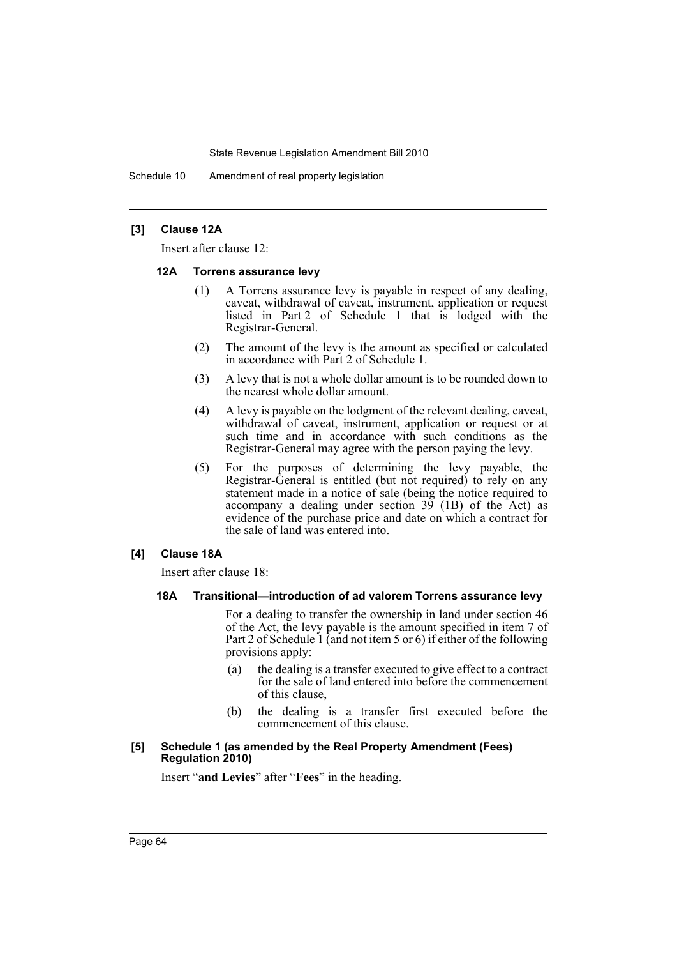Schedule 10 Amendment of real property legislation

# **[3] Clause 12A**

Insert after clause 12:

### **12A Torrens assurance levy**

- (1) A Torrens assurance levy is payable in respect of any dealing, caveat, withdrawal of caveat, instrument, application or request listed in Part 2 of Schedule 1 that is lodged with the Registrar-General.
- (2) The amount of the levy is the amount as specified or calculated in accordance with Part 2 of Schedule 1.
- (3) A levy that is not a whole dollar amount is to be rounded down to the nearest whole dollar amount.
- (4) A levy is payable on the lodgment of the relevant dealing, caveat, withdrawal of caveat, instrument, application or request or at such time and in accordance with such conditions as the Registrar-General may agree with the person paying the levy.
- (5) For the purposes of determining the levy payable, the Registrar-General is entitled (but not required) to rely on any statement made in a notice of sale (being the notice required to accompany a dealing under section  $3\overline{9}$  (1B) of the Act) as evidence of the purchase price and date on which a contract for the sale of land was entered into.

# **[4] Clause 18A**

Insert after clause 18:

### **18A Transitional—introduction of ad valorem Torrens assurance levy**

For a dealing to transfer the ownership in land under section 46 of the Act, the levy payable is the amount specified in item 7 of Part 2 of Schedule 1 (and not item 5 or 6) if either of the following provisions apply:

- (a) the dealing is a transfer executed to give effect to a contract for the sale of land entered into before the commencement of this clause,
- (b) the dealing is a transfer first executed before the commencement of this clause.

#### **[5] Schedule 1 (as amended by the Real Property Amendment (Fees) Regulation 2010)**

Insert "**and Levies**" after "**Fees**" in the heading.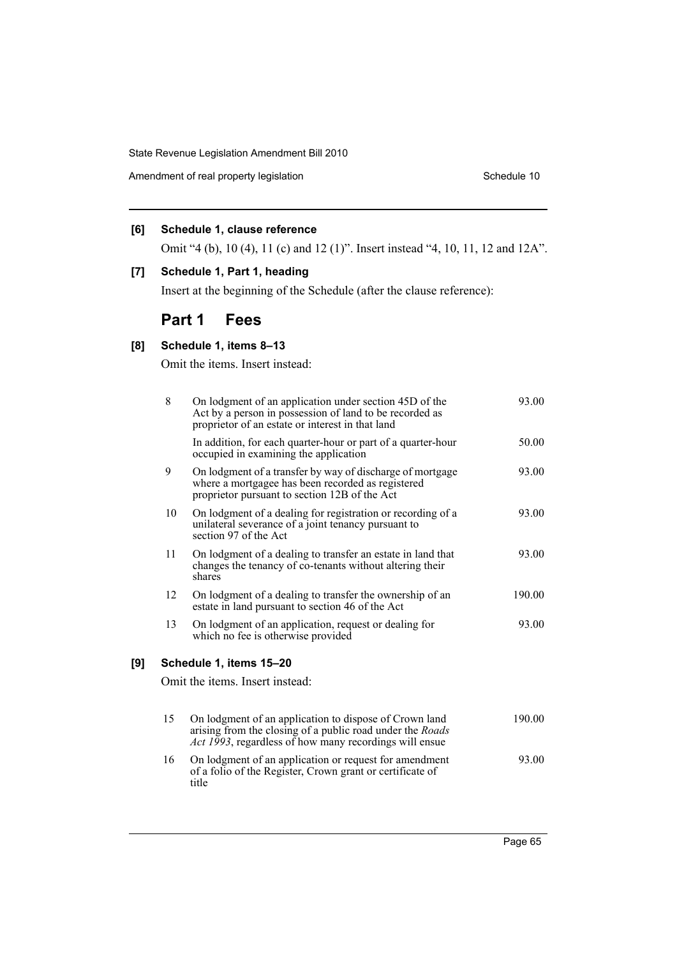Amendment of real property legislation Schedule 10

# **[6] Schedule 1, clause reference**

Omit "4 (b), 10 (4), 11 (c) and 12 (1)". Insert instead "4, 10, 11, 12 and 12A".

# **[7] Schedule 1, Part 1, heading**

Insert at the beginning of the Schedule (after the clause reference):

# **Part 1 Fees**

# **[8] Schedule 1, items 8–13**

**[9] Schedule 1, items 15–20**

Omit the items. Insert instead:

| 8  | On lodgment of an application under section 45D of the<br>Act by a person in possession of land to be recorded as<br>proprietor of an estate or interest in that land                 | 93.00  |
|----|---------------------------------------------------------------------------------------------------------------------------------------------------------------------------------------|--------|
|    | In addition, for each quarter-hour or part of a quarter-hour<br>occupied in examining the application                                                                                 | 50.00  |
| 9  | On lodgment of a transfer by way of discharge of mortgage<br>where a mortgagee has been recorded as registered<br>proprietor pursuant to section 12B of the Act                       | 93.00  |
| 10 | On lodgment of a dealing for registration or recording of a<br>unilateral severance of a joint tenancy pursuant to<br>section 97 of the Act                                           | 93.00  |
| 11 | On lodgment of a dealing to transfer an estate in land that<br>changes the tenancy of co-tenants without altering their<br>shares                                                     | 93.00  |
| 12 | On lodgment of a dealing to transfer the ownership of an<br>estate in land pursuant to section 46 of the Act                                                                          | 190.00 |
| 13 | On lodgment of an application, request or dealing for<br>which no fee is otherwise provided                                                                                           | 93.00  |
|    | Schedule 1, items 15-20                                                                                                                                                               |        |
|    | Omit the items. Insert instead:                                                                                                                                                       |        |
| 15 | On lodgment of an application to dispose of Crown land<br>arising from the closing of a public road under the Roads<br><i>Act 1993</i> , regardless of how many recordings will ensue | 190.00 |
| 16 | On lodgment of an application or request for amendment<br>of a folio of the Register, Crown grant or certificate of<br>title                                                          | 93.00  |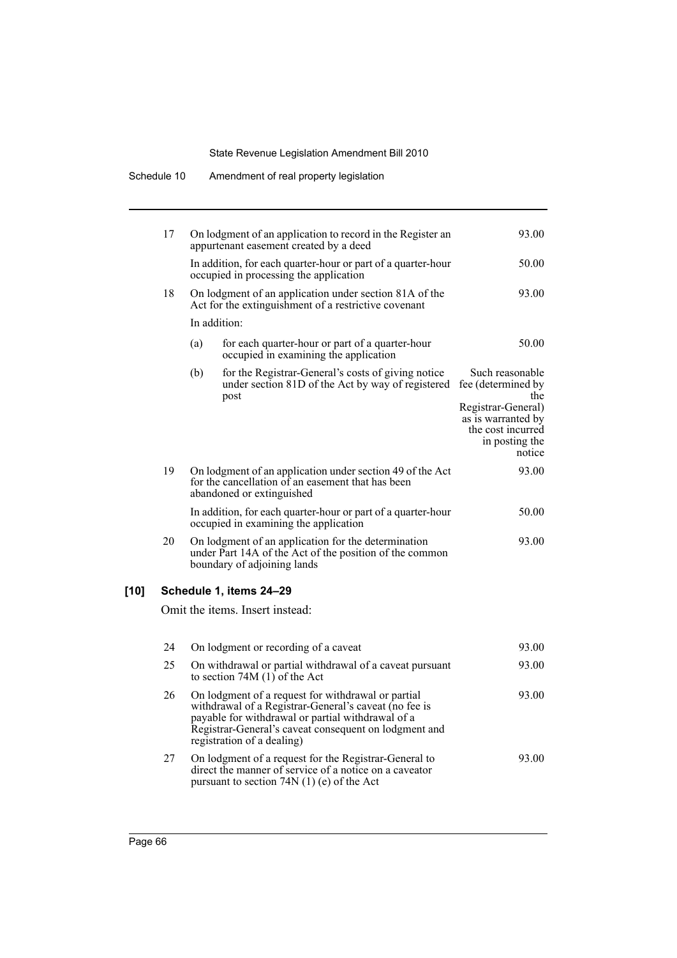|      | Scriedule TV | Allengulerit of real property registation                                                                                                                                                                                                               |                                                                                                                                           |
|------|--------------|---------------------------------------------------------------------------------------------------------------------------------------------------------------------------------------------------------------------------------------------------------|-------------------------------------------------------------------------------------------------------------------------------------------|
|      | 17           | On lodgment of an application to record in the Register an<br>appurtenant easement created by a deed                                                                                                                                                    | 93.00                                                                                                                                     |
|      |              | In addition, for each quarter-hour or part of a quarter-hour<br>occupied in processing the application                                                                                                                                                  | 50.00                                                                                                                                     |
|      | 18           | On lodgment of an application under section 81A of the<br>Act for the extinguishment of a restrictive covenant                                                                                                                                          | 93.00                                                                                                                                     |
|      |              | In addition:                                                                                                                                                                                                                                            |                                                                                                                                           |
|      |              | for each quarter-hour or part of a quarter-hour<br>(a)<br>occupied in examining the application                                                                                                                                                         | 50.00                                                                                                                                     |
|      |              | (b)<br>for the Registrar-General's costs of giving notice<br>under section 81D of the Act by way of registered<br>post                                                                                                                                  | Such reasonable<br>fee (determined by<br>the<br>Registrar-General)<br>as is warranted by<br>the cost incurred<br>in posting the<br>notice |
|      | 19           | On lodgment of an application under section 49 of the Act<br>for the cancellation of an easement that has been<br>abandoned or extinguished                                                                                                             | 93.00                                                                                                                                     |
|      |              | In addition, for each quarter-hour or part of a quarter-hour<br>occupied in examining the application                                                                                                                                                   | 50.00                                                                                                                                     |
|      | 20           | On lodgment of an application for the determination<br>under Part 14A of the Act of the position of the common<br>boundary of adjoining lands                                                                                                           | 93.00                                                                                                                                     |
| [10] |              | Schedule 1, items 24-29                                                                                                                                                                                                                                 |                                                                                                                                           |
|      |              | Omit the items. Insert instead:                                                                                                                                                                                                                         |                                                                                                                                           |
|      | 24           | On lodgment or recording of a caveat                                                                                                                                                                                                                    | 93.00                                                                                                                                     |
|      | 25           | On withdrawal or partial withdrawal of a caveat pursuant<br>to section $74M(1)$ of the Act                                                                                                                                                              | 93.00                                                                                                                                     |
|      | 26           | On lodgment of a request for withdrawal or partial<br>withdrawal of a Registrar-General's caveat (no fee is<br>payable for withdrawal or partial withdrawal of a<br>Registrar-General's caveat consequent on lodgment and<br>registration of a dealing) | 93.00                                                                                                                                     |
|      | 27           | On lodgment of a request for the Registrar-General to<br>direct the manner of service of a notice on a caveator<br>pursuant to section 74N $(1)$ (e) of the Act                                                                                         | 93.00                                                                                                                                     |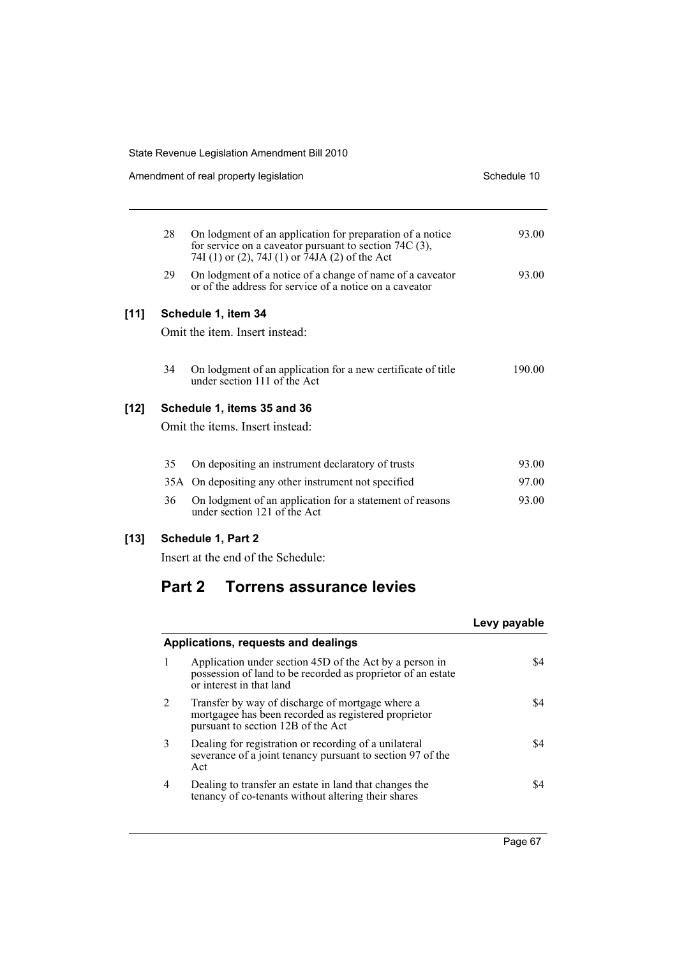|      |    | Amendment of real property legislation                                                                                                                                  | Schedule 10 |
|------|----|-------------------------------------------------------------------------------------------------------------------------------------------------------------------------|-------------|
|      | 28 | On lodgment of an application for preparation of a notice<br>for service on a caveator pursuant to section $74C(3)$ ,<br>74I (1) or (2), 74J (1) or 74JA (2) of the Act | 93.00       |
|      | 29 | On lodgment of a notice of a change of name of a caveator<br>or of the address for service of a notice on a caveator                                                    | 93.00       |
| [11] |    | Schedule 1, item 34                                                                                                                                                     |             |
|      |    | Omit the item. Insert instead:                                                                                                                                          |             |
|      | 34 | On lodgment of an application for a new certificate of title<br>under section 111 of the Act                                                                            | 190.00      |
| [12] |    | Schedule 1, items 35 and 36                                                                                                                                             |             |
|      |    | Omit the items. Insert instead:                                                                                                                                         |             |
|      | 35 | On depositing an instrument declaratory of trusts                                                                                                                       | 93.00       |
|      |    | 35A On depositing any other instrument not specified                                                                                                                    | 97.00       |
|      | 36 | On lodgment of an application for a statement of reasons<br>under section 121 of the Act                                                                                | 93.00       |
| [13] |    | <b>Schedule 1, Part 2</b>                                                                                                                                               |             |

Insert at the end of the Schedule:

# **Part 2 Torrens assurance levies**

|   |                                                                                                                                                     | Levy payable |
|---|-----------------------------------------------------------------------------------------------------------------------------------------------------|--------------|
|   | Applications, requests and dealings                                                                                                                 |              |
|   | Application under section 45D of the Act by a person in<br>possession of land to be recorded as proprietor of an estate<br>or interest in that land | \$4          |
| 2 | Transfer by way of discharge of mortgage where a<br>mortgagee has been recorded as registered proprietor<br>pursuant to section 12B of the Act      | \$4          |
| 3 | Dealing for registration or recording of a unilateral<br>severance of a joint tenancy pursuant to section 97 of the<br>Act                          | S4           |
| 4 | Dealing to transfer an estate in land that changes the<br>tenancy of co-tenants without altering their shares                                       | S4           |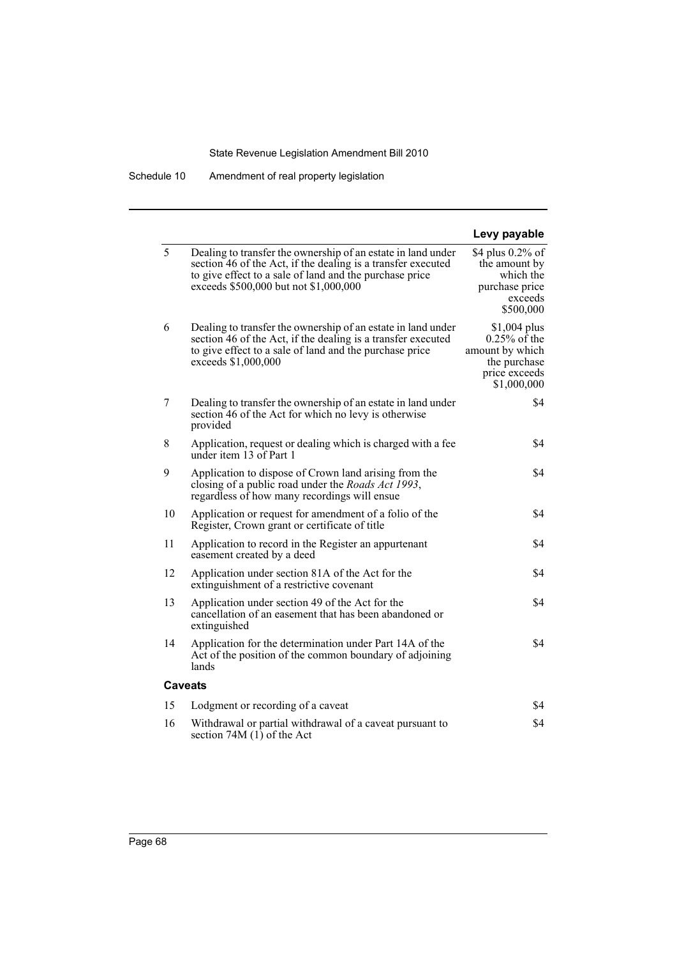|    |                                                                                                                                                                                                                                  | Levy payable                                                                                        |
|----|----------------------------------------------------------------------------------------------------------------------------------------------------------------------------------------------------------------------------------|-----------------------------------------------------------------------------------------------------|
| 5  | Dealing to transfer the ownership of an estate in land under<br>section 46 of the Act, if the dealing is a transfer executed<br>to give effect to a sale of land and the purchase price<br>exceeds \$500,000 but not \$1,000,000 | \$4 plus 0.2% of<br>the amount by<br>which the<br>purchase price<br>exceeds<br>\$500,000            |
| 6  | Dealing to transfer the ownership of an estate in land under<br>section 46 of the Act, if the dealing is a transfer executed<br>to give effect to a sale of land and the purchase price<br>exceeds \$1,000,000                   | $$1,004$ plus<br>$0.25\%$ of the<br>amount by which<br>the purchase<br>price exceeds<br>\$1,000,000 |
| 7  | Dealing to transfer the ownership of an estate in land under<br>section 46 of the Act for which no levy is otherwise<br>provided                                                                                                 | \$4                                                                                                 |
| 8  | Application, request or dealing which is charged with a fee<br>under item 13 of Part 1                                                                                                                                           | \$4                                                                                                 |
| 9  | Application to dispose of Crown land arising from the<br>closing of a public road under the <i>Roads Act 1993</i> ,<br>regardless of how many recordings will ensue                                                              | \$4                                                                                                 |
| 10 | Application or request for amendment of a folio of the<br>Register, Crown grant or certificate of title                                                                                                                          | \$4                                                                                                 |
| 11 | Application to record in the Register an appurtenant<br>easement created by a deed                                                                                                                                               | \$4                                                                                                 |
| 12 | Application under section 81A of the Act for the<br>extinguishment of a restrictive covenant                                                                                                                                     | \$4                                                                                                 |
| 13 | Application under section 49 of the Act for the<br>cancellation of an easement that has been abandoned or<br>extinguished                                                                                                        | \$4                                                                                                 |
| 14 | Application for the determination under Part 14A of the<br>Act of the position of the common boundary of adjoining<br>lands                                                                                                      | \$4                                                                                                 |
|    | Caveats                                                                                                                                                                                                                          |                                                                                                     |
| 15 | Lodgment or recording of a caveat                                                                                                                                                                                                | \$4                                                                                                 |
| 16 | Withdrawal or partial withdrawal of a caveat pursuant to<br>section 74M (1) of the Act                                                                                                                                           | \$4                                                                                                 |
|    |                                                                                                                                                                                                                                  |                                                                                                     |

Schedule 10 Amendment of real property legislation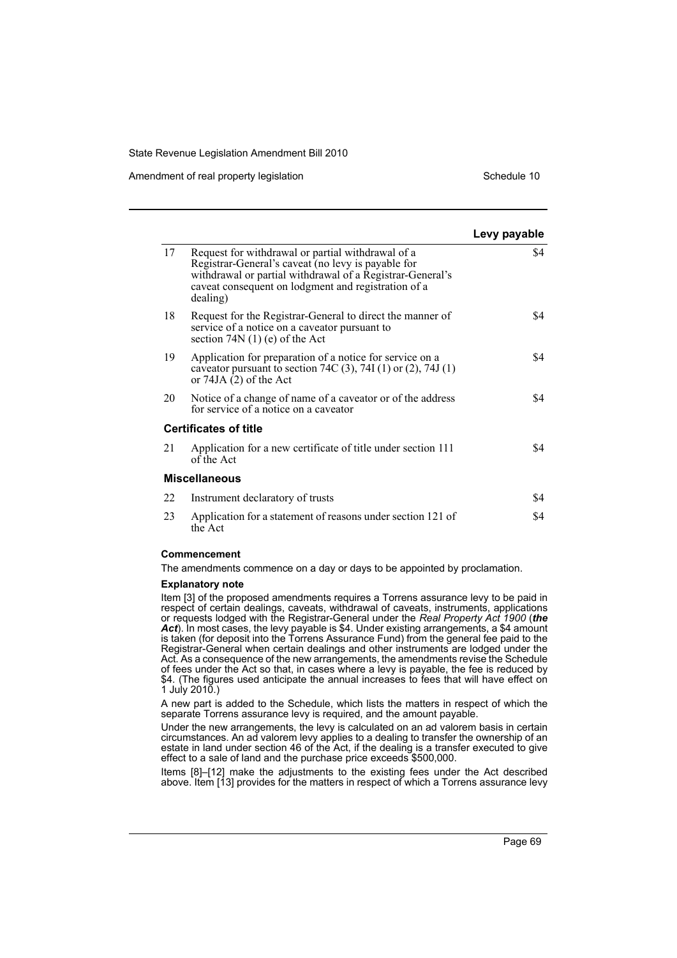Amendment of real property legislation Schedule 10

|    |                                                                                                                                                                                                                                         | Levy payable |
|----|-----------------------------------------------------------------------------------------------------------------------------------------------------------------------------------------------------------------------------------------|--------------|
| 17 | Request for withdrawal or partial withdrawal of a<br>Registrar-General's caveat (no levy is payable for<br>withdrawal or partial withdrawal of a Registrar-General's<br>caveat consequent on lodgment and registration of a<br>dealing) | \$4          |
| 18 | Request for the Registrar-General to direct the manner of<br>service of a notice on a caveator pursuant to<br>section $74N(1)$ (e) of the Act                                                                                           | \$4          |
| 19 | Application for preparation of a notice for service on a<br>caveator pursuant to section 74C (3), 74I (1) or (2), 74J (1)<br>or $74JA(2)$ of the Act                                                                                    | \$4          |
| 20 | Notice of a change of name of a caveator or of the address<br>for service of a notice on a caveator                                                                                                                                     | \$4          |
|    | <b>Certificates of title</b>                                                                                                                                                                                                            |              |
| 21 | Application for a new certificate of title under section 111<br>of the Act                                                                                                                                                              | \$4          |
|    | <b>Miscellaneous</b>                                                                                                                                                                                                                    |              |
| 22 | Instrument declaratory of trusts                                                                                                                                                                                                        | \$4          |
| 23 | Application for a statement of reasons under section 121 of<br>the Act                                                                                                                                                                  | \$4          |

#### **Commencement**

The amendments commence on a day or days to be appointed by proclamation.

#### **Explanatory note**

Item [3] of the proposed amendments requires a Torrens assurance levy to be paid in respect of certain dealings, caveats, withdrawal of caveats, instruments, applications or requests lodged with the Registrar-General under the *Real Property Act 1900* (*the Act*). In most cases, the levy payable is \$4. Under existing arrangements, a \$4 amount is taken (for deposit into the Torrens Assurance Fund) from the general fee paid to the Registrar-General when certain dealings and other instruments are lodged under the Act. As a consequence of the new arrangements, the amendments revise the Schedule of fees under the Act so that, in cases where a levy is payable, the fee is reduced by \$4. (The figures used anticipate the annual increases to fees that will have effect on  $1$  July 2010.)

A new part is added to the Schedule, which lists the matters in respect of which the separate Torrens assurance levy is required, and the amount payable.

Under the new arrangements, the levy is calculated on an ad valorem basis in certain circumstances. An ad valorem levy applies to a dealing to transfer the ownership of an estate in land under section 46 of the Act, if the dealing is a transfer executed to give effect to a sale of land and the purchase price exceeds \$500,000.

Items [8]–[12] make the adjustments to the existing fees under the Act described above. Item [13] provides for the matters in respect of which a Torrens assurance levy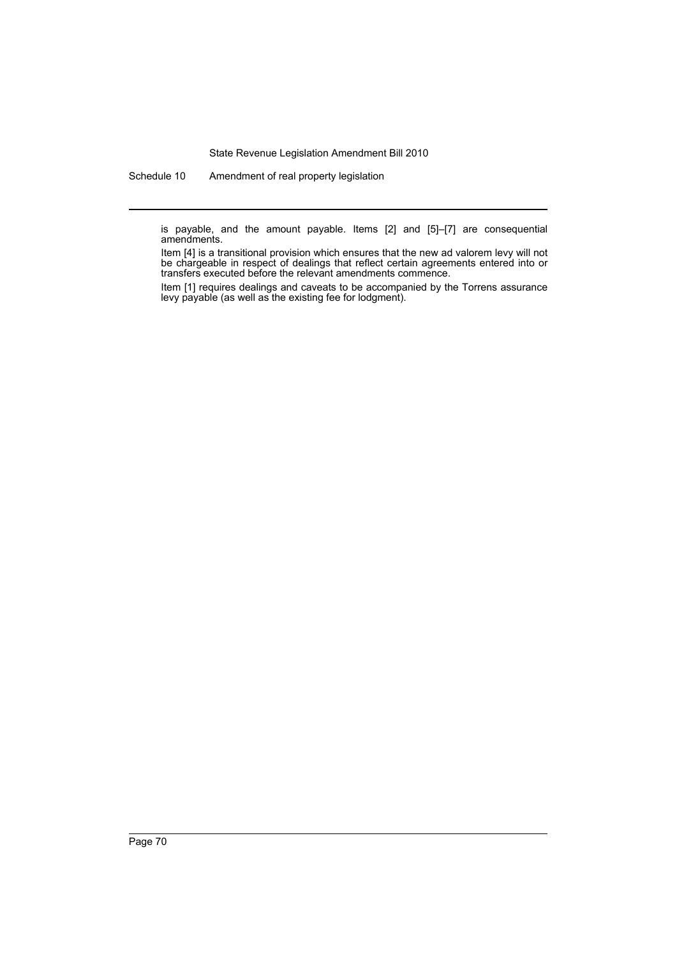Schedule 10 Amendment of real property legislation

is payable, and the amount payable. Items [2] and [5]–[7] are consequential amendments.

Item [4] is a transitional provision which ensures that the new ad valorem levy will not be chargeable in respect of dealings that reflect certain agreements entered into or transfers executed before the relevant amendments commence.

Item [1] requires dealings and caveats to be accompanied by the Torrens assurance levy payable (as well as the existing fee for lodgment).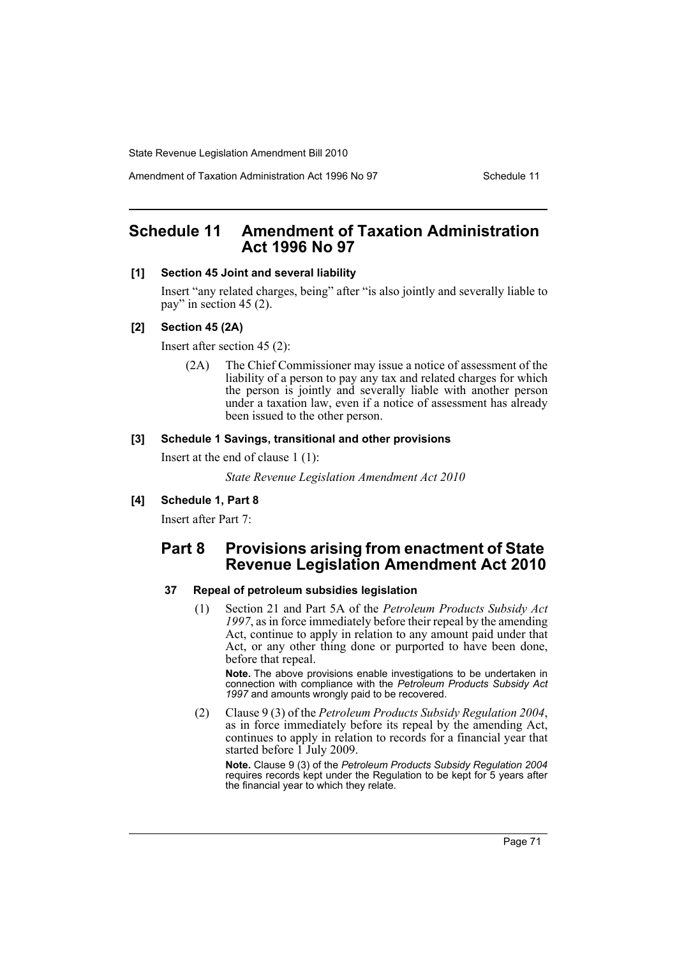Amendment of Taxation Administration Act 1996 No 97 Schedule 11

# **Schedule 11 Amendment of Taxation Administration Act 1996 No 97**

### **[1] Section 45 Joint and several liability**

Insert "any related charges, being" after "is also jointly and severally liable to pay" in section 45 (2).

### **[2] Section 45 (2A)**

Insert after section 45 (2):

(2A) The Chief Commissioner may issue a notice of assessment of the liability of a person to pay any tax and related charges for which the person is jointly and severally liable with another person under a taxation law, even if a notice of assessment has already been issued to the other person.

### **[3] Schedule 1 Savings, transitional and other provisions**

Insert at the end of clause 1 (1):

*State Revenue Legislation Amendment Act 2010*

### **[4] Schedule 1, Part 8**

Insert after Part 7:

# **Part 8 Provisions arising from enactment of State Revenue Legislation Amendment Act 2010**

### **37 Repeal of petroleum subsidies legislation**

(1) Section 21 and Part 5A of the *Petroleum Products Subsidy Act 1997*, as in force immediately before their repeal by the amending Act, continue to apply in relation to any amount paid under that Act, or any other thing done or purported to have been done, before that repeal.

**Note.** The above provisions enable investigations to be undertaken in connection with compliance with the *Petroleum Products Subsidy Act 1997* and amounts wrongly paid to be recovered.

(2) Clause 9 (3) of the *Petroleum Products Subsidy Regulation 2004*, as in force immediately before its repeal by the amending Act, continues to apply in relation to records for a financial year that started before 1 July 2009.

**Note.** Clause 9 (3) of the *Petroleum Products Subsidy Regulation 2004* requires records kept under the Regulation to be kept for 5 years after the financial year to which they relate.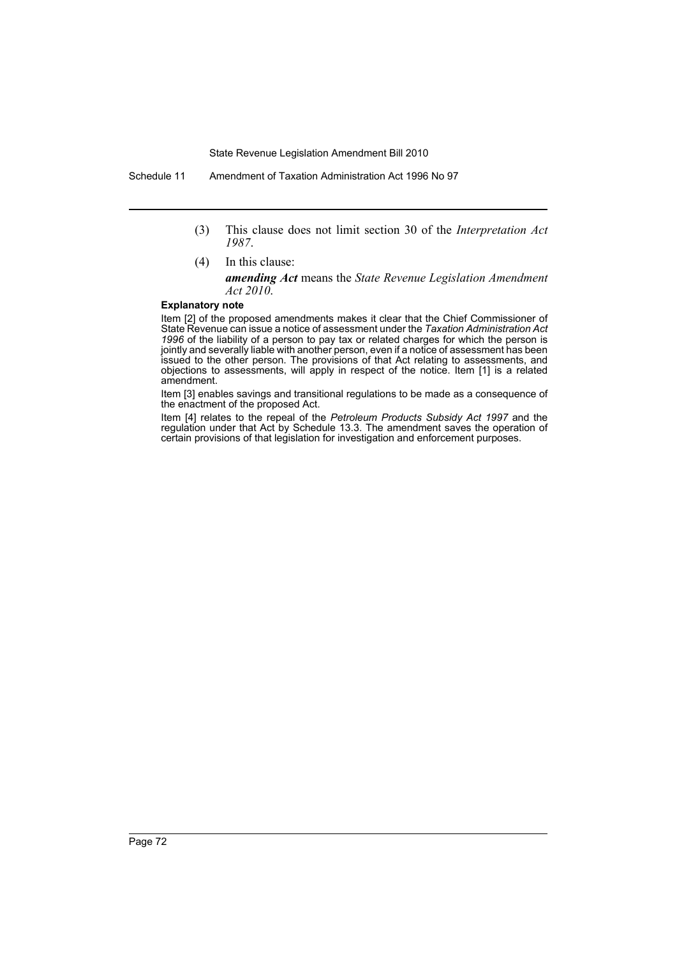- (3) This clause does not limit section 30 of the *Interpretation Act 1987*.
- (4) In this clause: *amending Act* means the *State Revenue Legislation Amendment Act 2010*.

#### **Explanatory note**

Item [2] of the proposed amendments makes it clear that the Chief Commissioner of State Revenue can issue a notice of assessment under the *Taxation Administration Act 1996* of the liability of a person to pay tax or related charges for which the person is jointly and severally liable with another person, even if a notice of assessment has been issued to the other person. The provisions of that Act relating to assessments, and objections to assessments, will apply in respect of the notice. Item [1] is a related amendment.

Item [3] enables savings and transitional regulations to be made as a consequence of the enactment of the proposed Act.

Item [4] relates to the repeal of the *Petroleum Products Subsidy Act 1997* and the regulation under that Act by Schedule 13.3. The amendment saves the operation of certain provisions of that legislation for investigation and enforcement purposes.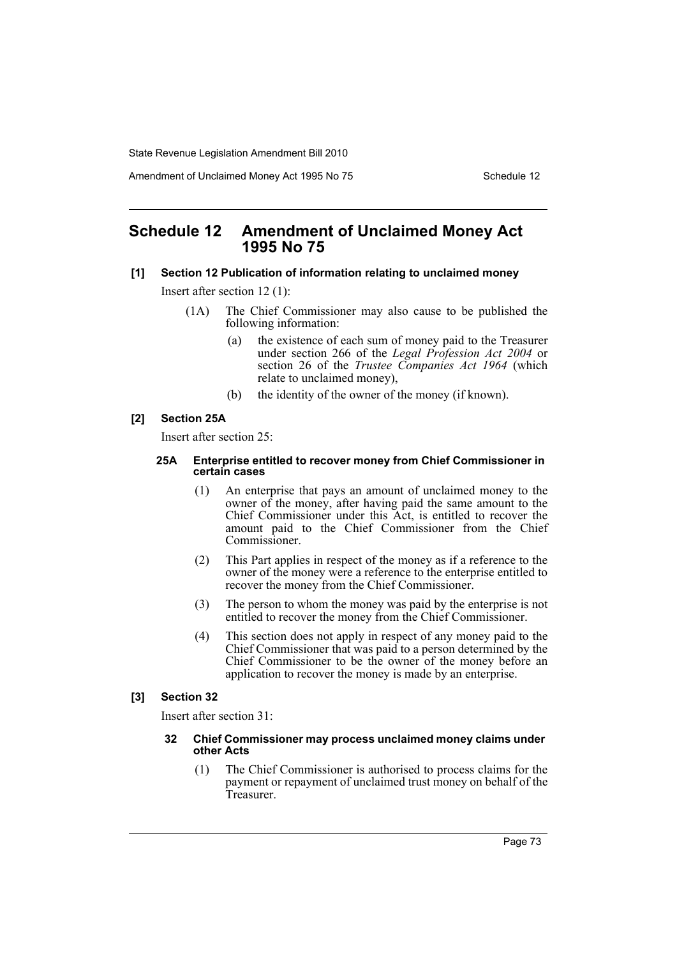Amendment of Unclaimed Money Act 1995 No 75 Schedule 12

## **Schedule 12 Amendment of Unclaimed Money Act 1995 No 75**

#### **[1] Section 12 Publication of information relating to unclaimed money**

Insert after section 12 (1):

- (1A) The Chief Commissioner may also cause to be published the following information:
	- (a) the existence of each sum of money paid to the Treasurer under section 266 of the *Legal Profession Act 2004* or section 26 of the *Trustee Companies Act 1964* (which relate to unclaimed money),
	- (b) the identity of the owner of the money (if known).

## **[2] Section 25A**

Insert after section 25:

#### **25A Enterprise entitled to recover money from Chief Commissioner in certain cases**

- (1) An enterprise that pays an amount of unclaimed money to the owner of the money, after having paid the same amount to the Chief Commissioner under this Act, is entitled to recover the amount paid to the Chief Commissioner from the Chief Commissioner.
- (2) This Part applies in respect of the money as if a reference to the owner of the money were a reference to the enterprise entitled to recover the money from the Chief Commissioner.
- (3) The person to whom the money was paid by the enterprise is not entitled to recover the money from the Chief Commissioner.
- (4) This section does not apply in respect of any money paid to the Chief Commissioner that was paid to a person determined by the Chief Commissioner to be the owner of the money before an application to recover the money is made by an enterprise.

### **[3] Section 32**

Insert after section 31:

#### **32 Chief Commissioner may process unclaimed money claims under other Acts**

(1) The Chief Commissioner is authorised to process claims for the payment or repayment of unclaimed trust money on behalf of the Treasurer.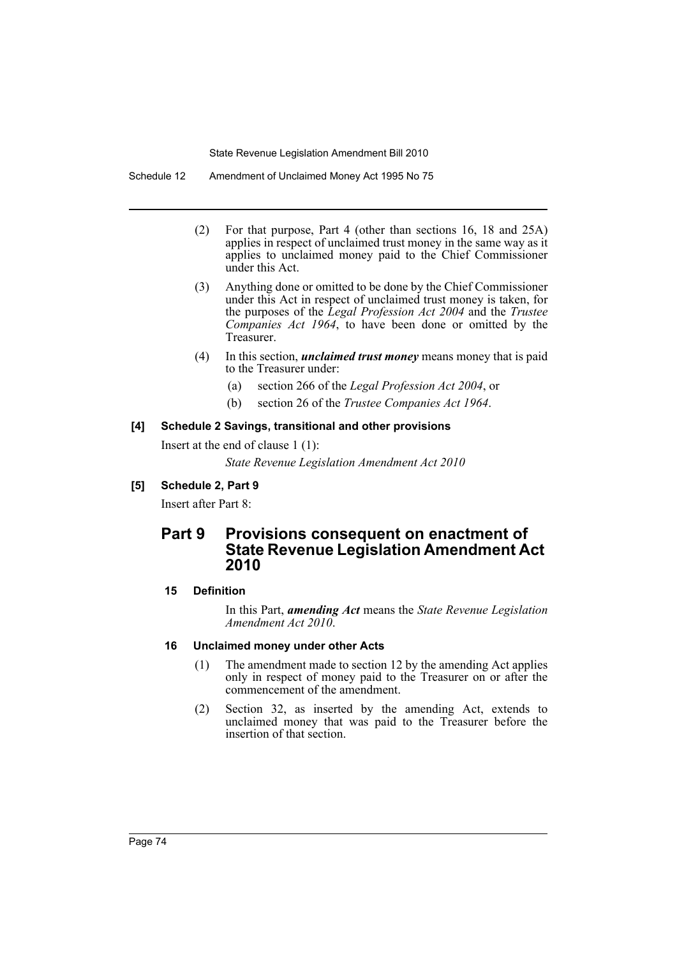Schedule 12 Amendment of Unclaimed Money Act 1995 No 75

- (2) For that purpose, Part 4 (other than sections 16, 18 and 25A) applies in respect of unclaimed trust money in the same way as it applies to unclaimed money paid to the Chief Commissioner under this Act.
- (3) Anything done or omitted to be done by the Chief Commissioner under this Act in respect of unclaimed trust money is taken, for the purposes of the *Legal Profession Act 2004* and the *Trustee Companies Act 1964*, to have been done or omitted by the Treasurer.
- (4) In this section, *unclaimed trust money* means money that is paid to the Treasurer under:
	- (a) section 266 of the *Legal Profession Act 2004*, or
	- (b) section 26 of the *Trustee Companies Act 1964*.

## **[4] Schedule 2 Savings, transitional and other provisions**

Insert at the end of clause 1 (1):

*State Revenue Legislation Amendment Act 2010*

## **[5] Schedule 2, Part 9**

Insert after Part 8:

# **Part 9 Provisions consequent on enactment of State Revenue Legislation Amendment Act 2010**

## **15 Definition**

In this Part, *amending Act* means the *State Revenue Legislation Amendment Act 2010*.

## **16 Unclaimed money under other Acts**

- (1) The amendment made to section 12 by the amending Act applies only in respect of money paid to the Treasurer on or after the commencement of the amendment.
- (2) Section 32, as inserted by the amending Act, extends to unclaimed money that was paid to the Treasurer before the insertion of that section.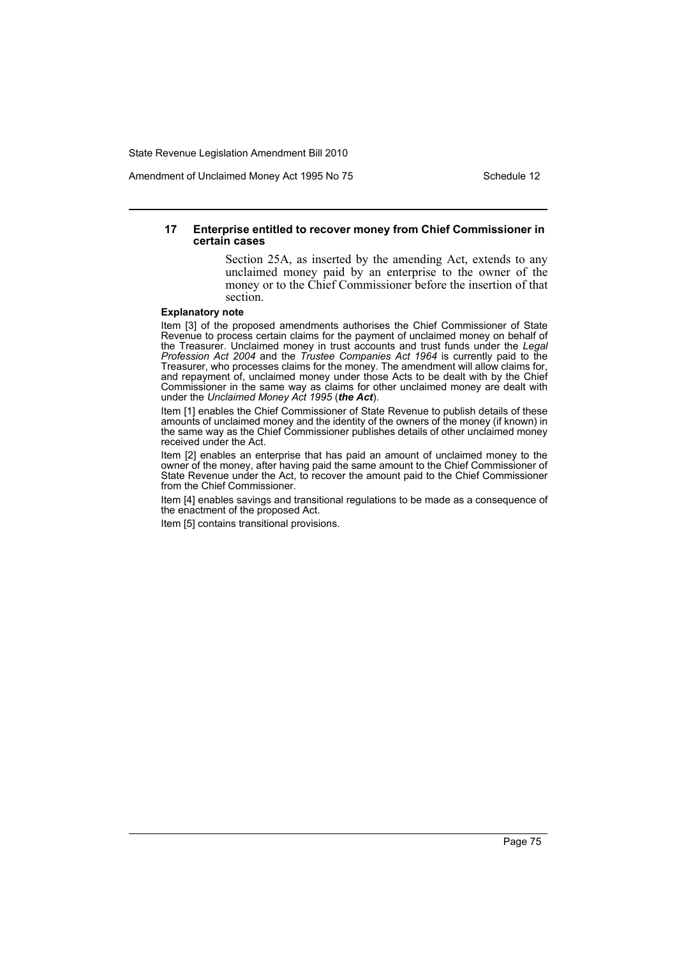Amendment of Unclaimed Money Act 1995 No 75 Schedule 12

#### **17 Enterprise entitled to recover money from Chief Commissioner in certain cases**

Section 25A, as inserted by the amending Act, extends to any unclaimed money paid by an enterprise to the owner of the money or to the Chief Commissioner before the insertion of that section.

#### **Explanatory note**

Item [3] of the proposed amendments authorises the Chief Commissioner of State Revenue to process certain claims for the payment of unclaimed money on behalf of the Treasurer. Unclaimed money in trust accounts and trust funds under the *Legal Profession Act 2004* and the *Trustee Companies Act 1964* is currently paid to the Treasurer, who processes claims for the money. The amendment will allow claims for, and repayment of, unclaimed money under those Acts to be dealt with by the Chief Commissioner in the same way as claims for other unclaimed money are dealt with under the *Unclaimed Money Act 1995* (*the Act*).

Item [1] enables the Chief Commissioner of State Revenue to publish details of these amounts of unclaimed money and the identity of the owners of the money (if known) in the same way as the Chief Commissioner publishes details of other unclaimed money received under the Act.

Item [2] enables an enterprise that has paid an amount of unclaimed money to the owner of the money, after having paid the same amount to the Chief Commissioner of State Revenue under the Act, to recover the amount paid to the Chief Commissioner from the Chief Commissioner.

Item [4] enables savings and transitional regulations to be made as a consequence of the enactment of the proposed Act.

Item [5] contains transitional provisions.